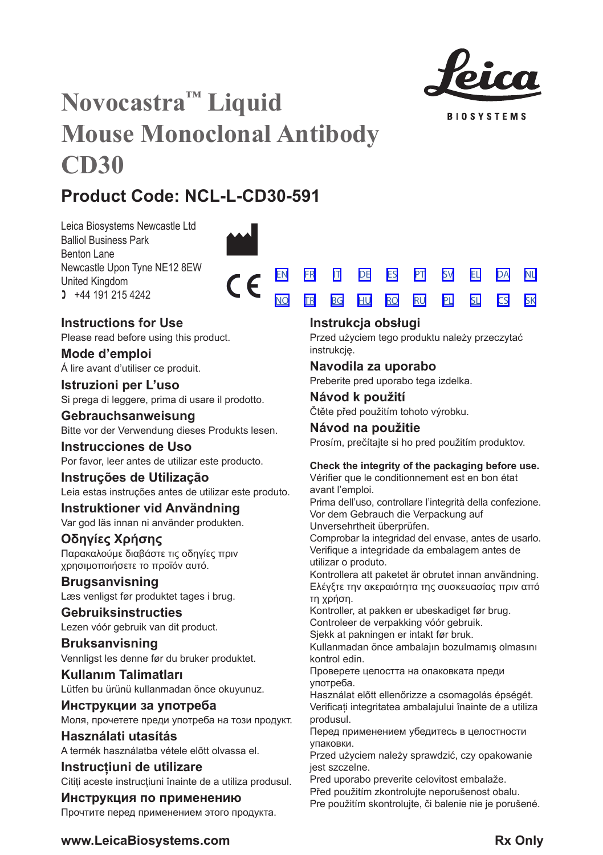

**BIOSYSTEMS** 

# **Novocastra™ Liquid Mouse Monoclonal Antibody CD30**

# **Product Code: NCL-L-CD30-591**

Leica Biosystems Newcastle Ltd Balliol Business Park Benton Lane Newcastle Upon Tyne NE12 8EW United Kingdom  $1 +44 191 215 4242$ 



# **Instructions for Use**

Please read before using this product.

**Mode d'emploi** Á lire avant d'utiliser ce produit.

**Istruzioni per L'uso** Si prega di leggere, prima di usare il prodotto.

# **Gebrauchsanweisung**

Bitte vor der Verwendung dieses Produkts lesen.

**Instrucciones de Uso** Por favor, leer antes de utilizar este producto.

# **Instruções de Utilização**

Leia estas instruções antes de utilizar este produto.

**Instruktioner vid Användning** Var god läs innan ni använder produkten.

# **Οδηγίες Χρήσης** Παρακαλούμε διαβάστε τις οδηγίες πριν χρησιμοποιήσετε το προϊόν αυτό.

**Brugsanvisning** Læs venligst før produktet tages i brug.

# **Gebruiksinstructies** Lezen vóór gebruik van dit product.

**Bruksanvisning** Vennligst les denne før du bruker produktet.

**Kullanım Talimatları** Lütfen bu ürünü kullanmadan önce okuyunuz.

**Инструкции за употреба** Моля, прочетете преди употреба на този продукт.

**Használati utasítás** A termék használatba vétele előtt olvassa el.

**Instrucțiuni de utilizare** Citiți aceste instrucțiuni înainte de a utiliza produsul.

# **Инструкция по применению**

Прочтите перед применением этого продукта.

|  |  | EN FR IT DE ES PT SV EL DA NL          |  |  |
|--|--|----------------------------------------|--|--|
|  |  | <u>NO TRE BGEHUERO RUEPLE SLECS SK</u> |  |  |

# **Instrukcja obsługi**

Przed użyciem tego produktu należy przeczytać instrukcję.

# **Navodila za uporabo**

Preberite pred uporabo tega izdelka.

**Návod k použití** Čtěte před použitím tohoto výrobku.

# **Návod na použitie** Prosím, prečítajte si ho pred použitím produktov.

# **Check the integrity of the packaging before use.**

Vérifier que le conditionnement est en bon état avant l'emploi.

Prima dell'uso, controllare l'integrità della confezione. Vor dem Gebrauch die Verpackung auf Unversehrtheit überprüfen.

Comprobar la integridad del envase, antes de usarlo. Verifique a integridade da embalagem antes de utilizar o produto.

Kontrollera att paketet är obrutet innan användning. Ελέγξτε την ακεραιότητα της συσκευασίας πριν από τη χρήση.

Kontroller, at pakken er ubeskadiget før brug.

Controleer de verpakking vóór gebruik.

Sjekk at pakningen er intakt før bruk. Kullanmadan önce ambalajın bozulmamış olmasını

kontrol edin. Проверете целостта на опаковката преди

употреба.

Használat előtt ellenőrizze a csomagolás épségét. Verificați integritatea ambalajului înainte de a utiliza produsul.

Перед применением убедитесь в целостности упаковки.

Przed użyciem należy sprawdzić, czy opakowanie jest szczelne.

Pred uporabo preverite celovitost embalaže.

Před použitím zkontroluite neporušenost obalu.

Pre použitím skontrolujte, či balenie nie je porušené.

**www.LeicaBiosystems.com Rx Only**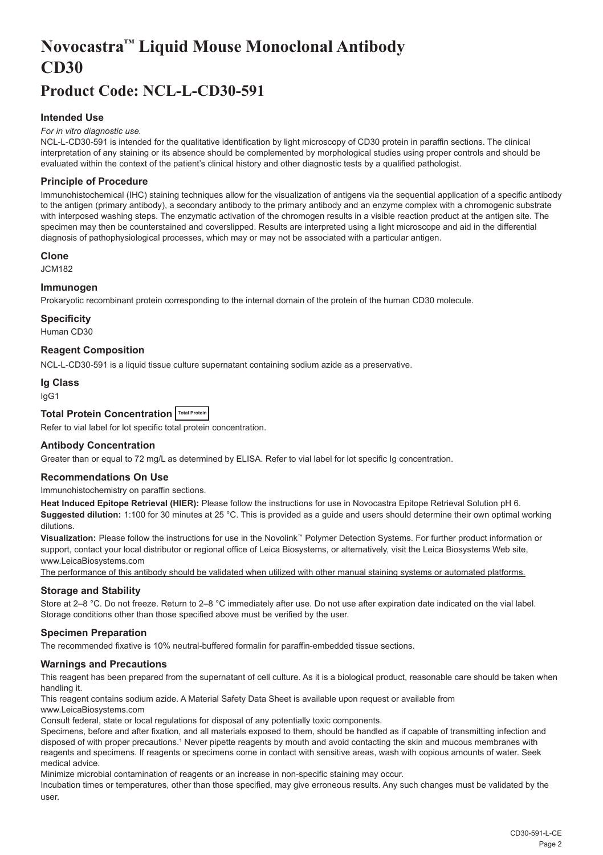# <span id="page-2-0"></span>**Novocastra™ Liquid Mouse Monoclonal Antibody CD30**

# **Product Code: NCL-L-CD30-591**

# **Intended Use**

#### *For in vitro diagnostic use.*

NCL-L-CD30-591 is intended for the qualitative identification by light microscopy of CD30 protein in paraffin sections. The clinical interpretation of any staining or its absence should be complemented by morphological studies using proper controls and should be evaluated within the context of the patient's clinical history and other diagnostic tests by a qualified pathologist.

# **Principle of Procedure**

Immunohistochemical (IHC) staining techniques allow for the visualization of antigens via the sequential application of a specific antibody to the antigen (primary antibody), a secondary antibody to the primary antibody and an enzyme complex with a chromogenic substrate with interposed washing steps. The enzymatic activation of the chromogen results in a visible reaction product at the antigen site. The specimen may then be counterstained and coverslipped. Results are interpreted using a light microscope and aid in the differential diagnosis of pathophysiological processes, which may or may not be associated with a particular antigen.

### **Clone**

JCM182

### **Immunogen**

Prokaryotic recombinant protein corresponding to the internal domain of the protein of the human CD30 molecule.

# **Specificity**

Human CD30

# **Reagent Composition**

NCL-L-CD30-591 is a liquid tissue culture supernatant containing sodium azide as a preservative.

### **Ig Class**

IgG1

# **Total Protein Concentration** Total Protein

Refer to vial label for lot specific total protein concentration.

# **Antibody Concentration**

Greater than or equal to 72 mg/L as determined by ELISA. Refer to vial label for lot specific Ig concentration.

#### **Recommendations On Use**

Immunohistochemistry on paraffin sections.

**Heat Induced Epitope Retrieval (HIER):** Please follow the instructions for use in Novocastra Epitope Retrieval Solution pH 6. **Suggested dilution:** 1:100 for 30 minutes at 25 °C. This is provided as a guide and users should determine their own optimal working dilutions.

**Visualization:** Please follow the instructions for use in the Novolink™ Polymer Detection Systems. For further product information or support, contact your local distributor or regional office of Leica Biosystems, or alternatively, visit the Leica Biosystems Web site, www.LeicaBiosystems.com

The performance of this antibody should be validated when utilized with other manual staining systems or automated platforms.

### **Storage and Stability**

Store at 2–8 °C. Do not freeze. Return to 2–8 °C immediately after use. Do not use after expiration date indicated on the vial label. Storage conditions other than those specified above must be verified by the user.

# **Specimen Preparation**

The recommended fixative is 10% neutral-buffered formalin for paraffin-embedded tissue sections.

### **Warnings and Precautions**

This reagent has been prepared from the supernatant of cell culture. As it is a biological product, reasonable care should be taken when handling it.

This reagent contains sodium azide. A Material Safety Data Sheet is available upon request or available from www.LeicaBiosystems.com

Consult federal, state or local regulations for disposal of any potentially toxic components.

Specimens, before and after fixation, and all materials exposed to them, should be handled as if capable of transmitting infection and disposed of with proper precautions.1 Never pipette reagents by mouth and avoid contacting the skin and mucous membranes with reagents and specimens. If reagents or specimens come in contact with sensitive areas, wash with copious amounts of water. Seek medical advice.

Minimize microbial contamination of reagents or an increase in non-specific staining may occur.

Incubation times or temperatures, other than those specified, may give erroneous results. Any such changes must be validated by the user.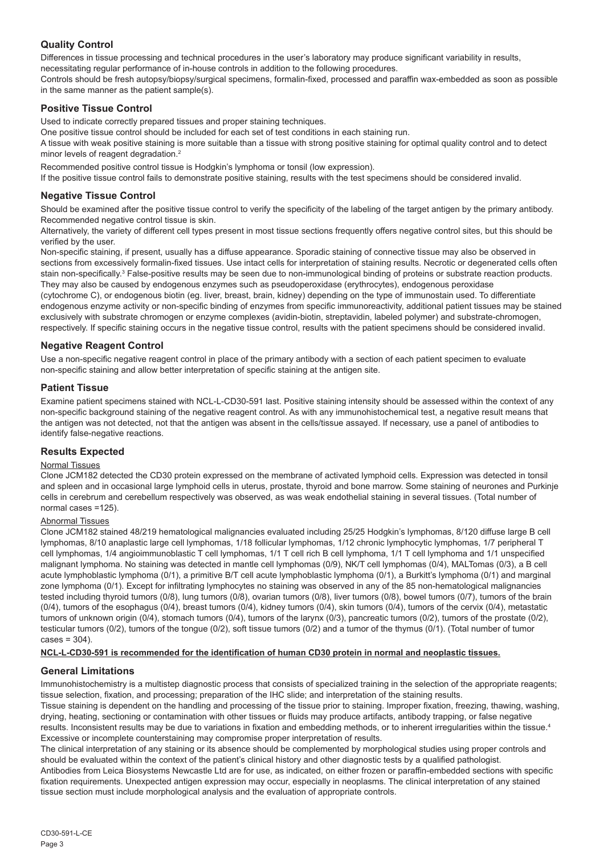# **Quality Control**

Differences in tissue processing and technical procedures in the user's laboratory may produce significant variability in results, necessitating regular performance of in-house controls in addition to the following procedures.

Controls should be fresh autopsy/biopsy/surgical specimens, formalin-fixed, processed and paraffin wax-embedded as soon as possible in the same manner as the patient sample(s).

# **Positive Tissue Control**

Used to indicate correctly prepared tissues and proper staining techniques.

One positive tissue control should be included for each set of test conditions in each staining run.

A tissue with weak positive staining is more suitable than a tissue with strong positive staining for optimal quality control and to detect minor levels of reagent degradation.<sup>2</sup>

Recommended positive control tissue is Hodgkin's lymphoma or tonsil (low expression).

If the positive tissue control fails to demonstrate positive staining, results with the test specimens should be considered invalid.

#### **Negative Tissue Control**

Should be examined after the positive tissue control to verify the specificity of the labeling of the target antigen by the primary antibody. Recommended negative control tissue is skin.

Alternatively, the variety of different cell types present in most tissue sections frequently offers negative control sites, but this should be verified by the user.

Non-specific staining, if present, usually has a diffuse appearance. Sporadic staining of connective tissue may also be observed in sections from excessively formalin-fixed tissues. Use intact cells for interpretation of staining results. Necrotic or degenerated cells often stain non-specifically.<sup>3</sup> False-positive results may be seen due to non-immunological binding of proteins or substrate reaction products. They may also be caused by endogenous enzymes such as pseudoperoxidase (erythrocytes), endogenous peroxidase

(cytochrome C), or endogenous biotin (eg. liver, breast, brain, kidney) depending on the type of immunostain used. To differentiate endogenous enzyme activity or non-specific binding of enzymes from specific immunoreactivity, additional patient tissues may be stained exclusively with substrate chromogen or enzyme complexes (avidin-biotin, streptavidin, labeled polymer) and substrate-chromogen, respectively. If specific staining occurs in the negative tissue control, results with the patient specimens should be considered invalid.

# **Negative Reagent Control**

Use a non-specific negative reagent control in place of the primary antibody with a section of each patient specimen to evaluate non-specific staining and allow better interpretation of specific staining at the antigen site.

### **Patient Tissue**

Examine patient specimens stained with NCL-L-CD30-591 last. Positive staining intensity should be assessed within the context of any non-specific background staining of the negative reagent control. As with any immunohistochemical test, a negative result means that the antigen was not detected, not that the antigen was absent in the cells/tissue assayed. If necessary, use a panel of antibodies to identify false-negative reactions.

### **Results Expected**

### Normal Tissues

Clone JCM182 detected the CD30 protein expressed on the membrane of activated lymphoid cells. Expression was detected in tonsil and spleen and in occasional large lymphoid cells in uterus, prostate, thyroid and bone marrow. Some staining of neurones and Purkinje cells in cerebrum and cerebellum respectively was observed, as was weak endothelial staining in several tissues. (Total number of normal cases =125).

#### Abnormal Tissues

Clone JCM182 stained 48/219 hematological malignancies evaluated including 25/25 Hodgkin's lymphomas, 8/120 diffuse large B cell lymphomas, 8/10 anaplastic large cell lymphomas, 1/18 follicular lymphomas, 1/12 chronic lymphocytic lymphomas, 1/7 peripheral T cell lymphomas, 1/4 angioimmunoblastic T cell lymphomas, 1/1 T cell rich B cell lymphoma, 1/1 T cell lymphoma and 1/1 unspecified malignant lymphoma. No staining was detected in mantle cell lymphomas (0/9), NK/T cell lymphomas (0/4), MALTomas (0/3), a B cell acute lymphoblastic lymphoma (0/1), a primitive B/T cell acute lymphoblastic lymphoma (0/1), a Burkitt's lymphoma (0/1) and marginal zone lymphoma (0/1). Except for infiltrating lymphocytes no staining was observed in any of the 85 non-hematological malignancies tested including thyroid tumors (0/8), lung tumors (0/8), ovarian tumors (0/8), liver tumors (0/8), bowel tumors (0/7), tumors of the brain  $(0/4)$ , tumors of the esophagus  $(0/4)$ , breast tumors  $(0/4)$ , kidney tumors  $(0/4)$ , skin tumors  $(0/4)$ , tumors of the cervix  $(0/4)$ , metastatic tumors of unknown origin (0/4), stomach tumors (0/4), tumors of the larynx (0/3), pancreatic tumors (0/2), tumors of the prostate (0/2), testicular tumors (0/2), tumors of the tongue (0/2), soft tissue tumors (0/2) and a tumor of the thymus (0/1). (Total number of tumor  $cases = 304$ )

#### **NCL-L-CD30-591 is recommended for the identification of human CD30 protein in normal and neoplastic tissues.**

### **General Limitations**

Immunohistochemistry is a multistep diagnostic process that consists of specialized training in the selection of the appropriate reagents; tissue selection, fixation, and processing; preparation of the IHC slide; and interpretation of the staining results.

Tissue staining is dependent on the handling and processing of the tissue prior to staining. Improper fixation, freezing, thawing, washing, drying, heating, sectioning or contamination with other tissues or fluids may produce artifacts, antibody trapping, or false negative results. Inconsistent results may be due to variations in fixation and embedding methods, or to inherent irregularities within the tissue.<sup>4</sup> Excessive or incomplete counterstaining may compromise proper interpretation of results.

The clinical interpretation of any staining or its absence should be complemented by morphological studies using proper controls and should be evaluated within the context of the patient's clinical history and other diagnostic tests by a qualified pathologist.

Antibodies from Leica Biosystems Newcastle Ltd are for use, as indicated, on either frozen or paraffin-embedded sections with specific fixation requirements. Unexpected antigen expression may occur, especially in neoplasms. The clinical interpretation of any stained tissue section must include morphological analysis and the evaluation of appropriate controls.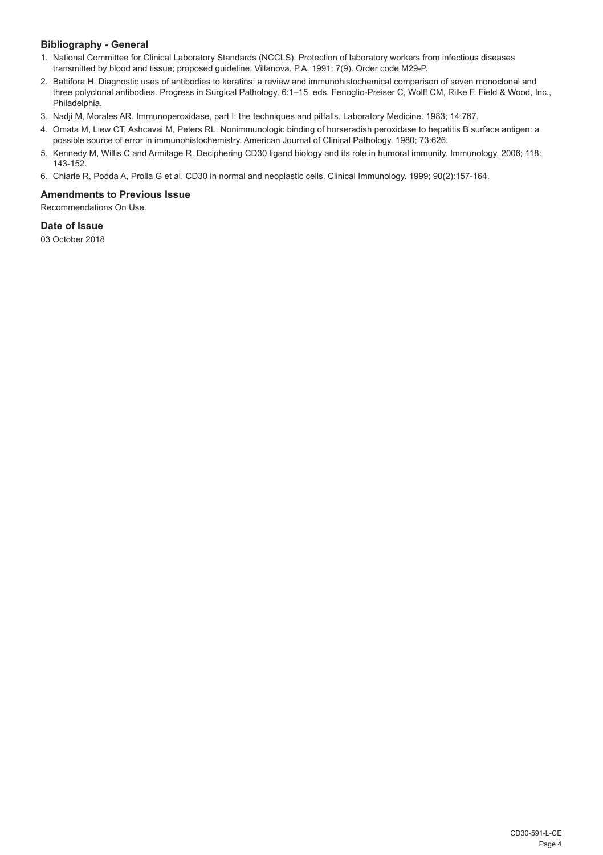# **Bibliography - General**

- 1. National Committee for Clinical Laboratory Standards (NCCLS). Protection of laboratory workers from infectious diseases transmitted by blood and tissue; proposed guideline. Villanova, P.A. 1991; 7(9). Order code M29-P.
- 2. Battifora H. Diagnostic uses of antibodies to keratins: a review and immunohistochemical comparison of seven monoclonal and three polyclonal antibodies. Progress in Surgical Pathology. 6:1–15. eds. Fenoglio-Preiser C, Wolff CM, Rilke F. Field & Wood, Inc., Philadelphia.
- 3. Nadji M, Morales AR. Immunoperoxidase, part I: the techniques and pitfalls. Laboratory Medicine. 1983; 14:767.
- 4. Omata M, Liew CT, Ashcavai M, Peters RL. Nonimmunologic binding of horseradish peroxidase to hepatitis B surface antigen: a possible source of error in immunohistochemistry. American Journal of Clinical Pathology. 1980; 73:626.
- 5. Kennedy M, Willis C and Armitage R. Deciphering CD30 ligand biology and its role in humoral immunity. Immunology. 2006; 118: 143-152.
- 6. Chiarle R, Podda A, Prolla G et al. CD30 in normal and neoplastic cells. Clinical Immunology. 1999; 90(2):157-164.

# **Amendments to Previous Issue**

Recommendations On Use.

# **Date of Issue**

03 October 2018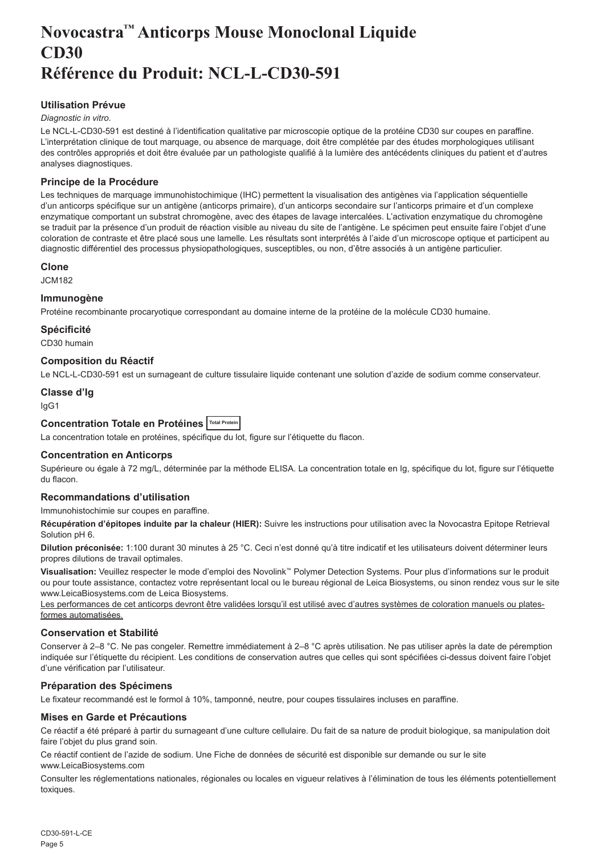# <span id="page-5-0"></span>**Novocastra™ Anticorps Mouse Monoclonal Liquide CD30 Référence du Produit: NCL-L-CD30-591**

# **Utilisation Prévue**

#### *Diagnostic in vitro*.

Le NCL-L-CD30-591 est destiné à l'identification qualitative par microscopie optique de la protéine CD30 sur coupes en paraffine. L'interprétation clinique de tout marquage, ou absence de marquage, doit être complétée par des études morphologiques utilisant des contrôles appropriés et doit être évaluée par un pathologiste qualifié à la lumière des antécédents cliniques du patient et d'autres analyses diagnostiques.

#### **Principe de la Procédure**

Les techniques de marquage immunohistochimique (IHC) permettent la visualisation des antigènes via l'application séquentielle d'un anticorps spécifique sur un antigène (anticorps primaire), d'un anticorps secondaire sur l'anticorps primaire et d'un complexe enzymatique comportant un substrat chromogène, avec des étapes de lavage intercalées. L'activation enzymatique du chromogène se traduit par la présence d'un produit de réaction visible au niveau du site de l'antigène. Le spécimen peut ensuite faire l'objet d'une coloration de contraste et être placé sous une lamelle. Les résultats sont interprétés à l'aide d'un microscope optique et participent au diagnostic différentiel des processus physiopathologiques, susceptibles, ou non, d'être associés à un antigène particulier.

#### **Clone**

JCM182

#### **Immunogène**

Protéine recombinante procaryotique correspondant au domaine interne de la protéine de la molécule CD30 humaine.

#### **Spécificité**

CD30 humain

### **Composition du Réactif**

Le NCL-L-CD30-591 est un surnageant de culture tissulaire liquide contenant une solution d'azide de sodium comme conservateur.

#### **Classe d'Ig**

IgG1

# **Concentration Totale en Protéines Total Protein**

La concentration totale en protéines, spécifique du lot, figure sur l'étiquette du flacon.

#### **Concentration en Anticorps**

Supérieure ou égale à 72 mg/L, déterminée par la méthode ELISA. La concentration totale en Ig, spécifique du lot, figure sur l'étiquette du flacon.

# **Recommandations d'utilisation**

Immunohistochimie sur coupes en paraffine.

**Récupération d'épitopes induite par la chaleur (HIER):** Suivre les instructions pour utilisation avec la Novocastra Epitope Retrieval Solution pH 6.

**Dilution préconisée:** 1:100 durant 30 minutes à 25 °C. Ceci n'est donné qu'à titre indicatif et les utilisateurs doivent déterminer leurs propres dilutions de travail optimales.

**Visualisation:** Veuillez respecter le mode d'emploi des Novolink™ Polymer Detection Systems. Pour plus d'informations sur le produit ou pour toute assistance, contactez votre représentant local ou le bureau régional de Leica Biosystems, ou sinon rendez vous sur le site www.LeicaBiosystems.com de Leica Biosystems.

Les performances de cet anticorps devront être validées lorsqu'il est utilisé avec d'autres systèmes de coloration manuels ou platesformes automatisées.

#### **Conservation et Stabilité**

Conserver à 2–8 °C. Ne pas congeler. Remettre immédiatement à 2–8 °C après utilisation. Ne pas utiliser après la date de péremption indiquée sur l'étiquette du récipient. Les conditions de conservation autres que celles qui sont spécifiées ci-dessus doivent faire l'objet d'une vérification par l'utilisateur.

#### **Préparation des Spécimens**

Le fixateur recommandé est le formol à 10%, tamponné, neutre, pour coupes tissulaires incluses en paraffine.

#### **Mises en Garde et Précautions**

Ce réactif a été préparé à partir du surnageant d'une culture cellulaire. Du fait de sa nature de produit biologique, sa manipulation doit faire l'objet du plus grand soin.

Ce réactif contient de l'azide de sodium. Une Fiche de données de sécurité est disponible sur demande ou sur le site www.LeicaBiosystems.com

Consulter les réglementations nationales, régionales ou locales en vigueur relatives à l'élimination de tous les éléments potentiellement toxiques.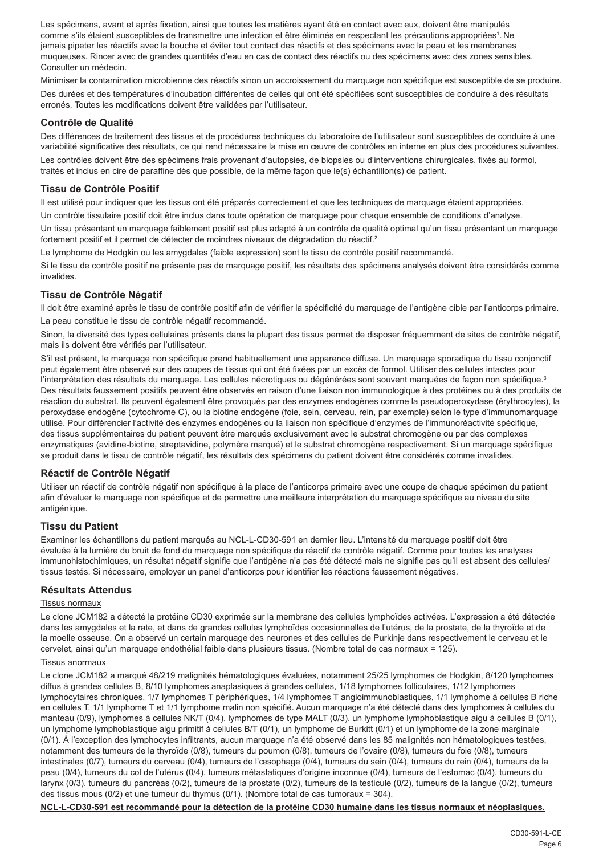Les spécimens, avant et après fixation, ainsi que toutes les matières ayant été en contact avec eux, doivent être manipulés comme s'ils étaient susceptibles de transmettre une infection et être éliminés en respectant les précautions appropriées<sup>1</sup>. Ne jamais pipeter les réactifs avec la bouche et éviter tout contact des réactifs et des spécimens avec la peau et les membranes muqueuses. Rincer avec de grandes quantités d'eau en cas de contact des réactifs ou des spécimens avec des zones sensibles. Consulter un médecin.

Minimiser la contamination microbienne des réactifs sinon un accroissement du marquage non spécifique est susceptible de se produire. Des durées et des températures d'incubation différentes de celles qui ont été spécifiées sont susceptibles de conduire à des résultats erronés. Toutes les modifications doivent être validées par l'utilisateur.

#### **Contrôle de Qualité**

Des différences de traitement des tissus et de procédures techniques du laboratoire de l'utilisateur sont susceptibles de conduire à une variabilité significative des résultats, ce qui rend nécessaire la mise en œuvre de contrôles en interne en plus des procédures suivantes. Les contrôles doivent être des spécimens frais provenant d'autopsies, de biopsies ou d'interventions chirurgicales, fixés au formol, traités et inclus en cire de paraffine dès que possible, de la même façon que le(s) échantillon(s) de patient.

#### **Tissu de Contrôle Positif**

Il est utilisé pour indiquer que les tissus ont été préparés correctement et que les techniques de marquage étaient appropriées.

Un contrôle tissulaire positif doit être inclus dans toute opération de marquage pour chaque ensemble de conditions d'analyse.

Un tissu présentant un marquage faiblement positif est plus adapté à un contrôle de qualité optimal qu'un tissu présentant un marquage fortement positif et il permet de détecter de moindres niveaux de dégradation du réactif.<sup>2</sup>

Le lymphome de Hodgkin ou les amygdales (faible expression) sont le tissu de contrôle positif recommandé.

Si le tissu de contrôle positif ne présente pas de marquage positif, les résultats des spécimens analysés doivent être considérés comme invalides.

# **Tissu de Contrôle Négatif**

Il doit être examiné après le tissu de contrôle positif afin de vérifier la spécificité du marquage de l'antigène cible par l'anticorps primaire. La peau constitue le tissu de contrôle négatif recommandé.

Sinon, la diversité des types cellulaires présents dans la plupart des tissus permet de disposer fréquemment de sites de contrôle négatif, mais ils doivent être vérifiés par l'utilisateur.

S'il est présent, le marquage non spécifique prend habituellement une apparence diffuse. Un marquage sporadique du tissu conjonctif peut également être observé sur des coupes de tissus qui ont été fixées par un excès de formol. Utiliser des cellules intactes pour l'interprétation des résultats du marquage. Les cellules nécrotiques ou dégénérées sont souvent marquées de façon non spécifique.3 Des résultats faussement positifs peuvent être observés en raison d'une liaison non immunologique à des protéines ou à des produits de réaction du substrat. Ils peuvent également être provoqués par des enzymes endogènes comme la pseudoperoxydase (érythrocytes), la peroxydase endogène (cytochrome C), ou la biotine endogène (foie, sein, cerveau, rein, par exemple) selon le type d'immunomarquage utilisé. Pour différencier l'activité des enzymes endogènes ou la liaison non spécifique d'enzymes de l'immunoréactivité spécifique, des tissus supplémentaires du patient peuvent être marqués exclusivement avec le substrat chromogène ou par des complexes enzymatiques (avidine-biotine, streptavidine, polymère marqué) et le substrat chromogène respectivement. Si un marquage spécifique se produit dans le tissu de contrôle négatif, les résultats des spécimens du patient doivent être considérés comme invalides.

### **Réactif de Contrôle Négatif**

Utiliser un réactif de contrôle négatif non spécifique à la place de l'anticorps primaire avec une coupe de chaque spécimen du patient afin d'évaluer le marquage non spécifique et de permettre une meilleure interprétation du marquage spécifique au niveau du site antigénique.

### **Tissu du Patient**

Examiner les échantillons du patient marqués au NCL-L-CD30-591 en dernier lieu. L'intensité du marquage positif doit être évaluée à la lumière du bruit de fond du marquage non spécifique du réactif de contrôle négatif. Comme pour toutes les analyses immunohistochimiques, un résultat négatif signifie que l'antigène n'a pas été détecté mais ne signifie pas qu'il est absent des cellules/ tissus testés. Si nécessaire, employer un panel d'anticorps pour identifier les réactions faussement négatives.

### **Résultats Attendus**

#### Tissus normaux

Le clone JCM182 a détecté la protéine CD30 exprimée sur la membrane des cellules lymphoïdes activées. L'expression a été détectée dans les amygdales et la rate, et dans de grandes cellules lymphoïdes occasionnelles de l'utérus, de la prostate, de la thyroïde et de la moelle osseuse. On a observé un certain marquage des neurones et des cellules de Purkinje dans respectivement le cerveau et le cervelet, ainsi qu'un marquage endothélial faible dans plusieurs tissus. (Nombre total de cas normaux = 125).

#### Tissus anormaux

Le clone JCM182 a marqué 48/219 malignités hématologiques évaluées, notamment 25/25 lymphomes de Hodgkin, 8/120 lymphomes diffus à grandes cellules B, 8/10 lymphomes anaplasiques à grandes cellules, 1/18 lymphomes folliculaires, 1/12 lymphomes lymphocytaires chroniques, 1/7 lymphomes T périphériques, 1/4 lymphomes T angioimmunoblastiques, 1/1 lymphome à cellules B riche en cellules T, 1/1 lymphome T et 1/1 lymphome malin non spécifié. Aucun marquage n'a été détecté dans des lymphomes à cellules du manteau (0/9), lymphomes à cellules NK/T (0/4), lymphomes de type MALT (0/3), un lymphome lymphoblastique aigu à cellules B (0/1), un lymphome lymphoblastique aigu primitif à cellules B/T (0/1), un lymphome de Burkitt (0/1) et un lymphome de la zone marginale (0/1). À l'exception des lymphocytes infiltrants, aucun marquage n'a été observé dans les 85 malignités non hématologiques testées, notamment des tumeurs de la thyroïde (0/8), tumeurs du poumon (0/8), tumeurs de l'ovaire (0/8), tumeurs du foie (0/8), tumeurs intestinales (0/7), tumeurs du cerveau (0/4), tumeurs de l'œsophage (0/4), tumeurs du sein (0/4), tumeurs du rein (0/4), tumeurs de la peau (0/4), tumeurs du col de l'utérus (0/4), tumeurs métastatiques d'origine inconnue (0/4), tumeurs de l'estomac (0/4), tumeurs du larynx (0/3), tumeurs du pancréas (0/2), tumeurs de la prostate (0/2), tumeurs de la testicule (0/2), tumeurs de la langue (0/2), tumeurs des tissus mous (0/2) et une tumeur du thymus (0/1). (Nombre total de cas tumoraux = 304).

**NCL-L-CD30-591 est recommandé pour la détection de la protéine CD30 humaine dans les tissus normaux et néoplasiques.**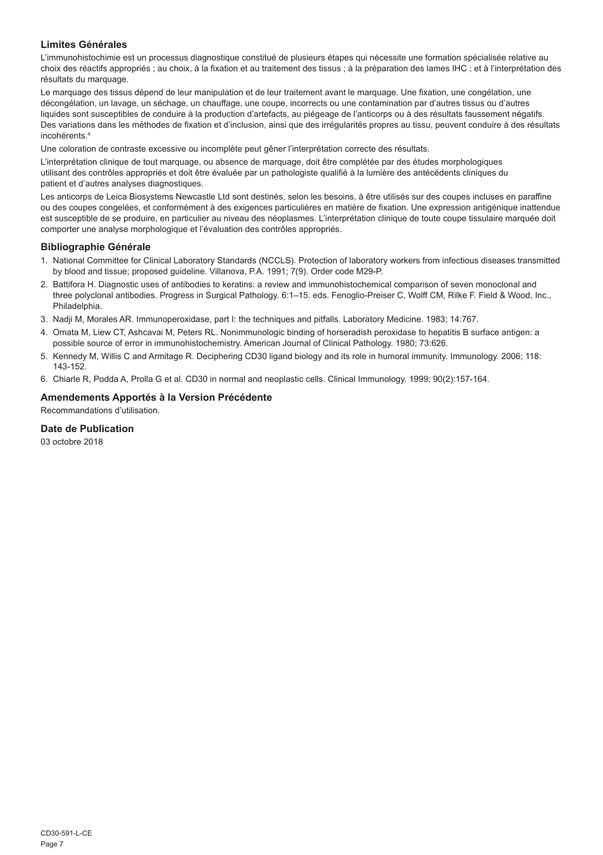# **Limites Générales**

L'immunohistochimie est un processus diagnostique constitué de plusieurs étapes qui nécessite une formation spécialisée relative au choix des réactifs appropriés ; au choix, à la fixation et au traitement des tissus ; à la préparation des lames IHC ; et à l'interprétation des résultats du marquage.

Le marquage des tissus dépend de leur manipulation et de leur traitement avant le marquage. Une fixation, une congélation, une décongélation, un lavage, un séchage, un chauffage, une coupe, incorrects ou une contamination par d'autres tissus ou d'autres liquides sont susceptibles de conduire à la production d'artefacts, au piégeage de l'anticorps ou à des résultats faussement négatifs. Des variations dans les méthodes de fixation et d'inclusion, ainsi que des irrégularités propres au tissu, peuvent conduire à des résultats incohérents.<sup>4</sup>

Une coloration de contraste excessive ou incomplète peut gêner l'interprétation correcte des résultats.

L'interprétation clinique de tout marquage, ou absence de marquage, doit être complétée par des études morphologiques utilisant des contrôles appropriés et doit être évaluée par un pathologiste qualifié à la lumière des antécédents cliniques du patient et d'autres analyses diagnostiques.

Les anticorps de Leica Biosystems Newcastle Ltd sont destinés, selon les besoins, à être utilisés sur des coupes incluses en paraffine ou des coupes congelées, et conformément à des exigences particulières en matière de fixation. Une expression antigénique inattendue est susceptible de se produire, en particulier au niveau des néoplasmes. L'interprétation clinique de toute coupe tissulaire marquée doit comporter une analyse morphologique et l'évaluation des contrôles appropriés.

#### **Bibliographie Générale**

- 1. National Committee for Clinical Laboratory Standards (NCCLS). Protection of laboratory workers from infectious diseases transmitted by blood and tissue; proposed guideline. Villanova, P.A. 1991; 7(9). Order code M29-P.
- 2. Battifora H. Diagnostic uses of antibodies to keratins: a review and immunohistochemical comparison of seven monoclonal and three polyclonal antibodies. Progress in Surgical Pathology. 6:1–15. eds. Fenoglio-Preiser C, Wolff CM, Rilke F. Field & Wood, Inc., Philadelphia.
- 3. Nadji M, Morales AR. Immunoperoxidase, part I: the techniques and pitfalls. Laboratory Medicine. 1983; 14:767.
- 4. Omata M, Liew CT, Ashcavai M, Peters RL. Nonimmunologic binding of horseradish peroxidase to hepatitis B surface antigen: a possible source of error in immunohistochemistry. American Journal of Clinical Pathology. 1980; 73:626.
- 5. Kennedy M, Willis C and Armitage R. Deciphering CD30 ligand biology and its role in humoral immunity. Immunology. 2006; 118: 143-152.
- 6. Chiarle R, Podda A, Prolla G et al. CD30 in normal and neoplastic cells. Clinical Immunology. 1999; 90(2):157-164.

# **Amendements Apportés à la Version Précédente**

Recommandations d'utilisation.

# **Date de Publication**

03 octobre 2018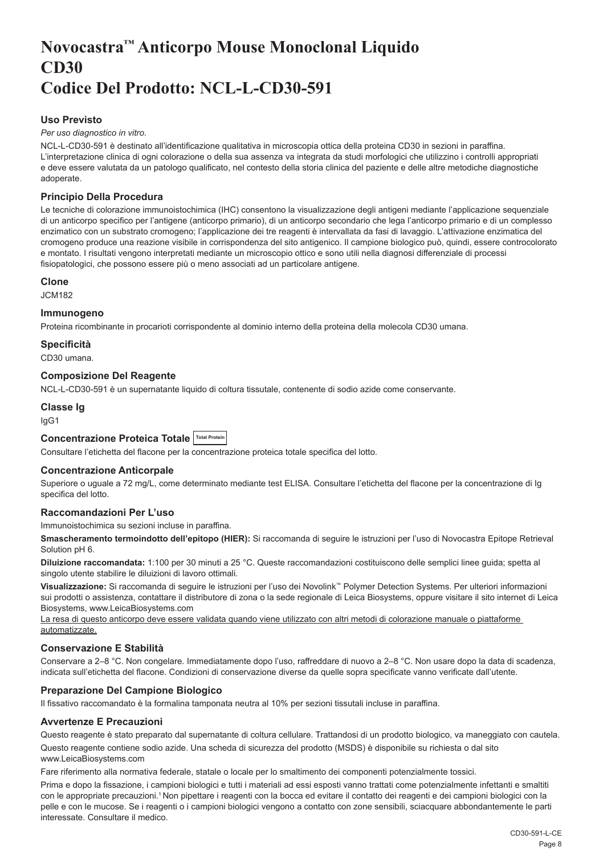# <span id="page-8-0"></span>**Novocastra™ Anticorpo Mouse Monoclonal Liquido CD30 Codice Del Prodotto: NCL-L-CD30-591**

# **Uso Previsto**

#### *Per uso diagnostico in vitro*.

NCL-L-CD30-591 è destinato all'identificazione qualitativa in microscopia ottica della proteina CD30 in sezioni in paraffina. L'interpretazione clinica di ogni colorazione o della sua assenza va integrata da studi morfologici che utilizzino i controlli appropriati e deve essere valutata da un patologo qualificato, nel contesto della storia clinica del paziente e delle altre metodiche diagnostiche adoperate.

#### **Principio Della Procedura**

Le tecniche di colorazione immunoistochimica (IHC) consentono la visualizzazione degli antigeni mediante l'applicazione sequenziale di un anticorpo specifico per l'antigene (anticorpo primario), di un anticorpo secondario che lega l'anticorpo primario e di un complesso enzimatico con un substrato cromogeno; l'applicazione dei tre reagenti è intervallata da fasi di lavaggio. L'attivazione enzimatica del cromogeno produce una reazione visibile in corrispondenza del sito antigenico. Il campione biologico può, quindi, essere controcolorato e montato. I risultati vengono interpretati mediante un microscopio ottico e sono utili nella diagnosi differenziale di processi fisiopatologici, che possono essere più o meno associati ad un particolare antigene.

#### **Clone**

JCM182

#### **Immunogeno**

Proteina ricombinante in procarioti corrispondente al dominio interno della proteina della molecola CD30 umana.

#### **Specificità**

CD30 umana.

#### **Composizione Del Reagente**

NCL-L-CD30-591 è un supernatante liquido di coltura tissutale, contenente di sodio azide come conservante.

# **Classe Ig**

IgG1

# **Concentrazione Proteica Totale Total Protein**

Consultare l'etichetta del flacone per la concentrazione proteica totale specifica del lotto.

### **Concentrazione Anticorpale**

Superiore o uguale a 72 mg/L, come determinato mediante test ELISA. Consultare l'etichetta del flacone per la concentrazione di Ig specifica del lotto.

# **Raccomandazioni Per L'uso**

Immunoistochimica su sezioni incluse in paraffina.

**Smascheramento termoindotto dell'epitopo (HIER):** Si raccomanda di seguire le istruzioni per l'uso di Novocastra Epitope Retrieval Solution pH 6.

**Diluizione raccomandata:** 1:100 per 30 minuti a 25 °C. Queste raccomandazioni costituiscono delle semplici linee guida; spetta al singolo utente stabilire le diluizioni di lavoro ottimali.

**Visualizzazione:** Si raccomanda di seguire le istruzioni per l'uso dei Novolink™ Polymer Detection Systems. Per ulteriori informazioni sui prodotti o assistenza, contattare il distributore di zona o la sede regionale di Leica Biosystems, oppure visitare il sito internet di Leica Biosystems, www.LeicaBiosystems.com

La resa di questo anticorpo deve essere validata quando viene utilizzato con altri metodi di colorazione manuale o piattaforme automatizzate.

### **Conservazione E Stabilità**

Conservare a 2–8 °C. Non congelare. Immediatamente dopo l'uso, raffreddare di nuovo a 2–8 °C. Non usare dopo la data di scadenza, indicata sull'etichetta del flacone. Condizioni di conservazione diverse da quelle sopra specificate vanno verificate dall'utente.

### **Preparazione Del Campione Biologico**

Il fissativo raccomandato è la formalina tamponata neutra al 10% per sezioni tissutali incluse in paraffina.

#### **Avvertenze E Precauzioni**

Questo reagente è stato preparato dal supernatante di coltura cellulare. Trattandosi di un prodotto biologico, va maneggiato con cautela.

Questo reagente contiene sodio azide. Una scheda di sicurezza del prodotto (MSDS) è disponibile su richiesta o dal sito www.LeicaBiosystems.com

Fare riferimento alla normativa federale, statale o locale per lo smaltimento dei componenti potenzialmente tossici.

Prima e dopo la fissazione, i campioni biologici e tutti i materiali ad essi esposti vanno trattati come potenzialmente infettanti e smaltiti con le appropriate precauzioni.<sup>1</sup> Non pipettare i reagenti con la bocca ed evitare il contatto dei reagenti e dei campioni biologici con la pelle e con le mucose. Se i reagenti o i campioni biologici vengono a contatto con zone sensibili, sciacquare abbondantemente le parti interessate. Consultare il medico.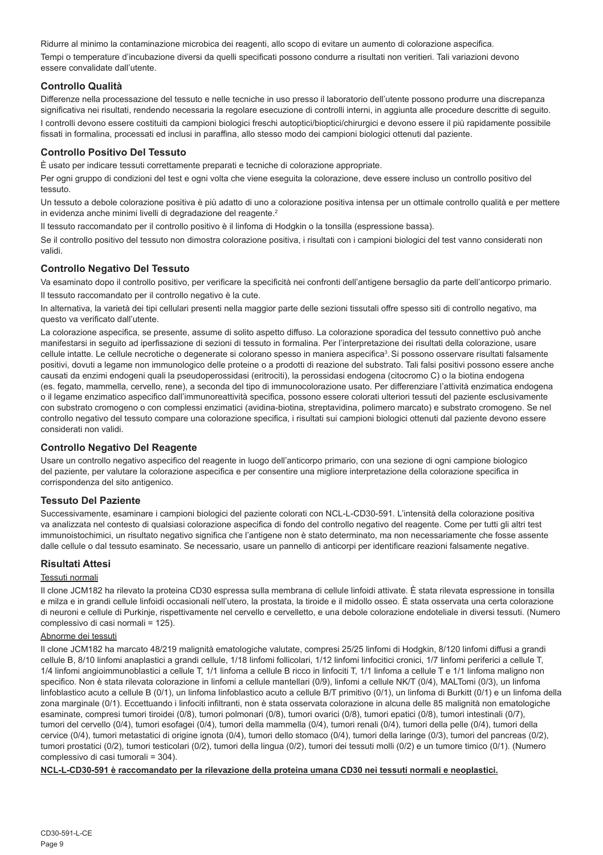Ridurre al minimo la contaminazione microbica dei reagenti, allo scopo di evitare un aumento di colorazione aspecifica. Tempi o temperature d'incubazione diversi da quelli specificati possono condurre a risultati non veritieri. Tali variazioni devono essere convalidate dall'utente.

# **Controllo Qualità**

Differenze nella processazione del tessuto e nelle tecniche in uso presso il laboratorio dell'utente possono produrre una discrepanza significativa nei risultati, rendendo necessaria la regolare esecuzione di controlli interni, in aggiunta alle procedure descritte di seguito. I controlli devono essere costituiti da campioni biologici freschi autoptici/bioptici/chirurgici e devono essere il più rapidamente possibile fissati in formalina, processati ed inclusi in paraffina, allo stesso modo dei campioni biologici ottenuti dal paziente.

# **Controllo Positivo Del Tessuto**

È usato per indicare tessuti correttamente preparati e tecniche di colorazione appropriate.

Per ogni gruppo di condizioni del test e ogni volta che viene eseguita la colorazione, deve essere incluso un controllo positivo del tessuto.

Un tessuto a debole colorazione positiva è più adatto di uno a colorazione positiva intensa per un ottimale controllo qualità e per mettere in evidenza anche minimi livelli di degradazione del reagente.<sup>2</sup>

Il tessuto raccomandato per il controllo positivo è il linfoma di Hodgkin o la tonsilla (espressione bassa).

Se il controllo positivo del tessuto non dimostra colorazione positiva, i risultati con i campioni biologici del test vanno considerati non validi.

### **Controllo Negativo Del Tessuto**

Va esaminato dopo il controllo positivo, per verificare la specificità nei confronti dell'antigene bersaglio da parte dell'anticorpo primario. Il tessuto raccomandato per il controllo negativo è la cute.

In alternativa, la varietà dei tipi cellulari presenti nella maggior parte delle sezioni tissutali offre spesso siti di controllo negativo, ma questo va verificato dall'utente.

La colorazione aspecifica, se presente, assume di solito aspetto diffuso. La colorazione sporadica del tessuto connettivo può anche manifestarsi in seguito ad iperfissazione di sezioni di tessuto in formalina. Per l'interpretazione dei risultati della colorazione, usare cellule intatte. Le cellule necrotiche o degenerate si colorano spesso in maniera aspecifica<sup>3</sup>. Si possono osservare risultati falsamente positivi, dovuti a legame non immunologico delle proteine o a prodotti di reazione del substrato. Tali falsi positivi possono essere anche causati da enzimi endogeni quali la pseudoperossidasi (eritrociti), la perossidasi endogena (citocromo C) o la biotina endogena (es. fegato, mammella, cervello, rene), a seconda del tipo di immunocolorazione usato. Per differenziare l'attività enzimatica endogena o il legame enzimatico aspecifico dall'immunoreattività specifica, possono essere colorati ulteriori tessuti del paziente esclusivamente con substrato cromogeno o con complessi enzimatici (avidina-biotina, streptavidina, polimero marcato) e substrato cromogeno. Se nel controllo negativo del tessuto compare una colorazione specifica, i risultati sui campioni biologici ottenuti dal paziente devono essere considerati non validi.

### **Controllo Negativo Del Reagente**

Usare un controllo negativo aspecifico del reagente in luogo dell'anticorpo primario, con una sezione di ogni campione biologico del paziente, per valutare la colorazione aspecifica e per consentire una migliore interpretazione della colorazione specifica in corrispondenza del sito antigenico.

#### **Tessuto Del Paziente**

Successivamente, esaminare i campioni biologici del paziente colorati con NCL-L-CD30-591. L'intensità della colorazione positiva va analizzata nel contesto di qualsiasi colorazione aspecifica di fondo del controllo negativo del reagente. Come per tutti gli altri test immunoistochimici, un risultato negativo significa che l'antigene non è stato determinato, ma non necessariamente che fosse assente dalle cellule o dal tessuto esaminato. Se necessario, usare un pannello di anticorpi per identificare reazioni falsamente negative.

### **Risultati Attesi**

#### Tessuti normali

Il clone JCM182 ha rilevato la proteina CD30 espressa sulla membrana di cellule linfoidi attivate. È stata rilevata espressione in tonsilla e milza e in grandi cellule linfoidi occasionali nell'utero, la prostata, la tiroide e il midollo osseo. È stata osservata una certa colorazione di neuroni e cellule di Purkinje, rispettivamente nel cervello e cervelletto, e una debole colorazione endoteliale in diversi tessuti. (Numero complessivo di casi normali = 125).

#### Abnorme dei tessuti

Il clone JCM182 ha marcato 48/219 malignità ematologiche valutate, compresi 25/25 linfomi di Hodgkin, 8/120 linfomi diffusi a grandi cellule B, 8/10 linfomi anaplastici a grandi cellule, 1/18 linfomi follicolari, 1/12 linfomi linfocitici cronici, 1/7 linfomi periferici a cellule T, 1/4 linfomi angioimmunoblastici a cellule T, 1/1 linfoma a cellule B ricco in linfociti T, 1/1 linfoma a cellule T e 1/1 linfoma maligno non specifico. Non è stata rilevata colorazione in linfomi a cellule mantellari (0/9), linfomi a cellule NK/T (0/4), MALTomi (0/3), un linfoma linfoblastico acuto a cellule B (0/1), un linfoma linfoblastico acuto a cellule B/T primitivo (0/1), un linfoma di Burkitt (0/1) e un linfoma della zona marginale (0/1). Eccettuando i linfociti infiltranti, non è stata osservata colorazione in alcuna delle 85 malignità non ematologiche esaminate, compresi tumori tiroidei (0/8), tumori polmonari (0/8), tumori ovarici (0/8), tumori epatici (0/8), tumori intestinali (0/7), tumori del cervello (0/4), tumori esofagei (0/4), tumori della mammella (0/4), tumori renali (0/4), tumori della pelle (0/4), tumori della cervice (0/4), tumori metastatici di origine ignota (0/4), tumori dello stomaco (0/4), tumori della laringe (0/3), tumori del pancreas (0/2), tumori prostatici (0/2), tumori testicolari (0/2), tumori della lingua (0/2), tumori dei tessuti molli (0/2) e un tumore timico (0/1). (Numero complessivo di casi tumorali = 304).

**NCL-L-CD30-591 è raccomandato per la rilevazione della proteina umana CD30 nei tessuti normali e neoplastici.**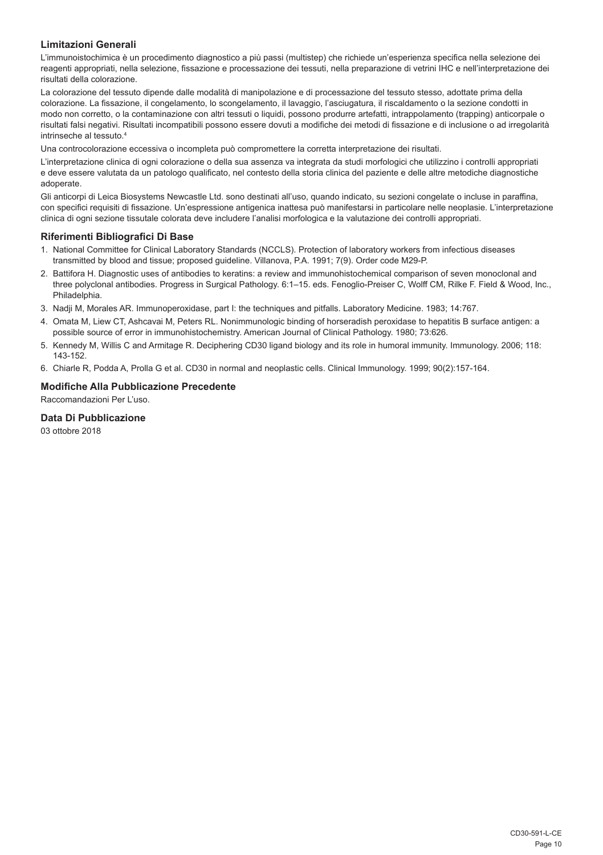# **Limitazioni Generali**

L'immunoistochimica è un procedimento diagnostico a più passi (multistep) che richiede un'esperienza specifica nella selezione dei reagenti appropriati, nella selezione, fissazione e processazione dei tessuti, nella preparazione di vetrini IHC e nell'interpretazione dei risultati della colorazione.

La colorazione del tessuto dipende dalle modalità di manipolazione e di processazione del tessuto stesso, adottate prima della colorazione. La fissazione, il congelamento, lo scongelamento, il lavaggio, l'asciugatura, il riscaldamento o la sezione condotti in modo non corretto, o la contaminazione con altri tessuti o liquidi, possono produrre artefatti, intrappolamento (trapping) anticorpale o risultati falsi negativi. Risultati incompatibili possono essere dovuti a modifiche dei metodi di fissazione e di inclusione o ad irregolarità intrinseche al tessuto.<sup>4</sup>

Una controcolorazione eccessiva o incompleta può compromettere la corretta interpretazione dei risultati.

L'interpretazione clinica di ogni colorazione o della sua assenza va integrata da studi morfologici che utilizzino i controlli appropriati e deve essere valutata da un patologo qualificato, nel contesto della storia clinica del paziente e delle altre metodiche diagnostiche adoperate.

Gli anticorpi di Leica Biosystems Newcastle Ltd. sono destinati all'uso, quando indicato, su sezioni congelate o incluse in paraffina, con specifici requisiti di fissazione. Un'espressione antigenica inattesa può manifestarsi in particolare nelle neoplasie. L'interpretazione clinica di ogni sezione tissutale colorata deve includere l'analisi morfologica e la valutazione dei controlli appropriati.

### **Riferimenti Bibliografici Di Base**

- 1. National Committee for Clinical Laboratory Standards (NCCLS). Protection of laboratory workers from infectious diseases transmitted by blood and tissue; proposed guideline. Villanova, P.A. 1991; 7(9). Order code M29-P.
- 2. Battifora H. Diagnostic uses of antibodies to keratins: a review and immunohistochemical comparison of seven monoclonal and three polyclonal antibodies. Progress in Surgical Pathology. 6:1–15. eds. Fenoglio-Preiser C, Wolff CM, Rilke F. Field & Wood, Inc., Philadelphia.
- 3. Nadji M, Morales AR. Immunoperoxidase, part I: the techniques and pitfalls. Laboratory Medicine. 1983; 14:767.
- 4. Omata M, Liew CT, Ashcavai M, Peters RL. Nonimmunologic binding of horseradish peroxidase to hepatitis B surface antigen: a possible source of error in immunohistochemistry. American Journal of Clinical Pathology. 1980; 73:626.
- 5. Kennedy M, Willis C and Armitage R. Deciphering CD30 ligand biology and its role in humoral immunity. Immunology. 2006; 118: 143-152.
- 6. Chiarle R, Podda A, Prolla G et al. CD30 in normal and neoplastic cells. Clinical Immunology. 1999; 90(2):157-164.

### **Modifiche Alla Pubblicazione Precedente**

Raccomandazioni Per L'uso.

# **Data Di Pubblicazione**

03 ottobre 2018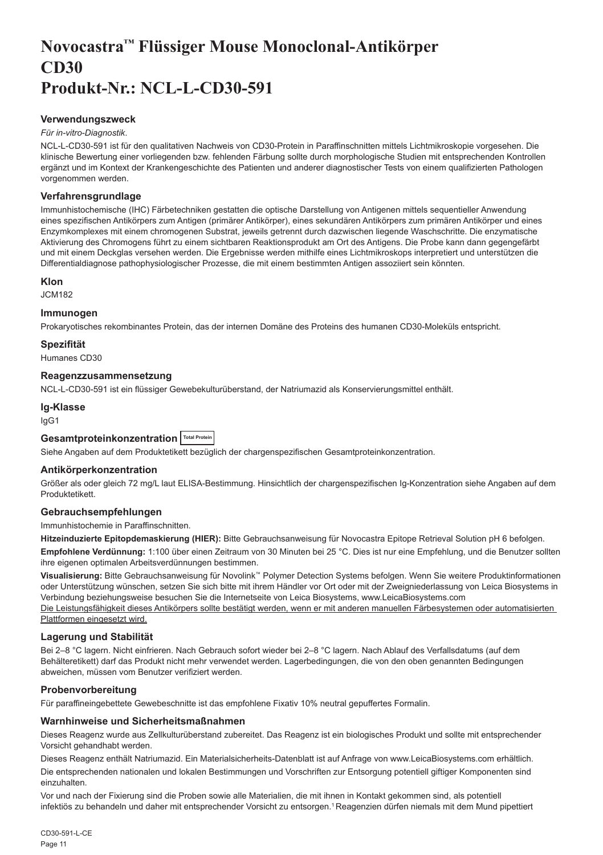# <span id="page-11-0"></span>**Novocastra™ Flüssiger Mouse Monoclonal-Antikörper CD30 Produkt-Nr.: NCL-L-CD30-591**

### **Verwendungszweck**

#### *Für in-vitro-Diagnostik*.

NCL-L-CD30-591 ist für den qualitativen Nachweis von CD30-Protein in Paraffinschnitten mittels Lichtmikroskopie vorgesehen. Die klinische Bewertung einer vorliegenden bzw. fehlenden Färbung sollte durch morphologische Studien mit entsprechenden Kontrollen ergänzt und im Kontext der Krankengeschichte des Patienten und anderer diagnostischer Tests von einem qualifizierten Pathologen vorgenommen werden.

### **Verfahrensgrundlage**

Immunhistochemische (IHC) Färbetechniken gestatten die optische Darstellung von Antigenen mittels sequentieller Anwendung eines spezifischen Antikörpers zum Antigen (primärer Antikörper), eines sekundären Antikörpers zum primären Antikörper und eines Enzymkomplexes mit einem chromogenen Substrat, jeweils getrennt durch dazwischen liegende Waschschritte. Die enzymatische Aktivierung des Chromogens führt zu einem sichtbaren Reaktionsprodukt am Ort des Antigens. Die Probe kann dann gegengefärbt und mit einem Deckglas versehen werden. Die Ergebnisse werden mithilfe eines Lichtmikroskops interpretiert und unterstützen die Differentialdiagnose pathophysiologischer Prozesse, die mit einem bestimmten Antigen assoziiert sein könnten.

#### **Klon**

JCM182

# **Immunogen**

Prokaryotisches rekombinantes Protein, das der internen Domäne des Proteins des humanen CD30-Moleküls entspricht.

#### **Spezifität**

Humanes CD30

#### **Reagenzzusammensetzung**

NCL-L-CD30-591 ist ein flüssiger Gewebekulturüberstand, der Natriumazid als Konservierungsmittel enthält.

# **Ig-Klasse**

IgG1

# Gesamtproteinkonzentration **Total Protein**

Siehe Angaben auf dem Produktetikett bezüglich der chargenspezifischen Gesamtproteinkonzentration.

### **Antikörperkonzentration**

Größer als oder gleich 72 mg/L laut ELISA-Bestimmung. Hinsichtlich der chargenspezifischen Ig-Konzentration siehe Angaben auf dem Produktetikett.

### **Gebrauchsempfehlungen**

Immunhistochemie in Paraffinschnitten.

**Hitzeinduzierte Epitopdemaskierung (HIER):** Bitte Gebrauchsanweisung für Novocastra Epitope Retrieval Solution pH 6 befolgen.

**Empfohlene Verdünnung:** 1:100 über einen Zeitraum von 30 Minuten bei 25 °C. Dies ist nur eine Empfehlung, und die Benutzer sollten ihre eigenen optimalen Arbeitsverdünnungen bestimmen.

**Visualisierung:** Bitte Gebrauchsanweisung für Novolink™ Polymer Detection Systems befolgen. Wenn Sie weitere Produktinformationen oder Unterstützung wünschen, setzen Sie sich bitte mit ihrem Händler vor Ort oder mit der Zweigniederlassung von Leica Biosystems in Verbindung beziehungsweise besuchen Sie die Internetseite von Leica Biosystems, www.LeicaBiosystems.com Die Leistungsfähigkeit dieses Antikörpers sollte bestätigt werden, wenn er mit anderen manuellen Färbesystemen oder automatisierten Plattformen eingesetzt wird.

### **Lagerung und Stabilität**

Bei 2–8 °C lagern. Nicht einfrieren. Nach Gebrauch sofort wieder bei 2–8 °C lagern. Nach Ablauf des Verfallsdatums (auf dem Behälteretikett) darf das Produkt nicht mehr verwendet werden. Lagerbedingungen, die von den oben genannten Bedingungen abweichen, müssen vom Benutzer verifiziert werden.

### **Probenvorbereitung**

Für paraffineingebettete Gewebeschnitte ist das empfohlene Fixativ 10% neutral gepuffertes Formalin.

### **Warnhinweise und Sicherheitsmaßnahmen**

Dieses Reagenz wurde aus Zellkulturüberstand zubereitet. Das Reagenz ist ein biologisches Produkt und sollte mit entsprechender Vorsicht gehandhabt werden.

Dieses Reagenz enthält Natriumazid. Ein Materialsicherheits-Datenblatt ist auf Anfrage von www.LeicaBiosystems.com erhältlich.

Die entsprechenden nationalen und lokalen Bestimmungen und Vorschriften zur Entsorgung potentiell giftiger Komponenten sind einzuhalten.

Vor und nach der Fixierung sind die Proben sowie alle Materialien, die mit ihnen in Kontakt gekommen sind, als potentiell infektiös zu behandeln und daher mit entsprechender Vorsicht zu entsorgen.1 Reagenzien dürfen niemals mit dem Mund pipettiert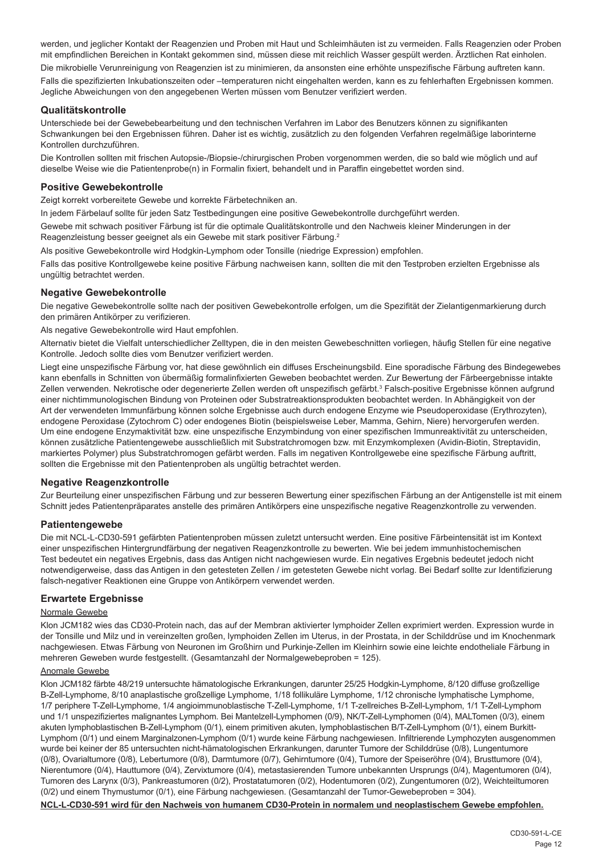werden, und jeglicher Kontakt der Reagenzien und Proben mit Haut und Schleimhäuten ist zu vermeiden. Falls Reagenzien oder Proben mit empfindlichen Bereichen in Kontakt gekommen sind, müssen diese mit reichlich Wasser gespült werden. Ärztlichen Rat einholen.

Die mikrobielle Verunreinigung von Reagenzien ist zu minimieren, da ansonsten eine erhöhte unspezifische Färbung auftreten kann. Falls die spezifizierten Inkubationszeiten oder –temperaturen nicht eingehalten werden, kann es zu fehlerhaften Ergebnissen kommen. Jegliche Abweichungen von den angegebenen Werten müssen vom Benutzer verifiziert werden.

#### **Qualitätskontrolle**

Unterschiede bei der Gewebebearbeitung und den technischen Verfahren im Labor des Benutzers können zu signifikanten Schwankungen bei den Ergebnissen führen. Daher ist es wichtig, zusätzlich zu den folgenden Verfahren regelmäßige laborinterne Kontrollen durchzuführen.

Die Kontrollen sollten mit frischen Autopsie-/Biopsie-/chirurgischen Proben vorgenommen werden, die so bald wie möglich und auf dieselbe Weise wie die Patientenprobe(n) in Formalin fixiert, behandelt und in Paraffin eingebettet worden sind.

#### **Positive Gewebekontrolle**

Zeigt korrekt vorbereitete Gewebe und korrekte Färbetechniken an.

In jedem Färbelauf sollte für jeden Satz Testbedingungen eine positive Gewebekontrolle durchgeführt werden.

Gewebe mit schwach positiver Färbung ist für die optimale Qualitätskontrolle und den Nachweis kleiner Minderungen in der Reagenzleistung besser geeignet als ein Gewebe mit stark positiver Färbung.<sup>2</sup>

Als positive Gewebekontrolle wird Hodgkin-Lymphom oder Tonsille (niedrige Expression) empfohlen.

Falls das positive Kontrollgewebe keine positive Färbung nachweisen kann, sollten die mit den Testproben erzielten Ergebnisse als ungültig betrachtet werden.

#### **Negative Gewebekontrolle**

Die negative Gewebekontrolle sollte nach der positiven Gewebekontrolle erfolgen, um die Spezifität der Zielantigenmarkierung durch den primären Antikörper zu verifizieren.

Als negative Gewebekontrolle wird Haut empfohlen.

Alternativ bietet die Vielfalt unterschiedlicher Zelltypen, die in den meisten Gewebeschnitten vorliegen, häufig Stellen für eine negative Kontrolle. Jedoch sollte dies vom Benutzer verifiziert werden.

Liegt eine unspezifische Färbung vor, hat diese gewöhnlich ein diffuses Erscheinungsbild. Eine sporadische Färbung des Bindegewebes kann ebenfalls in Schnitten von übermäßig formalinfixierten Geweben beobachtet werden. Zur Bewertung der Färbeergebnisse intakte Zellen verwenden. Nekrotische oder degenerierte Zellen werden oft unspezifisch gefärbt.<sup>3</sup> Falsch-positive Ergebnisse können aufgrund einer nichtimmunologischen Bindung von Proteinen oder Substratreaktionsprodukten beobachtet werden. In Abhängigkeit von der Art der verwendeten Immunfärbung können solche Ergebnisse auch durch endogene Enzyme wie Pseudoperoxidase (Erythrozyten), endogene Peroxidase (Zytochrom C) oder endogenes Biotin (beispielsweise Leber, Mamma, Gehirn, Niere) hervorgerufen werden. Um eine endogene Enzymaktivität bzw. eine unspezifische Enzymbindung von einer spezifischen Immunreaktivität zu unterscheiden, können zusätzliche Patientengewebe ausschließlich mit Substratchromogen bzw. mit Enzymkomplexen (Avidin-Biotin, Streptavidin, markiertes Polymer) plus Substratchromogen gefärbt werden. Falls im negativen Kontrollgewebe eine spezifische Färbung auftritt, sollten die Ergebnisse mit den Patientenproben als ungültig betrachtet werden.

#### **Negative Reagenzkontrolle**

Zur Beurteilung einer unspezifischen Färbung und zur besseren Bewertung einer spezifischen Färbung an der Antigenstelle ist mit einem Schnitt jedes Patientenpräparates anstelle des primären Antikörpers eine unspezifische negative Reagenzkontrolle zu verwenden.

#### **Patientengewebe**

Die mit NCL-L-CD30-591 gefärbten Patientenproben müssen zuletzt untersucht werden. Eine positive Färbeintensität ist im Kontext einer unspezifischen Hintergrundfärbung der negativen Reagenzkontrolle zu bewerten. Wie bei jedem immunhistochemischen Test bedeutet ein negatives Ergebnis, dass das Antigen nicht nachgewiesen wurde. Ein negatives Ergebnis bedeutet jedoch nicht notwendigerweise, dass das Antigen in den getesteten Zellen / im getesteten Gewebe nicht vorlag. Bei Bedarf sollte zur Identifizierung falsch-negativer Reaktionen eine Gruppe von Antikörpern verwendet werden.

## **Erwartete Ergebnisse**

#### Normale Gewebe

Klon JCM182 wies das CD30-Protein nach, das auf der Membran aktivierter lymphoider Zellen exprimiert werden. Expression wurde in der Tonsille und Milz und in vereinzelten großen, lymphoiden Zellen im Uterus, in der Prostata, in der Schilddrüse und im Knochenmark nachgewiesen. Etwas Färbung von Neuronen im Großhirn und Purkinje-Zellen im Kleinhirn sowie eine leichte endotheliale Färbung in mehreren Geweben wurde festgestellt. (Gesamtanzahl der Normalgewebeproben = 125).

### Anomale Gewebe

Klon JCM182 färbte 48/219 untersuchte hämatologische Erkrankungen, darunter 25/25 Hodgkin-Lymphome, 8/120 diffuse großzellige B-Zell-Lymphome, 8/10 anaplastische großzellige Lymphome, 1/18 follikuläre Lymphome, 1/12 chronische lymphatische Lymphome, 1/7 periphere T-Zell-Lymphome, 1/4 angioimmunoblastische T-Zell-Lymphome, 1/1 T-zellreiches B-Zell-Lymphom, 1/1 T-Zell-Lymphom und 1/1 unspezifiziertes malignantes Lymphom. Bei Mantelzell-Lymphomen (0/9), NK/T-Zell-Lymphomen (0/4), MALTomen (0/3), einem akuten lymphoblastischen B-Zell-Lymphom (0/1), einem primitiven akuten, lymphoblastischen B/T-Zell-Lymphom (0/1), einem Burkitt-Lymphom (0/1) und einem Marginalzonen-Lymphom (0/1) wurde keine Färbung nachgewiesen. Infiltrierende Lymphozyten ausgenommen wurde bei keiner der 85 untersuchten nicht-hämatologischen Erkrankungen, darunter Tumore der Schilddrüse (0/8), Lungentumore (0/8), Ovarialtumore (0/8), Lebertumore (0/8), Darmtumore (0/7), Gehirntumore (0/4), Tumore der Speiseröhre (0/4), Brusttumore (0/4), Nierentumore (0/4), Hauttumore (0/4), Zervixtumore (0/4), metastasierenden Tumore unbekannten Ursprungs (0/4), Magentumoren (0/4), Tumoren des Larynx (0/3), Pankreastumoren (0/2), Prostatatumoren (0/2), Hodentumoren (0/2), Zungentumoren (0/2), Weichteiltumoren (0/2) und einem Thymustumor (0/1), eine Färbung nachgewiesen. (Gesamtanzahl der Tumor-Gewebeproben = 304).

**NCL-L-CD30-591 wird für den Nachweis von humanem CD30-Protein in normalem und neoplastischem Gewebe empfohlen.**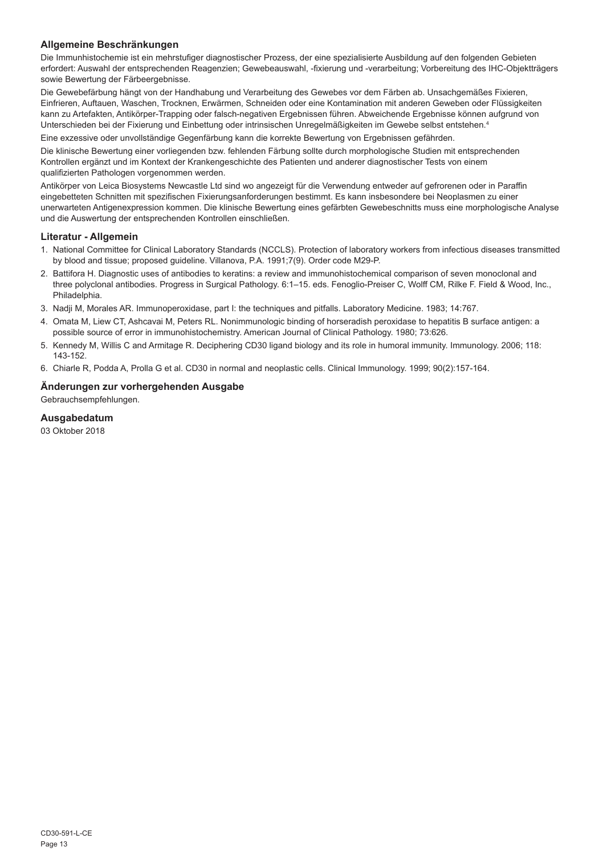# **Allgemeine Beschränkungen**

Die Immunhistochemie ist ein mehrstufiger diagnostischer Prozess, der eine spezialisierte Ausbildung auf den folgenden Gebieten erfordert: Auswahl der entsprechenden Reagenzien; Gewebeauswahl, -fixierung und -verarbeitung; Vorbereitung des IHC-Objektträgers sowie Bewertung der Färbeergebnisse.

Die Gewebefärbung hängt von der Handhabung und Verarbeitung des Gewebes vor dem Färben ab. Unsachgemäßes Fixieren, Einfrieren, Auftauen, Waschen, Trocknen, Erwärmen, Schneiden oder eine Kontamination mit anderen Geweben oder Flüssigkeiten kann zu Artefakten, Antikörper-Trapping oder falsch-negativen Ergebnissen führen. Abweichende Ergebnisse können aufgrund von Unterschieden bei der Fixierung und Einbettung oder intrinsischen Unregelmäßigkeiten im Gewebe selbst entstehen.<sup>4</sup>

Eine exzessive oder unvollständige Gegenfärbung kann die korrekte Bewertung von Ergebnissen gefährden.

Die klinische Bewertung einer vorliegenden bzw. fehlenden Färbung sollte durch morphologische Studien mit entsprechenden Kontrollen ergänzt und im Kontext der Krankengeschichte des Patienten und anderer diagnostischer Tests von einem qualifizierten Pathologen vorgenommen werden.

Antikörper von Leica Biosystems Newcastle Ltd sind wo angezeigt für die Verwendung entweder auf gefrorenen oder in Paraffin eingebetteten Schnitten mit spezifischen Fixierungsanforderungen bestimmt. Es kann insbesondere bei Neoplasmen zu einer unerwarteten Antigenexpression kommen. Die klinische Bewertung eines gefärbten Gewebeschnitts muss eine morphologische Analyse und die Auswertung der entsprechenden Kontrollen einschließen.

### **Literatur - Allgemein**

- 1. National Committee for Clinical Laboratory Standards (NCCLS). Protection of laboratory workers from infectious diseases transmitted by blood and tissue; proposed guideline. Villanova, P.A. 1991;7(9). Order code M29-P.
- 2. Battifora H. Diagnostic uses of antibodies to keratins: a review and immunohistochemical comparison of seven monoclonal and three polyclonal antibodies. Progress in Surgical Pathology. 6:1–15. eds. Fenoglio-Preiser C, Wolff CM, Rilke F. Field & Wood, Inc., Philadelphia.
- 3. Nadji M, Morales AR. Immunoperoxidase, part I: the techniques and pitfalls. Laboratory Medicine. 1983; 14:767.
- 4. Omata M, Liew CT, Ashcavai M, Peters RL. Nonimmunologic binding of horseradish peroxidase to hepatitis B surface antigen: a possible source of error in immunohistochemistry. American Journal of Clinical Pathology. 1980; 73:626.
- 5. Kennedy M, Willis C and Armitage R. Deciphering CD30 ligand biology and its role in humoral immunity. Immunology. 2006; 118: 143-152.
- 6. Chiarle R, Podda A, Prolla G et al. CD30 in normal and neoplastic cells. Clinical Immunology. 1999; 90(2):157-164.

#### **Änderungen zur vorhergehenden Ausgabe**

Gebrauchsempfehlungen.

# **Ausgabedatum**

03 Oktober 2018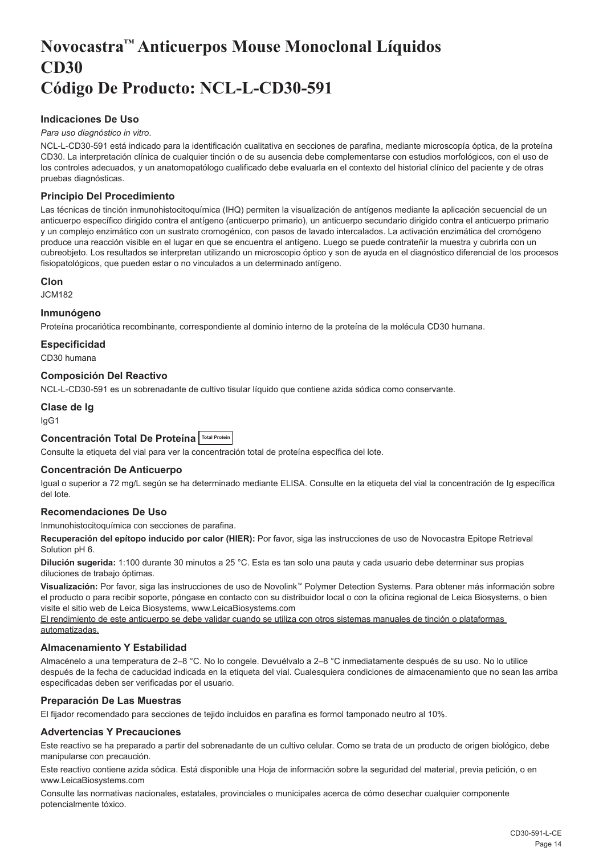# <span id="page-14-0"></span>**Novocastra™ Anticuerpos Mouse Monoclonal Líquidos CD30 Código De Producto: NCL-L-CD30-591**

# **Indicaciones De Uso**

#### *Para uso diagnóstico in vitro*.

NCL-L-CD30-591 está indicado para la identificación cualitativa en secciones de parafina, mediante microscopía óptica, de la proteína CD30. La interpretación clínica de cualquier tinción o de su ausencia debe complementarse con estudios morfológicos, con el uso de los controles adecuados, y un anatomopatólogo cualificado debe evaluarla en el contexto del historial clínico del paciente y de otras pruebas diagnósticas.

# **Principio Del Procedimiento**

Las técnicas de tinción inmunohistocitoquímica (IHQ) permiten la visualización de antígenos mediante la aplicación secuencial de un anticuerpo específico dirigido contra el antígeno (anticuerpo primario), un anticuerpo secundario dirigido contra el anticuerpo primario y un complejo enzimático con un sustrato cromogénico, con pasos de lavado intercalados. La activación enzimática del cromógeno produce una reacción visible en el lugar en que se encuentra el antígeno. Luego se puede contrateñir la muestra y cubrirla con un cubreobjeto. Los resultados se interpretan utilizando un microscopio óptico y son de ayuda en el diagnóstico diferencial de los procesos fisiopatológicos, que pueden estar o no vinculados a un determinado antígeno.

#### **Clon**

JCM182

#### **Inmunógeno**

Proteína procariótica recombinante, correspondiente al dominio interno de la proteína de la molécula CD30 humana.

### **Especificidad**

CD30 humana

#### **Composición Del Reactivo**

NCL-L-CD30-591 es un sobrenadante de cultivo tisular líquido que contiene azida sódica como conservante.

# **Clase de Ig**

IgG1

# **Concentración Total De Proteína Total Protein**

Consulte la etiqueta del vial para ver la concentración total de proteína específica del lote.

### **Concentración De Anticuerpo**

Igual o superior a 72 mg/L según se ha determinado mediante ELISA. Consulte en la etiqueta del vial la concentración de Ig específica del lote.

# **Recomendaciones De Uso**

Inmunohistocitoquímica con secciones de parafina.

**Recuperación del epítopo inducido por calor (HIER):** Por favor, siga las instrucciones de uso de Novocastra Epitope Retrieval Solution pH 6.

**Dilución sugerida:** 1:100 durante 30 minutos a 25 °C. Esta es tan solo una pauta y cada usuario debe determinar sus propias diluciones de trabajo óptimas.

**Visualización:** Por favor, siga las instrucciones de uso de Novolink™ Polymer Detection Systems. Para obtener más información sobre el producto o para recibir soporte, póngase en contacto con su distribuidor local o con la oficina regional de Leica Biosystems, o bien visite el sitio web de Leica Biosystems, www.LeicaBiosystems.com

El rendimiento de este anticuerpo se debe validar cuando se utiliza con otros sistemas manuales de tinción o plataformas automatizadas.

### **Almacenamiento Y Estabilidad**

Almacénelo a una temperatura de 2–8 °C. No lo congele. Devuélvalo a 2–8 °C inmediatamente después de su uso. No lo utilice después de la fecha de caducidad indicada en la etiqueta del vial. Cualesquiera condiciones de almacenamiento que no sean las arriba especificadas deben ser verificadas por el usuario.

### **Preparación De Las Muestras**

El fijador recomendado para secciones de tejido incluidos en parafina es formol tamponado neutro al 10%.

### **Advertencias Y Precauciones**

Este reactivo se ha preparado a partir del sobrenadante de un cultivo celular. Como se trata de un producto de origen biológico, debe manipularse con precaución.

Este reactivo contiene azida sódica. Está disponible una Hoja de información sobre la seguridad del material, previa petición, o en www.LeicaBiosystems.com

Consulte las normativas nacionales, estatales, provinciales o municipales acerca de cómo desechar cualquier componente potencialmente tóxico.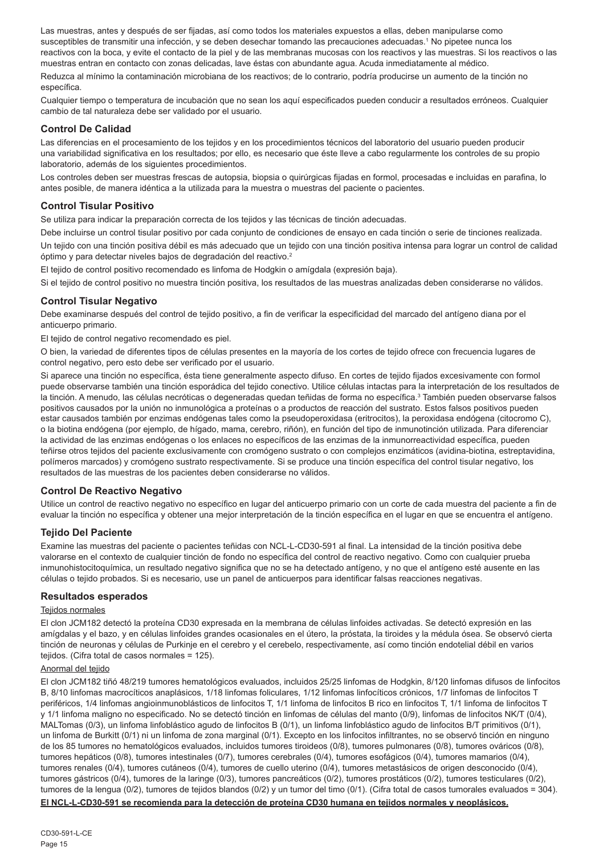Las muestras, antes y después de ser fijadas, así como todos los materiales expuestos a ellas, deben manipularse como susceptibles de transmitir una infección, y se deben desechar tomando las precauciones adecuadas.<sup>1</sup> No pipetee nunca los reactivos con la boca, y evite el contacto de la piel y de las membranas mucosas con los reactivos y las muestras. Si los reactivos o las muestras entran en contacto con zonas delicadas, lave éstas con abundante agua. Acuda inmediatamente al médico.

Reduzca al mínimo la contaminación microbiana de los reactivos; de lo contrario, podría producirse un aumento de la tinción no específica.

Cualquier tiempo o temperatura de incubación que no sean los aquí especificados pueden conducir a resultados erróneos. Cualquier cambio de tal naturaleza debe ser validado por el usuario.

### **Control De Calidad**

Las diferencias en el procesamiento de los tejidos y en los procedimientos técnicos del laboratorio del usuario pueden producir una variabilidad significativa en los resultados; por ello, es necesario que éste lleve a cabo regularmente los controles de su propio laboratorio, además de los siguientes procedimientos.

Los controles deben ser muestras frescas de autopsia, biopsia o quirúrgicas fijadas en formol, procesadas e incluidas en parafina, lo antes posible, de manera idéntica a la utilizada para la muestra o muestras del paciente o pacientes.

# **Control Tisular Positivo**

Se utiliza para indicar la preparación correcta de los tejidos y las técnicas de tinción adecuadas.

Debe incluirse un control tisular positivo por cada conjunto de condiciones de ensayo en cada tinción o serie de tinciones realizada. Un tejido con una tinción positiva débil es más adecuado que un tejido con una tinción positiva intensa para lograr un control de calidad óptimo y para detectar niveles bajos de degradación del reactivo.<sup>2</sup>

El tejido de control positivo recomendado es linfoma de Hodgkin o amígdala (expresión baja).

Si el tejido de control positivo no muestra tinción positiva, los resultados de las muestras analizadas deben considerarse no válidos.

#### **Control Tisular Negativo**

Debe examinarse después del control de tejido positivo, a fin de verificar la especificidad del marcado del antígeno diana por el anticuerpo primario.

El tejido de control negativo recomendado es piel.

O bien, la variedad de diferentes tipos de células presentes en la mayoría de los cortes de tejido ofrece con frecuencia lugares de control negativo, pero esto debe ser verificado por el usuario.

Si aparece una tinción no específica, ésta tiene generalmente aspecto difuso. En cortes de tejido fijados excesivamente con formol puede observarse también una tinción esporádica del tejido conectivo. Utilice células intactas para la interpretación de los resultados de la tinción. A menudo, las células necróticas o degeneradas quedan teñidas de forma no específica.<sup>3</sup> También pueden observarse falsos positivos causados por la unión no inmunológica a proteínas o a productos de reacción del sustrato. Estos falsos positivos pueden estar causados también por enzimas endógenas tales como la pseudoperoxidasa (eritrocitos), la peroxidasa endógena (citocromo C), o la biotina endógena (por ejemplo, de hígado, mama, cerebro, riñón), en función del tipo de inmunotinción utilizada. Para diferenciar la actividad de las enzimas endógenas o los enlaces no específicos de las enzimas de la inmunorreactividad específica, pueden teñirse otros tejidos del paciente exclusivamente con cromógeno sustrato o con complejos enzimáticos (avidina-biotina, estreptavidina, polímeros marcados) y cromógeno sustrato respectivamente. Si se produce una tinción específica del control tisular negativo, los resultados de las muestras de los pacientes deben considerarse no válidos.

## **Control De Reactivo Negativo**

Utilice un control de reactivo negativo no específico en lugar del anticuerpo primario con un corte de cada muestra del paciente a fin de evaluar la tinción no específica y obtener una mejor interpretación de la tinción específica en el lugar en que se encuentra el antígeno.

#### **Tejido Del Paciente**

Examine las muestras del paciente o pacientes teñidas con NCL-L-CD30-591 al final. La intensidad de la tinción positiva debe valorarse en el contexto de cualquier tinción de fondo no específica del control de reactivo negativo. Como con cualquier prueba inmunohistocitoquímica, un resultado negativo significa que no se ha detectado antígeno, y no que el antígeno esté ausente en las células o tejido probados. Si es necesario, use un panel de anticuerpos para identificar falsas reacciones negativas.

# **Resultados esperados**

#### Tejidos normales

El clon JCM182 detectó la proteína CD30 expresada en la membrana de células linfoides activadas. Se detectó expresión en las amígdalas y el bazo, y en células linfoides grandes ocasionales en el útero, la próstata, la tiroides y la médula ósea. Se observó cierta tinción de neuronas y células de Purkinje en el cerebro y el cerebelo, respectivamente, así como tinción endotelial débil en varios tejidos. (Cifra total de casos normales = 125).

#### Anormal del tejido

El clon JCM182 tiñó 48/219 tumores hematológicos evaluados, incluidos 25/25 linfomas de Hodgkin, 8/120 linfomas difusos de linfocitos B, 8/10 linfomas macrocíticos anaplásicos, 1/18 linfomas foliculares, 1/12 linfomas linfocíticos crónicos, 1/7 linfomas de linfocitos T periféricos, 1/4 linfomas angioinmunoblásticos de linfocitos T, 1/1 linfoma de linfocitos B rico en linfocitos T, 1/1 linfoma de linfocitos T y 1/1 linfoma maligno no especificado. No se detectó tinción en linfomas de células del manto (0/9), linfomas de linfocitos NK/T (0/4), MALTomas (0/3), un linfoma linfoblástico agudo de linfocitos B (0/1), un linfoma linfoblástico agudo de linfocitos B/T primitivos (0/1), un linfoma de Burkitt (0/1) ni un linfoma de zona marginal (0/1). Excepto en los linfocitos infiltrantes, no se observó tinción en ninguno de los 85 tumores no hematológicos evaluados, incluidos tumores tiroideos (0/8), tumores pulmonares (0/8), tumores ováricos (0/8), tumores hepáticos (0/8), tumores intestinales (0/7), tumores cerebrales (0/4), tumores esofágicos (0/4), tumores mamarios (0/4), tumores renales (0/4), tumores cutáneos (0/4), tumores de cuello uterino (0/4), tumores metastásicos de origen desconocido (0/4), tumores gástricos (0/4), tumores de la laringe (0/3), tumores pancreáticos (0/2), tumores prostáticos (0/2), tumores testiculares (0/2), tumores de la lengua (0/2), tumores de tejidos blandos (0/2) y un tumor del timo (0/1). (Cifra total de casos tumorales evaluados = 304). **El NCL-L-CD30-591 se recomienda para la detección de proteína CD30 humana en tejidos normales y neoplásicos.**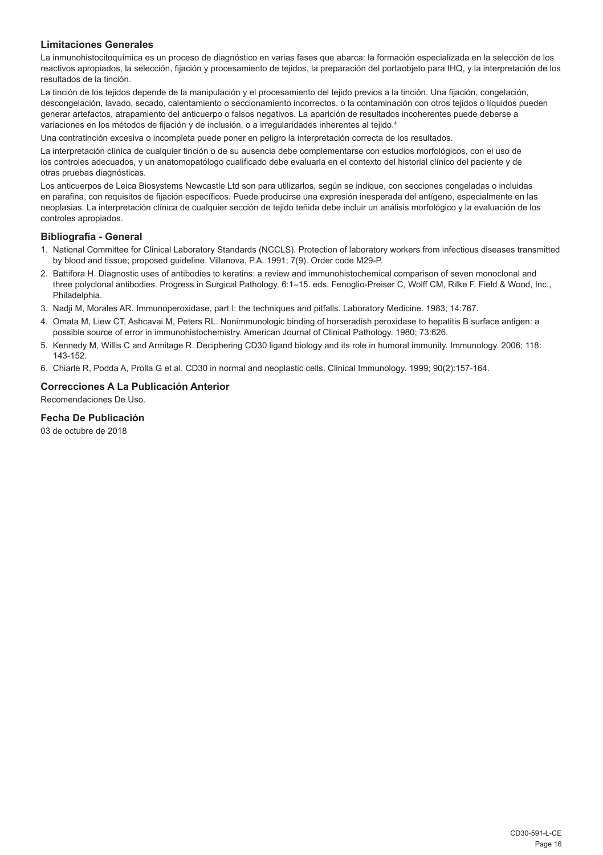# **Limitaciones Generales**

La inmunohistocitoquímica es un proceso de diagnóstico en varias fases que abarca: la formación especializada en la selección de los reactivos apropiados, la selección, fijación y procesamiento de tejidos, la preparación del portaobjeto para IHQ, y la interpretación de los resultados de la tinción.

La tinción de los tejidos depende de la manipulación y el procesamiento del tejido previos a la tinción. Una fijación, congelación, descongelación, lavado, secado, calentamiento o seccionamiento incorrectos, o la contaminación con otros tejidos o líquidos pueden generar artefactos, atrapamiento del anticuerpo o falsos negativos. La aparición de resultados incoherentes puede deberse a variaciones en los métodos de fijación y de inclusión, o a irregularidades inherentes al tejido.<sup>4</sup>

Una contratinción excesiva o incompleta puede poner en peligro la interpretación correcta de los resultados.

La interpretación clínica de cualquier tinción o de su ausencia debe complementarse con estudios morfológicos, con el uso de los controles adecuados, y un anatomopatólogo cualificado debe evaluarla en el contexto del historial clínico del paciente y de otras pruebas diagnósticas.

Los anticuerpos de Leica Biosystems Newcastle Ltd son para utilizarlos, según se indique, con secciones congeladas o incluidas en parafina, con requisitos de fijación específicos. Puede producirse una expresión inesperada del antígeno, especialmente en las neoplasias. La interpretación clínica de cualquier sección de tejido teñida debe incluir un análisis morfológico y la evaluación de los controles apropiados.

#### **Bibliografía - General**

- 1. National Committee for Clinical Laboratory Standards (NCCLS). Protection of laboratory workers from infectious diseases transmitted by blood and tissue; proposed guideline. Villanova, P.A. 1991; 7(9). Order code M29-P.
- 2. Battifora H. Diagnostic uses of antibodies to keratins: a review and immunohistochemical comparison of seven monoclonal and three polyclonal antibodies. Progress in Surgical Pathology. 6:1–15. eds. Fenoglio-Preiser C, Wolff CM, Rilke F. Field & Wood, Inc., Philadelphia.
- 3. Nadji M, Morales AR. Immunoperoxidase, part I: the techniques and pitfalls. Laboratory Medicine. 1983; 14:767.
- 4. Omata M, Liew CT, Ashcavai M, Peters RL. Nonimmunologic binding of horseradish peroxidase to hepatitis B surface antigen: a possible source of error in immunohistochemistry. American Journal of Clinical Pathology. 1980; 73:626.
- 5. Kennedy M, Willis C and Armitage R. Deciphering CD30 ligand biology and its role in humoral immunity. Immunology. 2006; 118: 143-152.
- 6. Chiarle R, Podda A, Prolla G et al. CD30 in normal and neoplastic cells. Clinical Immunology. 1999; 90(2):157-164.

## **Correcciones A La Publicación Anterior**

Recomendaciones De Uso.

# **Fecha De Publicación**

03 de octubre de 2018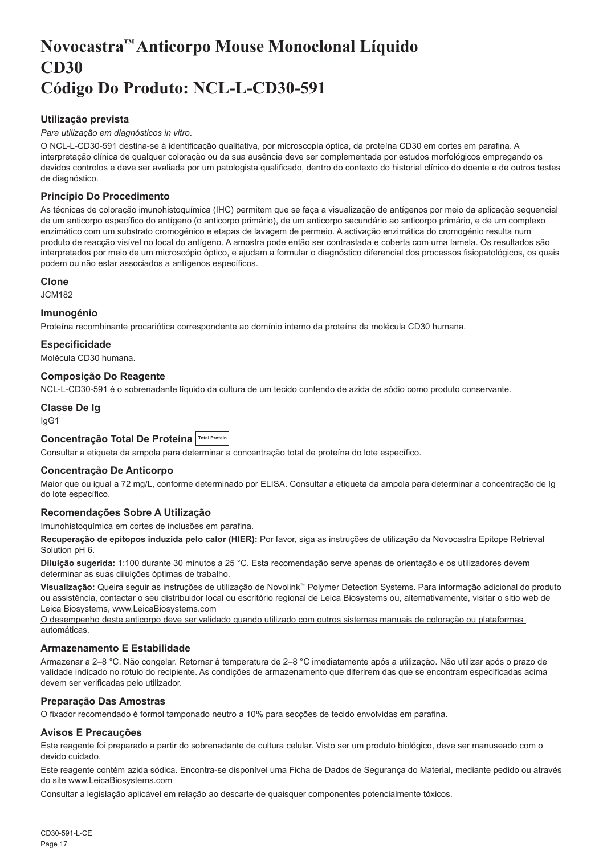# <span id="page-17-0"></span>**Novocastra™ Anticorpo Mouse Monoclonal Líquido CD30 Código Do Produto: NCL-L-CD30-591**

# **Utilização prevista**

#### *Para utilização em diagnósticos in vitro*.

O NCL-L-CD30-591 destina-se à identificação qualitativa, por microscopia óptica, da proteína CD30 em cortes em parafina. A interpretação clínica de qualquer coloração ou da sua ausência deve ser complementada por estudos morfológicos empregando os devidos controlos e deve ser avaliada por um patologista qualificado, dentro do contexto do historial clínico do doente e de outros testes de diagnóstico.

### **Princípio Do Procedimento**

As técnicas de coloração imunohistoquímica (IHC) permitem que se faça a visualização de antígenos por meio da aplicação sequencial de um anticorpo específico do antígeno (o anticorpo primário), de um anticorpo secundário ao anticorpo primário, e de um complexo enzimático com um substrato cromogénico e etapas de lavagem de permeio. A activação enzimática do cromogénio resulta num produto de reacção visível no local do antígeno. A amostra pode então ser contrastada e coberta com uma lamela. Os resultados são interpretados por meio de um microscópio óptico, e ajudam a formular o diagnóstico diferencial dos processos fisiopatológicos, os quais podem ou não estar associados a antígenos específicos.

#### **Clone**

JCM182

## **Imunogénio**

Proteína recombinante procariótica correspondente ao domínio interno da proteína da molécula CD30 humana.

### **Especificidade**

Molécula CD30 humana.

#### **Composição Do Reagente**

NCL-L-CD30-591 é o sobrenadante líquido da cultura de um tecido contendo de azida de sódio como produto conservante.

### **Classe De Ig**

IgG1

# **Concentração Total De Proteína Total Protein**

Consultar a etiqueta da ampola para determinar a concentração total de proteína do lote específico.

### **Concentração De Anticorpo**

Maior que ou igual a 72 mg/L, conforme determinado por ELISA. Consultar a etiqueta da ampola para determinar a concentração de Ig do lote específico.

### **Recomendações Sobre A Utilização**

Imunohistoquímica em cortes de inclusões em parafina.

**Recuperação de epítopos induzida pelo calor (HIER):** Por favor, siga as instruções de utilização da Novocastra Epitope Retrieval Solution pH 6.

**Diluição sugerida:** 1:100 durante 30 minutos a 25 °C. Esta recomendação serve apenas de orientação e os utilizadores devem determinar as suas diluições óptimas de trabalho.

**Visualização:** Queira seguir as instruções de utilização de Novolink™ Polymer Detection Systems. Para informação adicional do produto ou assistência, contactar o seu distribuidor local ou escritório regional de Leica Biosystems ou, alternativamente, visitar o sitio web de Leica Biosystems, www.LeicaBiosystems.com

O desempenho deste anticorpo deve ser validado quando utilizado com outros sistemas manuais de coloração ou plataformas automáticas.

### **Armazenamento E Estabilidade**

Armazenar a 2–8 °C. Não congelar. Retornar à temperatura de 2–8 °C imediatamente após a utilização. Não utilizar após o prazo de validade indicado no rótulo do recipiente. As condições de armazenamento que diferirem das que se encontram especificadas acima devem ser verificadas pelo utilizador.

### **Preparação Das Amostras**

O fixador recomendado é formol tamponado neutro a 10% para secções de tecido envolvidas em parafina.

### **Avisos E Precauções**

Este reagente foi preparado a partir do sobrenadante de cultura celular. Visto ser um produto biológico, deve ser manuseado com o devido cuidado.

Este reagente contém azida sódica. Encontra-se disponível uma Ficha de Dados de Segurança do Material, mediante pedido ou através do site www.LeicaBiosystems.com

Consultar a legislação aplicável em relação ao descarte de quaisquer componentes potencialmente tóxicos.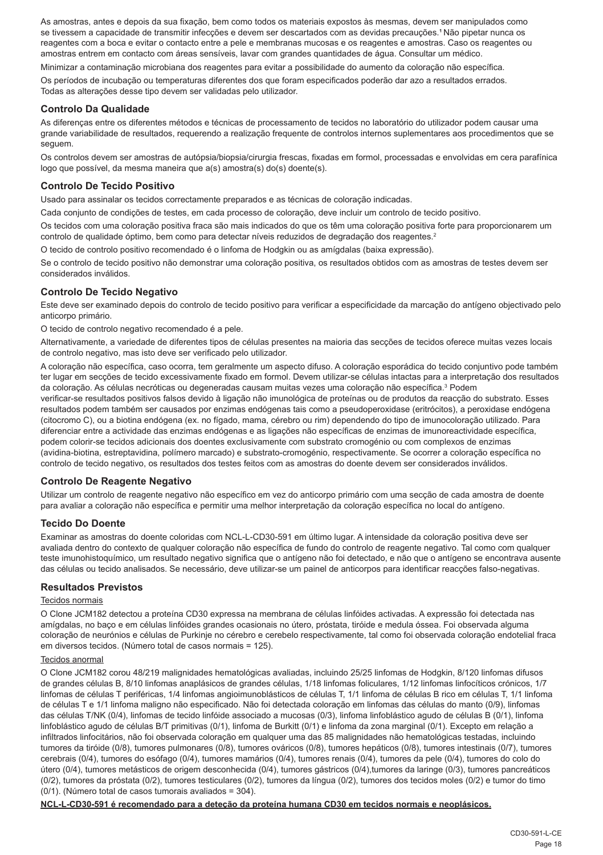As amostras, antes e depois da sua fixação, bem como todos os materiais expostos às mesmas, devem ser manipulados como se tivessem a capacidade de transmitir infecções e devem ser descartados com as devidas precauções.<sup>1</sup> Não pipetar nunca os reagentes com a boca e evitar o contacto entre a pele e membranas mucosas e os reagentes e amostras. Caso os reagentes ou amostras entrem em contacto com áreas sensíveis, lavar com grandes quantidades de água. Consultar um médico.

Minimizar a contaminação microbiana dos reagentes para evitar a possibilidade do aumento da coloração não específica. Os períodos de incubação ou temperaturas diferentes dos que foram especificados poderão dar azo a resultados errados. Todas as alterações desse tipo devem ser validadas pelo utilizador.

## **Controlo Da Qualidade**

As diferenças entre os diferentes métodos e técnicas de processamento de tecidos no laboratório do utilizador podem causar uma grande variabilidade de resultados, requerendo a realização frequente de controlos internos suplementares aos procedimentos que se seguem.

Os controlos devem ser amostras de autópsia/biopsia/cirurgia frescas, fixadas em formol, processadas e envolvidas em cera parafínica logo que possível, da mesma maneira que a(s) amostra(s) do(s) doente(s).

# **Controlo De Tecido Positivo**

Usado para assinalar os tecidos correctamente preparados e as técnicas de coloração indicadas.

Cada conjunto de condições de testes, em cada processo de coloração, deve incluir um controlo de tecido positivo.

Os tecidos com uma coloração positiva fraca são mais indicados do que os têm uma coloração positiva forte para proporcionarem um controlo de qualidade óptimo, bem como para detectar níveis reduzidos de degradação dos reagentes.<sup>2</sup>

O tecido de controlo positivo recomendado é o linfoma de Hodgkin ou as amígdalas (baixa expressão).

Se o controlo de tecido positivo não demonstrar uma coloração positiva, os resultados obtidos com as amostras de testes devem ser considerados inválidos.

# **Controlo De Tecido Negativo**

Este deve ser examinado depois do controlo de tecido positivo para verificar a especificidade da marcação do antígeno objectivado pelo anticorpo primário.

O tecido de controlo negativo recomendado é a pele.

Alternativamente, a variedade de diferentes tipos de células presentes na maioria das secções de tecidos oferece muitas vezes locais de controlo negativo, mas isto deve ser verificado pelo utilizador.

A coloração não específica, caso ocorra, tem geralmente um aspecto difuso. A coloração esporádica do tecido conjuntivo pode também ter lugar em secções de tecido excessivamente fixado em formol. Devem utilizar-se células intactas para a interpretação dos resultados da coloração. As células necróticas ou degeneradas causam muitas vezes uma coloração não específica.<sup>3</sup> Podem verificar-se resultados positivos falsos devido à ligação não imunológica de proteínas ou de produtos da reacção do substrato. Esses resultados podem também ser causados por enzimas endógenas tais como a pseudoperoxidase (eritrócitos), a peroxidase endógena (citocromo C), ou a biotina endógena (ex. no fígado, mama, cérebro ou rim) dependendo do tipo de imunocoloração utilizado. Para diferenciar entre a actividade das enzimas endógenas e as ligações não específicas de enzimas de imunoreactividade específica, podem colorir-se tecidos adicionais dos doentes exclusivamente com substrato cromogénio ou com complexos de enzimas (avidina-biotina, estreptavidina, polímero marcado) e substrato-cromogénio, respectivamente. Se ocorrer a coloração específica no controlo de tecido negativo, os resultados dos testes feitos com as amostras do doente devem ser considerados inválidos.

### **Controlo De Reagente Negativo**

Utilizar um controlo de reagente negativo não específico em vez do anticorpo primário com uma secção de cada amostra de doente para avaliar a coloração não específica e permitir uma melhor interpretação da coloração específica no local do antígeno.

### **Tecido Do Doente**

Examinar as amostras do doente coloridas com NCL-L-CD30-591 em último lugar. A intensidade da coloração positiva deve ser avaliada dentro do contexto de qualquer coloração não específica de fundo do controlo de reagente negativo. Tal como com qualquer teste imunohistoquímico, um resultado negativo significa que o antígeno não foi detectado, e não que o antígeno se encontrava ausente das células ou tecido analisados. Se necessário, deve utilizar-se um painel de anticorpos para identificar reacções falso-negativas.

### **Resultados Previstos**

#### Tecidos normais

O Clone JCM182 detectou a proteína CD30 expressa na membrana de células linfóides activadas. A expressão foi detectada nas amígdalas, no baço e em células linfóides grandes ocasionais no útero, próstata, tiróide e medula óssea. Foi observada alguma coloração de neurónios e células de Purkinje no cérebro e cerebelo respectivamente, tal como foi observada coloração endotelial fraca em diversos tecidos. (Número total de casos normais = 125).

#### Tecidos anormal

O Clone JCM182 corou 48/219 malignidades hematológicas avaliadas, incluindo 25/25 linfomas de Hodgkin, 8/120 linfomas difusos de grandes células B, 8/10 linfomas anaplásicos de grandes células, 1/18 linfomas foliculares, 1/12 linfomas linfocíticos crónicos, 1/7 linfomas de células T periféricas, 1/4 linfomas angioimunoblásticos de células T, 1/1 linfoma de células B rico em células T, 1/1 linfoma de células T e 1/1 linfoma maligno não especificado. Não foi detectada coloração em linfomas das células do manto (0/9), linfomas das células T/NK (0/4), linfomas de tecido linfóide associado a mucosas (0/3), linfoma linfoblástico agudo de células B (0/1), linfoma linfoblástico agudo de células B/T primitivas (0/1), linfoma de Burkitt (0/1) e linfoma da zona marginal (0/1). Excepto em relação a infiltrados linfocitários, não foi observada coloração em qualquer uma das 85 malignidades não hematológicas testadas, incluindo tumores da tiróide (0/8), tumores pulmonares (0/8), tumores ováricos (0/8), tumores hepáticos (0/8), tumores intestinais (0/7), tumores cerebrais (0/4), tumores do esófago (0/4), tumores mamários (0/4), tumores renais (0/4), tumores da pele (0/4), tumores do colo do útero (0/4), tumores metásticos de origem desconhecida (0/4), tumores gástricos (0/4),tumores da laringe (0/3), tumores pancreáticos (0/2), tumores da próstata (0/2), tumores testiculares (0/2), tumores da língua (0/2), tumores dos tecidos moles (0/2) e tumor do timo (0/1). (Número total de casos tumorais avaliados = 304).

**NCL-L-CD30-591 é recomendado para a deteção da proteína humana CD30 em tecidos normais e neoplásicos.**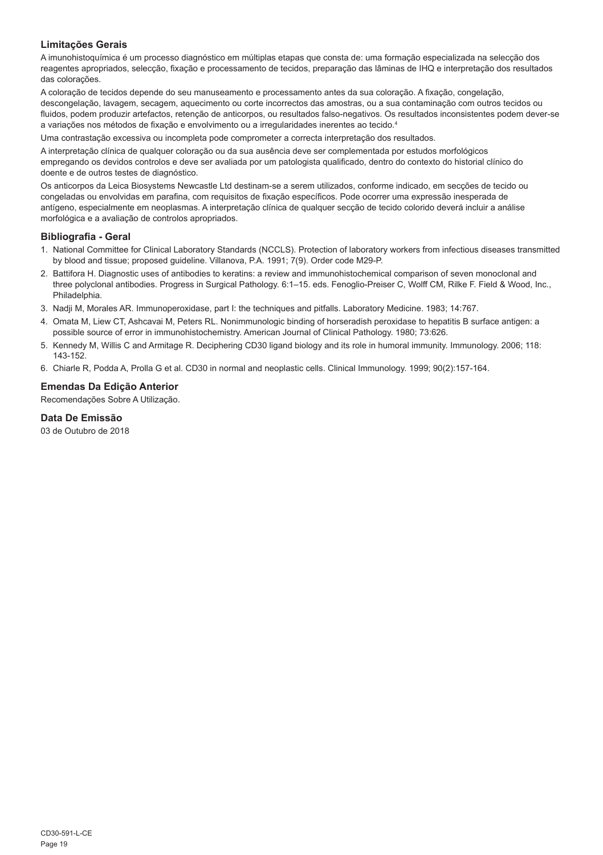# **Limitações Gerais**

A imunohistoquímica é um processo diagnóstico em múltiplas etapas que consta de: uma formação especializada na selecção dos reagentes apropriados, selecção, fixação e processamento de tecidos, preparação das lâminas de IHQ e interpretação dos resultados das colorações.

A coloração de tecidos depende do seu manuseamento e processamento antes da sua coloração. A fixação, congelação, descongelação, lavagem, secagem, aquecimento ou corte incorrectos das amostras, ou a sua contaminação com outros tecidos ou fluidos, podem produzir artefactos, retenção de anticorpos, ou resultados falso-negativos. Os resultados inconsistentes podem dever-se a variações nos métodos de fixação e envolvimento ou a irregularidades inerentes ao tecido.<sup>4</sup>

Uma contrastação excessiva ou incompleta pode comprometer a correcta interpretação dos resultados.

A interpretação clínica de qualquer coloração ou da sua ausência deve ser complementada por estudos morfológicos empregando os devidos controlos e deve ser avaliada por um patologista qualificado, dentro do contexto do historial clínico do doente e de outros testes de diagnóstico.

Os anticorpos da Leica Biosystems Newcastle Ltd destinam-se a serem utilizados, conforme indicado, em secções de tecido ou congeladas ou envolvidas em parafina, com requisitos de fixação específicos. Pode ocorrer uma expressão inesperada de antígeno, especialmente em neoplasmas. A interpretação clínica de qualquer secção de tecido colorido deverá incluir a análise morfológica e a avaliação de controlos apropriados.

#### **Bibliografia - Geral**

- 1. National Committee for Clinical Laboratory Standards (NCCLS). Protection of laboratory workers from infectious diseases transmitted by blood and tissue; proposed guideline. Villanova, P.A. 1991; 7(9). Order code M29-P.
- 2. Battifora H. Diagnostic uses of antibodies to keratins: a review and immunohistochemical comparison of seven monoclonal and three polyclonal antibodies. Progress in Surgical Pathology. 6:1–15. eds. Fenoglio-Preiser C, Wolff CM, Rilke F. Field & Wood, Inc., Philadelphia.
- 3. Nadji M, Morales AR. Immunoperoxidase, part I: the techniques and pitfalls. Laboratory Medicine. 1983; 14:767.
- 4. Omata M, Liew CT, Ashcavai M, Peters RL. Nonimmunologic binding of horseradish peroxidase to hepatitis B surface antigen: a possible source of error in immunohistochemistry. American Journal of Clinical Pathology. 1980; 73:626.
- 5. Kennedy M, Willis C and Armitage R. Deciphering CD30 ligand biology and its role in humoral immunity. Immunology. 2006; 118: 143-152.
- 6. Chiarle R, Podda A, Prolla G et al. CD30 in normal and neoplastic cells. Clinical Immunology. 1999; 90(2):157-164.

### **Emendas Da Edição Anterior**

Recomendações Sobre A Utilização.

# **Data De Emissão**

03 de Outubro de 2018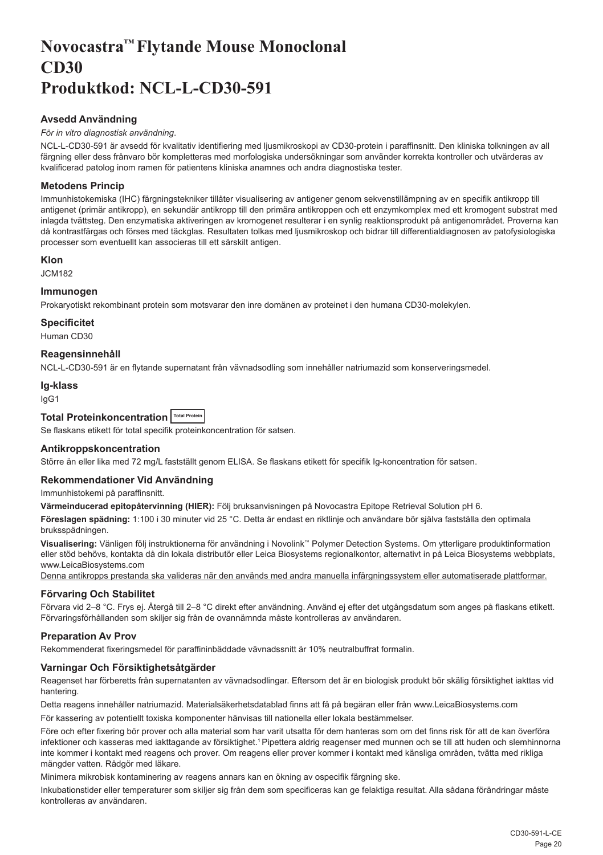# <span id="page-20-0"></span>**Novocastra™ Flytande Mouse Monoclonal CD30 Produktkod: NCL-L-CD30-591**

# **Avsedd Användning**

#### *För in vitro diagnostisk användning*.

NCL-L-CD30-591 är avsedd för kvalitativ identifiering med ljusmikroskopi av CD30-protein i paraffinsnitt. Den kliniska tolkningen av all färgning eller dess frånvaro bör kompletteras med morfologiska undersökningar som använder korrekta kontroller och utvärderas av kvalificerad patolog inom ramen för patientens kliniska anamnes och andra diagnostiska tester.

# **Metodens Princip**

Immunhistokemiska (IHC) färgningstekniker tillåter visualisering av antigener genom sekvenstillämpning av en specifik antikropp till antigenet (primär antikropp), en sekundär antikropp till den primära antikroppen och ett enzymkomplex med ett kromogent substrat med inlagda tvättsteg. Den enzymatiska aktiveringen av kromogenet resulterar i en synlig reaktionsprodukt på antigenområdet. Proverna kan då kontrastfärgas och förses med täckglas. Resultaten tolkas med ljusmikroskop och bidrar till differentialdiagnosen av patofysiologiska processer som eventuellt kan associeras till ett särskilt antigen.

### **Klon**

JCM182

### **Immunogen**

Prokaryotiskt rekombinant protein som motsvarar den inre domänen av proteinet i den humana CD30-molekylen.

# **Specificitet**

Human CD30

### **Reagensinnehåll**

NCL-L-CD30-591 är en flytande supernatant från vävnadsodling som innehåller natriumazid som konserveringsmedel.

#### **Ig-klass**

IgG1

# **Total Proteinkoncentration** Total Protein

Se flaskans etikett för total specifik proteinkoncentration för satsen.

### **Antikroppskoncentration**

Större än eller lika med 72 mg/L fastställt genom ELISA. Se flaskans etikett för specifik Ig-koncentration för satsen.

#### **Rekommendationer Vid Användning**

Immunhistokemi på paraffinsnitt.

**Värmeinducerad epitopåtervinning (HIER):** Följ bruksanvisningen på Novocastra Epitope Retrieval Solution pH 6.

**Föreslagen spädning:** 1:100 i 30 minuter vid 25 °C. Detta är endast en riktlinje och användare bör själva fastställa den optimala bruksspädningen.

**Visualisering:** Vänligen följ instruktionerna för användning i Novolink™ Polymer Detection Systems. Om ytterligare produktinformation eller stöd behövs, kontakta då din lokala distributör eller Leica Biosystems regionalkontor, alternativt in på Leica Biosystems webbplats, www.LeicaBiosystems.com

Denna antikropps prestanda ska valideras när den används med andra manuella infärgningssystem eller automatiserade plattformar.

### **Förvaring Och Stabilitet**

Förvara vid 2–8 °C. Frys ej. Återgå till 2–8 °C direkt efter användning. Använd ej efter det utgångsdatum som anges på flaskans etikett. Förvaringsförhållanden som skiljer sig från de ovannämnda måste kontrolleras av användaren.

# **Preparation Av Prov**

Rekommenderat fixeringsmedel för paraffininbäddade vävnadssnitt är 10% neutralbuffrat formalin.

### **Varningar Och Försiktighetsåtgärder**

Reagenset har förberetts från supernatanten av vävnadsodlingar. Eftersom det är en biologisk produkt bör skälig försiktighet iakttas vid hantering.

Detta reagens innehåller natriumazid. Materialsäkerhetsdatablad finns att få på begäran eller från www.LeicaBiosystems.com

För kassering av potentiellt toxiska komponenter hänvisas till nationella eller lokala bestämmelser.

Före och efter fixering bör prover och alla material som har varit utsatta för dem hanteras som om det finns risk för att de kan överföra infektioner och kasseras med iakttagande av försiktighet.<sup>1</sup> Pipettera aldrig reagenser med munnen och se till att huden och slemhinnorna inte kommer i kontakt med reagens och prover. Om reagens eller prover kommer i kontakt med känsliga områden, tvätta med rikliga mängder vatten. Rådgör med läkare.

Minimera mikrobisk kontaminering av reagens annars kan en ökning av ospecifik färgning ske.

Inkubationstider eller temperaturer som skiljer sig från dem som specificeras kan ge felaktiga resultat. Alla sådana förändringar måste kontrolleras av användaren.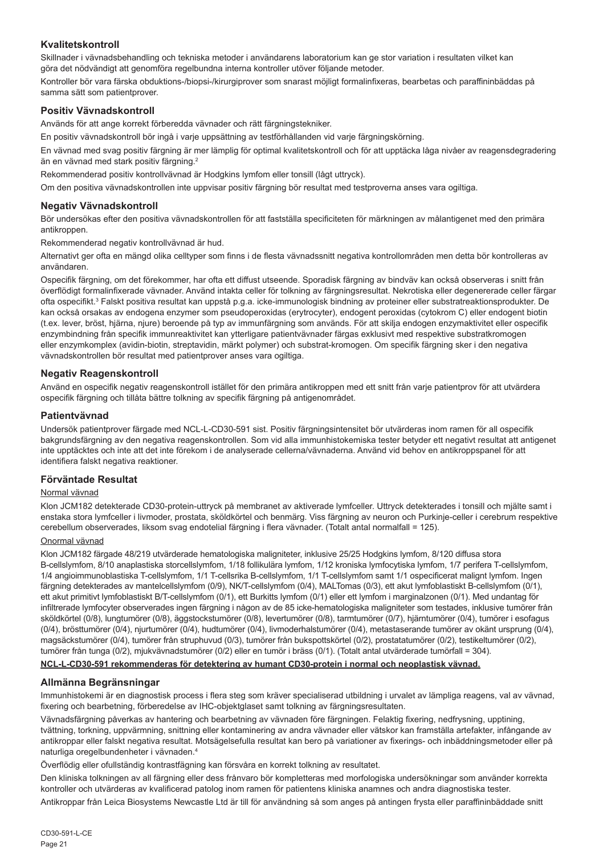# **Kvalitetskontroll**

Skillnader i vävnadsbehandling och tekniska metoder i användarens laboratorium kan ge stor variation i resultaten vilket kan göra det nödvändigt att genomföra regelbundna interna kontroller utöver följande metoder.

Kontroller bör vara färska obduktions-/biopsi-/kirurgiprover som snarast möjligt formalinfixeras, bearbetas och paraffininbäddas på samma sätt som patientprover.

#### **Positiv Vävnadskontroll**

Används för att ange korrekt förberedda vävnader och rätt färgningstekniker.

En positiv vävnadskontroll bör ingå i varje uppsättning av testförhållanden vid varje färgningskörning.

En vävnad med svag positiv färgning är mer lämplig för optimal kvalitetskontroll och för att upptäcka låga nivåer av reagensdegradering än en vävnad med stark positiv färgning.<sup>2</sup>

Rekommenderad positiv kontrollvävnad är Hodgkins lymfom eller tonsill (lågt uttryck).

Om den positiva vävnadskontrollen inte uppvisar positiv färgning bör resultat med testproverna anses vara ogiltiga.

#### **Negativ Vävnadskontroll**

Bör undersökas efter den positiva vävnadskontrollen för att fastställa specificiteten för märkningen av målantigenet med den primära antikroppen.

Rekommenderad negativ kontrollvävnad är hud.

Alternativt ger ofta en mängd olika celltyper som finns i de flesta vävnadssnitt negativa kontrollområden men detta bör kontrolleras av användaren.

Ospecifik färgning, om det förekommer, har ofta ett diffust utseende. Sporadisk färgning av bindväv kan också observeras i snitt från överflödigt formalinfixerade vävnader. Använd intakta celler för tolkning av färgningsresultat. Nekrotiska eller degenererade celler färgar ofta ospecifikt.<sup>3</sup> Falskt positiva resultat kan uppstå p.g.a. icke-immunologisk bindning av proteiner eller substratreaktionsprodukter. De kan också orsakas av endogena enzymer som pseudoperoxidas (erytrocyter), endogent peroxidas (cytokrom C) eller endogent biotin (t.ex. lever, bröst, hjärna, njure) beroende på typ av immunfärgning som används. För att skilja endogen enzymaktivitet eller ospecifik enzymbindning från specifik immunreaktivitet kan ytterligare patientvävnader färgas exklusivt med respektive substratkromogen eller enzymkomplex (avidin-biotin, streptavidin, märkt polymer) och substrat-kromogen. Om specifik färgning sker i den negativa vävnadskontrollen bör resultat med patientprover anses vara ogiltiga.

## **Negativ Reagenskontroll**

Använd en ospecifik negativ reagenskontroll istället för den primära antikroppen med ett snitt från varje patientprov för att utvärdera ospecifik färgning och tillåta bättre tolkning av specifik färgning på antigenområdet.

#### **Patientvävnad**

Undersök patientprover färgade med NCL-L-CD30-591 sist. Positiv färgningsintensitet bör utvärderas inom ramen för all ospecifik bakgrundsfärgning av den negativa reagenskontrollen. Som vid alla immunhistokemiska tester betyder ett negativt resultat att antigenet inte upptäcktes och inte att det inte förekom i de analyserade cellerna/vävnaderna. Använd vid behov en antikroppspanel för att identifiera falskt negativa reaktioner.

#### **Förväntade Resultat**

#### Normal vävnad

Klon JCM182 detekterade CD30-protein-uttryck på membranet av aktiverade lymfceller. Uttryck detekterades i tonsill och mjälte samt i enstaka stora lymfceller i livmoder, prostata, sköldkörtel och benmärg. Viss färgning av neuron och Purkinje-celler i cerebrum respektive cerebellum observerades, liksom svag endotelial färgning i flera vävnader. (Totalt antal normalfall = 125).

#### Onormal vävnad

Klon JCM182 färgade 48/219 utvärderade hematologiska maligniteter, inklusive 25/25 Hodgkins lymfom, 8/120 diffusa stora B-cellslymfom, 8/10 anaplastiska storcellslymfom, 1/18 follikulära lymfom, 1/12 kroniska lymfocytiska lymfom, 1/7 perifera T-cellslymfom, 1/4 angioimmunoblastiska T-cellslymfom, 1/1 T-cellsrika B-cellslymfom, 1/1 T-cellslymfom samt 1/1 ospecificerat malignt lymfom. Ingen färgning detekterades av mantelcellslymfom (0/9), NK/T-cellslymfom (0/4), MALTomas (0/3), ett akut lymfoblastiskt B-cellslymfom (0/1), ett akut primitivt lymfoblastiskt B/T-cellslymfom (0/1), ett Burkitts lymfom (0/1) eller ett lymfom i marginalzonen (0/1). Med undantag för infiltrerade lymfocyter observerades ingen färgning i någon av de 85 icke-hematologiska maligniteter som testades, inklusive tumörer från sköldkörtel (0/8), lungtumörer (0/8), äggstockstumörer (0/8), levertumörer (0/8), tarmtumörer (0/7), hjärntumörer (0/4), tumörer i esofagus (0/4), brösttumörer (0/4), njurtumörer (0/4), hudtumörer (0/4), livmoderhalstumörer (0/4), metastaserande tumörer av okänt ursprung (0/4), magsäckstumörer (0/4), tumörer från struphuvud (0/3), tumörer från bukspottskörtel (0/2), prostatatumörer (0/2), testikeltumörer (0/2), tumörer från tunga (0/2), mjukvävnadstumörer (0/2) eller en tumör i bräss (0/1). (Totalt antal utvärderade tumörfall = 304).

#### **NCL-L-CD30-591 rekommenderas för detektering av humant CD30-protein i normal och neoplastisk vävnad.**

### **Allmänna Begränsningar**

Immunhistokemi är en diagnostisk process i flera steg som kräver specialiserad utbildning i urvalet av lämpliga reagens, val av vävnad, fixering och bearbetning, förberedelse av IHC-objektglaset samt tolkning av färgningsresultaten.

Vävnadsfärgning påverkas av hantering och bearbetning av vävnaden före färgningen. Felaktig fixering, nedfrysning, upptining, tvättning, torkning, uppvärmning, snittning eller kontaminering av andra vävnader eller vätskor kan framställa artefakter, infångande av antikroppar eller falskt negativa resultat. Motsägelsefulla resultat kan bero på variationer av fixerings- och inbäddningsmetoder eller på naturliga oregelbundenheter i vävnaden.<sup>4</sup>

Överflödig eller ofullständig kontrastfägning kan försvåra en korrekt tolkning av resultatet.

Den kliniska tolkningen av all färgning eller dess frånvaro bör kompletteras med morfologiska undersökningar som använder korrekta kontroller och utvärderas av kvalificerad patolog inom ramen för patientens kliniska anamnes och andra diagnostiska tester.

Antikroppar från Leica Biosystems Newcastle Ltd är till för användning så som anges på antingen frysta eller paraffininbäddade snitt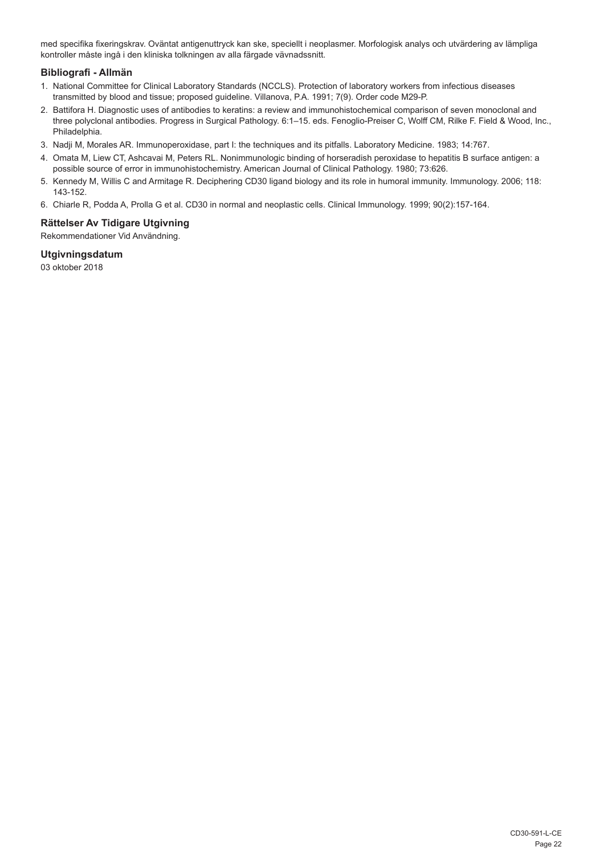med specifika fixeringskrav. Oväntat antigenuttryck kan ske, speciellt i neoplasmer. Morfologisk analys och utvärdering av lämpliga kontroller måste ingå i den kliniska tolkningen av alla färgade vävnadssnitt.

## **Bibliografi - Allmän**

- 1. National Committee for Clinical Laboratory Standards (NCCLS). Protection of laboratory workers from infectious diseases transmitted by blood and tissue; proposed guideline. Villanova, P.A. 1991; 7(9). Order code M29-P.
- 2. Battifora H. Diagnostic uses of antibodies to keratins: a review and immunohistochemical comparison of seven monoclonal and three polyclonal antibodies. Progress in Surgical Pathology. 6:1–15. eds. Fenoglio-Preiser C, Wolff CM, Rilke F. Field & Wood, Inc., Philadelphia.
- 3. Nadji M, Morales AR. Immunoperoxidase, part I: the techniques and its pitfalls. Laboratory Medicine. 1983; 14:767.
- 4. Omata M, Liew CT, Ashcavai M, Peters RL. Nonimmunologic binding of horseradish peroxidase to hepatitis B surface antigen: a possible source of error in immunohistochemistry. American Journal of Clinical Pathology. 1980; 73:626.
- 5. Kennedy M, Willis C and Armitage R. Deciphering CD30 ligand biology and its role in humoral immunity. Immunology. 2006; 118: 143-152.
- 6. Chiarle R, Podda A, Prolla G et al. CD30 in normal and neoplastic cells. Clinical Immunology. 1999; 90(2):157-164.

# **Rättelser Av Tidigare Utgivning**

Rekommendationer Vid Användning.

# **Utgivningsdatum**

03 oktober 2018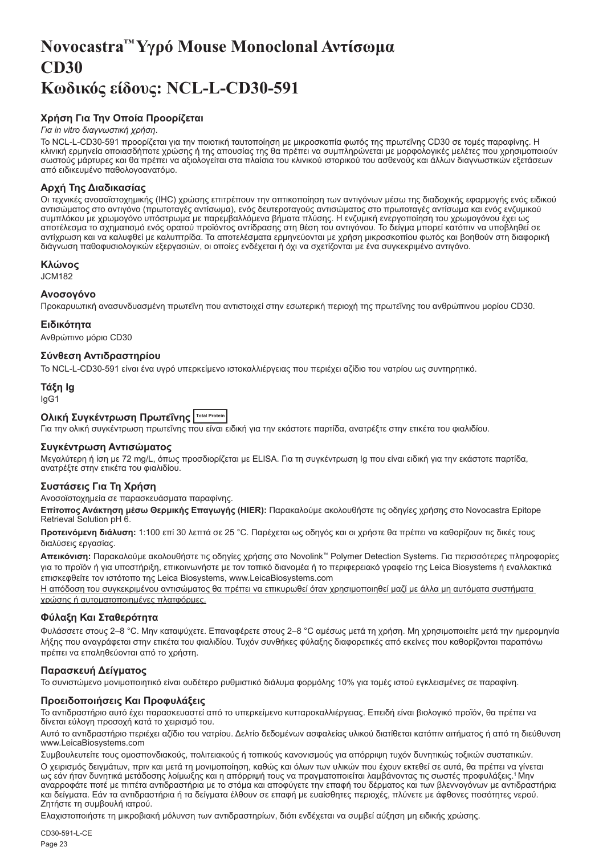# <span id="page-23-0"></span>**Novocastra™ Υγρό Mouse Monoclonal Αντίσωμα CD30 Κωδικός είδους: NCL-L-CD30-591**

# **Χρήση Για Την Οποία Προορίζεται**

#### *Για in vitro διαγνωστική χρήση*.

Το NCL-L-CD30-591 προορίζεται για την ποιοτική ταυτοποίηση με μικροσκοπία φωτός της πρωτεΐνης CD30 σε τομές παραφίνης. Η κλινική ερμηνεία οποιασδήποτε χρώσης ή της απουσίας της θα πρέπει να συμπληρώνεται με μορφολογικές μελέτες που χρησιμοποιούν σωστούς μάρτυρες και θα πρέπει να αξιολογείται στα πλαίσια του κλινικού ιστορικού του ασθενούς και άλλων διαγνωστικών εξετάσεων από ειδικευμένο παθολογοανατόμο.

# **Αρχή Της Διαδικασίας**

Οι τεχνικές ανοσοϊστοχημικής (IHC) χρώσης επιτρέπουν την οπτικοποίηση των αντιγόνων μέσω της διαδοχικής εφαρμογής ενός ειδικού αντισώματος στο αντιγόνο (πρωτοταγές αντίσωμα), ενός δευτεροταγούς αντισώματος στο πρωτοταγές αντίσωμα και ενός ενζυμικού συμπλόκου με χρωμογόνο υπόστρωμα με παρεμβαλλόμενα βήματα πλύσης. Η ενζυμική ενεργοποίηση του χρωμογόνου έχει ως αποτέλεσμα το σχηματισμό ενός ορατού προϊόντος αντίδρασης στη θέση του αντιγόνου. Το δείγμα μπορεί κατόπιν να υποβληθεί σε αντίχρωση και να καλυφθεί με καλυπτρίδα. Τα αποτελέσματα ερμηνεύονται με χρήση μικροσκοπίου φωτός και βοηθούν στη διαφορική διάγνωση παθοφυσιολογικών εξεργασιών, οι οποίες ενδέχεται ή όχι να σχετίζονται με ένα συγκεκριμένο αντιγόνο.

### **Κλώνος**

JCM182

### **Ανοσογόνο**

Προκαρυωτική ανασυνδυασμένη πρωτεΐνη που αντιστοιχεί στην εσωτερική περιοχή της πρωτεΐνης του ανθρώπινου μορίου CD30.

#### **Ειδικότητα**

Ανθρώπινο μόριο CD30

### **Σύνθεση Αντιδραστηρίου**

Το NCL-L-CD30-591 είναι ένα υγρό υπερκείμενο ιστοκαλλιέργειας που περιέχει αζίδιο του νατρίου ως συντηρητικό.

# **Τάξη Ig**

IgG1

# **Ολική Συγκέντρωση Πρωτεΐνης Total Protein**

Για την ολική συγκέντρωση πρωτεΐνης που είναι ειδική για την εκάστοτε παρτίδα, ανατρέξτε στην ετικέτα του φιαλιδίου.

### **Συγκέντρωση Αντισώματος**

Μεγαλύτερη ή ίση με 72 mg/L, όπως προσδιορίζεται με ELISA. Για τη συγκέντρωση Ig που είναι ειδική για την εκάστοτε παρτίδα, ανατρέξτε στην ετικέτα του φιαλιδίου.

### **Συστάσεις Για Τη Χρήση**

#### Ανοσοϊστοχημεία σε παρασκευάσματα παραφίνης.

**Επίτοπος Ανάκτηση μέσω Θερμικής Επαγωγής (HIER):** Παρακαλούμε ακολουθήστε τις οδηγίες χρήσης στο Novocastra Epitope Retrieval Solution pH 6.

**Προτεινόμενη διάλυση:** 1:100 επί 30 λεπτά σε 25 °C. Παρέχεται ως οδηγός και οι χρήστε θα πρέπει να καθορίζουν τις δικές τους διαλύσεις εργασίας.

**Απεικόνιση:** Παρακαλούμε ακολουθήστε τις οδηγίες χρήσης στο Novolink™ Polymer Detection Systems. Για περισσότερες πληροφορίες για το προϊόν ή για υποστήριξη, επικοινωνήστε με τον τοπικό διανομέα ή το περιφερειακό γραφείο της Leica Biosystems ή εναλλακτικά επισκεφθείτε τον ιστότοπο της Leica Biosystems, www.LeicaBiosystems.com

Η απόδοση του συγκεκριμένου αντισώματος θα πρέπει να επικυρωθεί όταν χρησιμοποιηθεί μαζί με άλλα μη αυτόματα συστήματα χρώσης ή αυτοματοποιημένες πλατφόρμες.

### **Φύλαξη Και Σταθερότητα**

Φυλάσσετε στους 2–8 °C. Μην καταψύχετε. Επαναφέρετε στους 2–8 °C αμέσως μετά τη χρήση. Μη χρησιμοποιείτε μετά την ημερομηνία λήξης που αναγράφεται στην ετικέτα του φιαλιδίου. Τυχόν συνθήκες φύλαξης διαφορετικές από εκείνες που καθορίζονται παραπάνω πρέπει να επαληθεύονται από το χρήστη.

### **Παρασκευή Δείγματος**

Το συνιστώμενο μονιμοποιητικό είναι ουδέτερο ρυθμιστικό διάλυμα φορμόλης 10% για τομές ιστού εγκλεισμένες σε παραφίνη.

### **Προειδοποιήσεις Και Προφυλάξεις**

Το αντιδραστήριο αυτό έχει παρασκευαστεί από το υπερκείμενο κυτταροκαλλιέργειας. Επειδή είναι βιολογικό προϊόν, θα πρέπει να δίνεται εύλογη προσοχή κατά το χειρισμό του.

Αυτό το αντιδραστήριο περιέχει αζίδιο του νατρίου. Δελτίο δεδομένων ασφαλείας υλικού διατίθεται κατόπιν αιτήματος ή από τη διεύθυνση www.LeicaBiosystems.com

Συμβουλευτείτε τους ομοσπονδιακούς, πολιτειακούς ή τοπικούς κανονισμούς για απόρριψη τυχόν δυνητικώς τοξικών συστατικών. Ο χειρισμός δειγμάτων, πριν και μετά τη μονιμοποίηση, καθώς και όλων των υλικών που έχουν εκτεθεί σε αυτά, θα πρέπει να γίνεται ως εάν ήταν δυνητικά μετάδοσης λοίμωξης και η απόρριψή τους να πραγματοποιείται λαμβάνοντας τις σωστές προφυλάξεις.<sup>1</sup>Μην αναρροφάτε ποτέ με πιπέτα αντιδραστήρια με το στόμα και αποφύγετε την επαφή του δέρματος και των βλεννογόνων με αντιδραστήρια και δείγματα. Εάν τα αντιδραστήρια ή τα δείγματα έλθουν σε επαφή με ευαίσθητες περιοχές, πλύνετε με άφθονες ποσότητες νερού. Ζητήστε τη συμβουλή ιατρού.

Ελαχιστοποιήστε τη μικροβιακή μόλυνση των αντιδραστηρίων, διότι ενδέχεται να συμβεί αύξηση μη ειδικής χρώσης.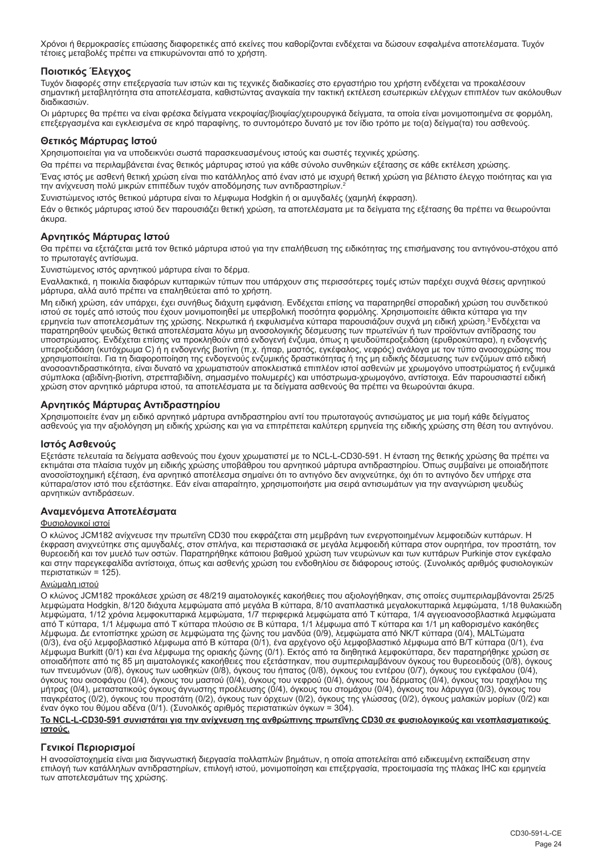Χρόνοι ή θερμοκρασίες επώασης διαφορετικές από εκείνες που καθορίζονται ενδέχεται να δώσουν εσφαλμένα αποτελέσματα. Τυχόν τέτοιες μεταβολές πρέπει να επικυρώνονται από το χρήστη.

# **Ποιοτικός Έλεγχος**

Τυχόν διαφορές στην επεξεργασία των ιστών και τις τεχνικές διαδικασίες στο εργαστήριο του χρήστη ενδέχεται να προκαλέσουν σημαντική μεταβλητότητα στα αποτελέσματα, καθιστώντας αναγκαία την τακτική εκτέλεση εσωτερικών ελέγχων επιπλέον των ακόλουθων διαδικασιών.

Οι μάρτυρες θα πρέπει να είναι φρέσκα δείγματα νεκροψίας/βιοψίας/χειρουργικά δείγματα, τα οποία είναι μονιμοποιημένα σε φορμόλη, επεξεργασμένα και εγκλεισμένα σε κηρό παραφίνης, το συντομότερο δυνατό με τον ίδιο τρόπο με το(α) δείγμα(τα) του ασθενούς.

## **Θετικός Μάρτυρας Ιστού**

Χρησιμοποιείται για να υποδεικνύει σωστά παρασκευασμένους ιστούς και σωστές τεχνικές χρώσης.

Θα πρέπει να περιλαμβάνεται ένας θετικός μάρτυρας ιστού για κάθε σύνολο συνθηκών εξέτασης σε κάθε εκτέλεση χρώσης.

Ένας ιστός με ασθενή θετική χρώση είναι πιο κατάλληλος από έναν ιστό με ισχυρή θετική χρώση για βέλτιστο έλεγχο ποιότητας και για την ανίχνευση πολύ μικρών επιπέδων τυχόν αποδόμησης των αντιδραστηρίων.<sup>2</sup>

Συνιστώμενος ιστός θετικού μάρτυρα είναι το λέμφωμα Hodgkin ή οι αμυγδαλές (χαμηλή έκφραση).

Εάν ο θετικός μάρτυρας ιστού δεν παρουσιάζει θετική χρώση, τα αποτελέσματα με τα δείγματα της εξέτασης θα πρέπει να θεωρούνται άκυρα.

### **Αρνητικός Μάρτυρας Ιστού**

Θα πρέπει να εξετάζεται μετά τον θετικό μάρτυρα ιστού για την επαλήθευση της ειδικότητας της επισήμανσης του αντιγόνου-στόχου από το πρωτοταγές αντίσωμα.

Συνιστώμενος ιστός αρνητικού μάρτυρα είναι το δέρμα.

Εναλλακτικά, η ποικιλία διαφόρων κυτταρικών τύπων που υπάρχουν στις περισσότερες τομές ιστών παρέχει συχνά θέσεις αρνητικού μάρτυρα, αλλά αυτό πρέπει να επαληθεύεται από το χρήστη.

Μη ειδική χρώση, εάν υπάρχει, έχει συνήθως διάχυτη εμφάνιση. Ενδέχεται επίσης να παρατηρηθεί σποραδική χρώση του συνδετικού ιστού σε τομές από ιστούς που έχουν μονιμοποιηθεί με υπερβολική ποσότητα φορμόλης. Χρησιμοποιείτε άθικτα κύτταρα για την<br>ερμηνεία των αποτελεσμάτων της χρώσης. Νεκρωτικά ή εκφυλισμένα κύτταρα παρουσιάζουν συχνά μη ειδική παρατηρηθούν ψευδώς θετικά αποτελέσματα λόγω μη ανοσολογικής δέσμευσης των πρωτεϊνών ή των προϊόντων αντίδρασης του υποστρώματος. Ενδέχεται επίσης να προκληθούν από ενδογενή ένζυμα, όπως η ψευδοϋπεροξειδάση (ερυθροκύτταρα), η ενδογενής<br>υπεροξειδάση (κυτόχρωμα C) ή η ενδογενής βιοτίνη (π.χ. ήπαρ, μαστός, εγκέφαλος, νεφρός) ανάλογα με το χρησιμοποιείται. Για τη διαφοροποίηση της ενδογενούς ενζυμικής δραστικότητας ή της μη ειδικής δέσμευσης των ενζύμων από ειδική ανοσοαντιδραστικότητα, είναι δυνατό να χρωματιστούν αποκλειστικά επιπλέον ιστοί ασθενών με χρωμογόνο υποστρώματος ή ενζυμικά σύμπλοκα (αβιδίνη-βιοτίνη, στρεπταβιδίνη, σημασμένο πολυμερές) και υπόστρωμα-χρωμογόνο, αντίστοιχα. Εάν παρουσιαστεί ειδική χρώση στον αρνητικό μάρτυρα ιστού, τα αποτελέσματα με τα δείγματα ασθενούς θα πρέπει να θεωρούνται άκυρα.

### **Αρνητικός Μάρτυρας Αντιδραστηρίου**

Χρησιμοποιείτε έναν μη ειδικό αρνητικό μάρτυρα αντιδραστηρίου αντί του πρωτοταγούς αντισώματος με μια τομή κάθε δείγματος ασθενούς για την αξιολόγηση μη ειδικής χρώσης και για να επιτρέπεται καλύτερη ερμηνεία της ειδικής χρώσης στη θέση του αντιγόνου.

# **Ιστός Ασθενούς**

Εξετάστε τελευταία τα δείγματα ασθενούς που έχουν χρωματιστεί με το NCL-L-CD30-591. Η ένταση της θετικής χρώσης θα πρέπει να εκτιμάται στα πλαίσια τυχόν μη ειδικής χρώσης υποβάθρου του αρνητικού μάρτυρα αντιδραστηρίου. Όπως συμβαίνει με οποιαδήποτε ανοσοϊστοχημική εξέταση, ένα αρνητικό αποτέλεσμα σημαίνει ότι το αντιγόνο δεν ανιχνεύτηκε, όχι ότι το αντιγόνο δεν υπήρχε στα κύτταρα/στον ιστό που εξετάστηκε. Εάν είναι απαραίτητο, χρησιμοποιήστε μια σειρά αντισωμάτων για την αναγνώριση ψευδώς αρνητικών αντιδράσεων.

### **Αναμενόμενα Αποτελέσματα**

#### Φυσιολογικοί ιστοί

Ο κλώνος JCM182 ανίχνευσε την πρωτεΐνη CD30 που εκφράζεται στη μεμβράνη των ενεργοποιημένων λεμφοειδών κυττάρων. Η έκφραση ανιχνεύτηκε στις αμυγδαλές, στον σπλήνα, και περιστασιακά σε μεγάλα λεμφοειδή κύτταρα στον ουρητήρα, τον προστάτη, τον θυρεοειδή και τον μυελό των οστών. Παρατηρήθηκε κάποιου βαθμού χρώση των νευρώνων και των κυττάρων Purkinje στον εγκέφαλο και στην παρεγκεφαλίδα αντίστοιχα, όπως και ασθενής χρώση του ενδοθηλίου σε διάφορους ιστούς. (Συνολικός αριθμός φυσιολογικών περιστατικών = 125).

#### Ανώμαλη ιστού

Ο κλώνος JCM182 προκάλεσε χρώση σε 48/219 αιματολογικές κακοήθειες που αξιολογήθηκαν, στις οποίες συμπεριλαμβάνονται 25/25 λεμφώματα Hodgkin, 8/120 διάχυτα λεμφώματα από μεγάλα B κύτταρα, 8/10 αναπλαστικά μεγαλοκυτταρικά λεμφώματα, 1/18 θυλακιώδη λεμφώματα, 1/12 χρόνια λεμφοκυτταρικά λεμφώματα, 1/7 περιφερικά λεμφώματα από T κύτταρα, 1/4 αγγειοανοσοβλαστικά λεμφώματα από T κύτταρα, 1/1 λέμφωμα από Τ κύτταρα πλούσιο σε B κύτταρα, 1/1 λέμφωμα από T κύτταρα και 1/1 μη καθορισμένο κακόηθες λέμφωμα. Δε εντοπίστηκε χρώση σε λεμφώματα της ζώνης του μανδύα (0/9), λεμφώματα από NK/T κύτταρα (0/4), MALTώματα (0/3), ένα οξύ λεμφοβλαστικό λέμφωμα από Β κύτταρα (0/1), ένα αρχέγονο οξύ λεμφοβλαστικό λέμφωμα από B/T κύτταρα (0/1), ένα λέμφωμα Burkitt (0/1) και ένα λέμφωμα της οριακής ζώνης (0/1). Εκτός από τα διηθητικά λεμφοκύτταρα, δεν παρατηρήθηκε χρώση σε οποιαδήποτε από τις 85 μη αιματολογικές κακοήθειες που εξετάστηκαν, που συμπεριλαμβάνουν όγκους του θυρεοειδούς (0/8), όγκους των πνευμόνων (0/8), όγκους των ωοθηκών (0/8), όγκους του ήπατος (0/8), όγκους του εντέρου (0/7), όγκους του εγκέφαλου (0/4),<br>όγκους του οισοφάγου (0/4), όγκους του μαστού (0/4), όγκους του νεφρού (0/4), όγκους του δέρματ μήτρας (0/4), μεταστατικούς όγκους άγνωστης προέλευσης (0/4), όγκους του στομάχου (0/4), όγκους του λάρυγγα (0/3), όγκους του παγκρέατος (0/2), όγκους του προστάτη (0/2), όγκους των όρχεων (0/2), όγκους της γλώσσας (0/2), όγκους μαλακών μορίων (0/2) και<br>έναν όγκο του θύμου αδένα (0/1). (Συνολικός αριθμός περιστατικών όγκων = 304).

#### **Το NCL-L-CD30-591 συνιστάται για την ανίχνευση της ανθρώπινης πρωτεΐνης CD30 σε φυσιολογικούς και νεοπλασματικούς ιστούς.**

### **Γενικοί Περιορισμοί**

Η ανοσοϊστοχημεία είναι μια διαγνωστική διεργασία πολλαπλών βημάτων, η οποία αποτελείται από ειδικευμένη εκπαίδευση στην επιλογή των κατάλληλων αντιδραστηρίων, επιλογή ιστού, μονιμοποίηση και επεξεργασία, προετοιμασία της πλάκας IHC και ερμηνεία των αποτελεσμάτων της χρώσης.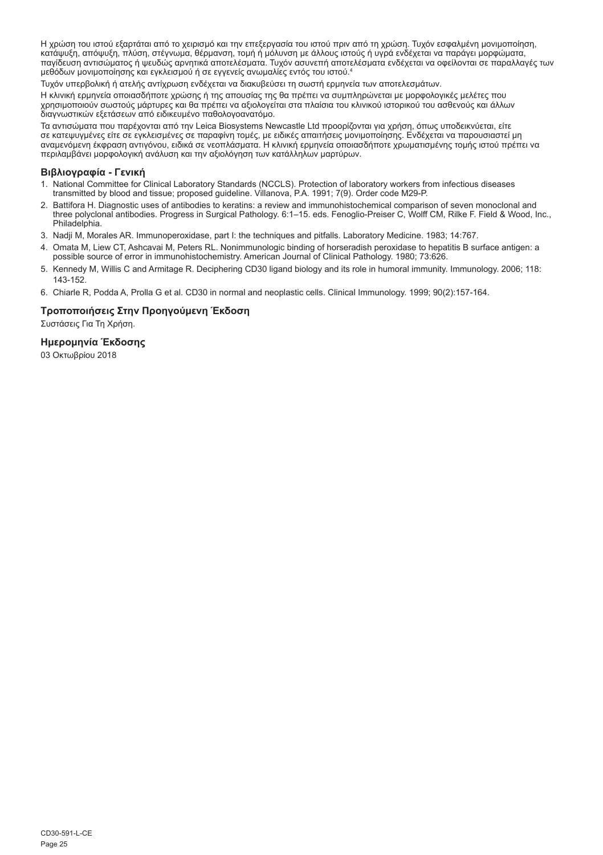Η χρώση του ιστού εξαρτάται από το χειρισμό και την επεξεργασία του ιστού πριν από τη χρώση. Τυχόν εσφαλμένη μονιμοποίηση, κατάψυξη, απόψυξη, πλύση, στέγνωμα, θέρμανση, τομή ή μόλυνση με άλλους ιστούς ή υγρά ενδέχεται να παράγει μορφώματα, παγίδευση αντισώματος ή ψευδώς αρνητικά αποτελέσματα. Τυχόν ασυνεπή αποτελέσματα ενδέχεται να οφείλονται σε παραλλαγές των μεθόδων μονιμοποίησης και εγκλεισμού ή σε εγγενείς ανωμαλίες εντός του ιστού.<sup>4</sup>

Τυχόν υπερβολική ή ατελής αντίχρωση ενδέχεται να διακυβεύσει τη σωστή ερμηνεία των αποτελεσμάτων.

Η κλινική ερμηνεία οποιασδήποτε χρώσης ή της απουσίας της θα πρέπει να συμπληρώνεται με μορφολογικές μελέτες που χρησιμοποιούν σωστούς μάρτυρες και θα πρέπει να αξιολογείται στα πλαίσια του κλινικού ιστορικού του ασθενούς και άλλων διαγνωστικών εξετάσεων από ειδικευμένο παθολογοανατόμο.

Τα αντισώματα που παρέχονται από την Leica Biosystems Newcastle Ltd προορίζονται για χρήση, όπως υποδεικνύεται, είτε<br>σε κατεψυγμένες είτε σε εγκλεισμένες σε παραφίνη τομές, με ειδικές απαιτήσεις μονιμοποίησης. Ενδέχεται ν αναμενόμενη έκφραση αντιγόνου, ειδικά σε νεοπλάσματα. Η κλινική ερμηνεία οποιασδήποτε χρωματισμένης τομής ιστού πρέπει να περιλαμβάνει μορφολογική ανάλυση και την αξιολόγηση των κατάλληλων μαρτύρων.

# **Βιβλιογραφία - Γενική**

- 1. National Committee for Clinical Laboratory Standards (NCCLS). Protection of laboratory workers from infectious diseases transmitted by blood and tissue; proposed guideline. Villanova, P.A. 1991; 7(9). Order code M29-P.
- 2. Battifora H. Diagnostic uses of antibodies to keratins: a review and immunohistochemical comparison of seven monoclonal and three polyclonal antibodies. Progress in Surgical Pathology. 6:1–15. eds. Fenoglio-Preiser C, Wolff CM, Rilke F. Field & Wood, Inc., Philadelphia.
- 3. Nadji M, Morales AR. Immunoperoxidase, part I: the techniques and pitfalls. Laboratory Medicine. 1983; 14:767.
- 4. Omata M, Liew CT, Ashcavai M, Peters RL. Nonimmunologic binding of horseradish peroxidase to hepatitis B surface antigen: a possible source of error in immunohistochemistry. American Journal of Clinical Pathology. 1980; 73:626.
- 5. Kennedy M, Willis C and Armitage R. Deciphering CD30 ligand biology and its role in humoral immunity. Immunology. 2006; 118: 143-152.
- 6. Chiarle R, Podda A, Prolla G et al. CD30 in normal and neoplastic cells. Clinical Immunology. 1999; 90(2):157-164.

# **Τροποποιήσεις Στην Προηγούμενη Έκδοση**

Συστάσεις Για Τη Χρήση.

# **Ημερομηνία Έκδοσης**

03 Οκτωβρίου 2018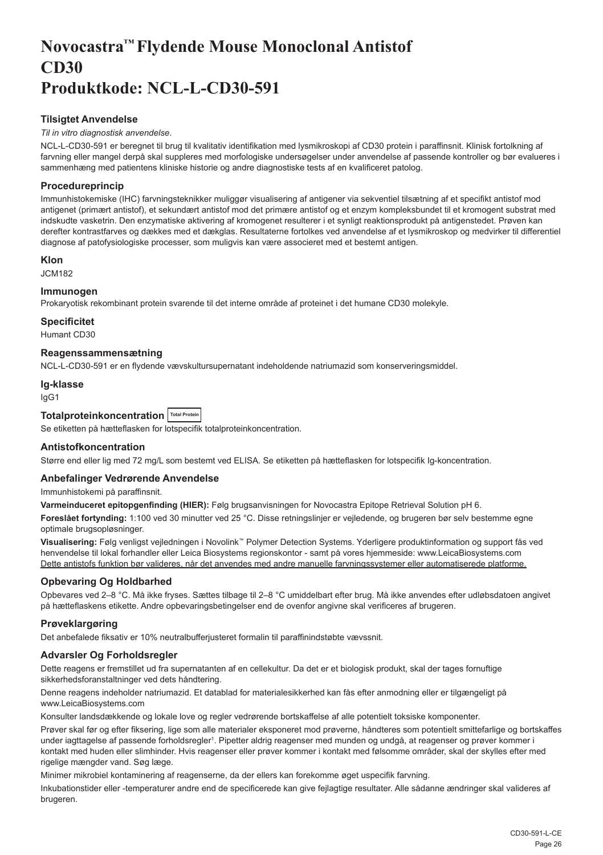# <span id="page-26-0"></span>**Novocastra™ Flydende Mouse Monoclonal Antistof CD30 Produktkode: NCL-L-CD30-591**

# **Tilsigtet Anvendelse**

#### *Til in vitro diagnostisk anvendelse*.

NCL-L-CD30-591 er beregnet til brug til kvalitativ identifikation med lysmikroskopi af CD30 protein i paraffinsnit. Klinisk fortolkning af farvning eller mangel derpå skal suppleres med morfologiske undersøgelser under anvendelse af passende kontroller og bør evalueres i sammenhæng med patientens kliniske historie og andre diagnostiske tests af en kvalificeret patolog.

# **Procedureprincip**

Immunhistokemiske (IHC) farvningsteknikker muliggør visualisering af antigener via sekventiel tilsætning af et specifikt antistof mod antigenet (primært antistof), et sekundært antistof mod det primære antistof og et enzym kompleksbundet til et kromogent substrat med indskudte vasketrin. Den enzymatiske aktivering af kromogenet resulterer i et synligt reaktionsprodukt på antigenstedet. Prøven kan derefter kontrastfarves og dækkes med et dækglas. Resultaterne fortolkes ved anvendelse af et lysmikroskop og medvirker til differentiel diagnose af patofysiologiske processer, som muligvis kan være associeret med et bestemt antigen.

#### **Klon**

JCM182

### **Immunogen**

Prokaryotisk rekombinant protein svarende til det interne område af proteinet i det humane CD30 molekyle.

### **Specificitet**

Humant CD30

#### **Reagenssammensætning**

NCL-L-CD30-591 er en flydende vævskultursupernatant indeholdende natriumazid som konserveringsmiddel.

#### **Ig-klasse**

IgG1

# **Totalproteinkoncentration Total Protein**

Se etiketten på hætteflasken for lotspecifik totalproteinkoncentration.

### **Antistofkoncentration**

Større end eller lig med 72 mg/L som bestemt ved ELISA. Se etiketten på hætteflasken for lotspecifik Ig-koncentration.

# **Anbefalinger Vedrørende Anvendelse**

Immunhistokemi på paraffinsnit.

**Varmeinduceret epitopgenfinding (HIER):** Følg brugsanvisningen for Novocastra Epitope Retrieval Solution pH 6.

**Foreslået fortynding:** 1:100 ved 30 minutter ved 25 °C. Disse retningslinjer er vejledende, og brugeren bør selv bestemme egne optimale brugsopløsninger.

**Visualisering:** Følg venligst vejledningen i Novolink™ Polymer Detection Systems. Yderligere produktinformation og support fås ved henvendelse til lokal forhandler eller Leica Biosystems regionskontor - samt på vores hjemmeside: www.LeicaBiosystems.com Dette antistofs funktion bør valideres, når det anvendes med andre manuelle farvningssystemer eller automatiserede platforme.

### **Opbevaring Og Holdbarhed**

Opbevares ved 2–8 °C. Må ikke fryses. Sættes tilbage til 2–8 °C umiddelbart efter brug. Må ikke anvendes efter udløbsdatoen angivet på hætteflaskens etikette. Andre opbevaringsbetingelser end de ovenfor angivne skal verificeres af brugeren.

### **Prøveklargøring**

Det anbefalede fiksativ er 10% neutralbufferjusteret formalin til paraffinindstøbte vævssnit.

### **Advarsler Og Forholdsregler**

Dette reagens er fremstillet ud fra supernatanten af en cellekultur. Da det er et biologisk produkt, skal der tages fornuftige sikkerhedsforanstaltninger ved dets håndtering.

Denne reagens indeholder natriumazid. Et datablad for materialesikkerhed kan fås efter anmodning eller er tilgængeligt på www.LeicaBiosystems.com

Konsulter landsdækkende og lokale love og regler vedrørende bortskaffelse af alle potentielt toksiske komponenter.

Prøver skal før og efter fiksering, lige som alle materialer eksponeret mod prøverne, håndteres som potentielt smittefarlige og bortskaffes under iagttagelse af passende forholdsregler<sup>ı</sup>. Pipetter aldrig reagenser med munden og undgå, at reagenser og prøver kommer i kontakt med huden eller slimhinder. Hvis reagenser eller prøver kommer i kontakt med følsomme områder, skal der skylles efter med rigelige mængder vand. Søg læge.

Minimer mikrobiel kontaminering af reagenserne, da der ellers kan forekomme øget uspecifik farvning.

Inkubationstider eller -temperaturer andre end de specificerede kan give fejlagtige resultater. Alle sådanne ændringer skal valideres af brugeren.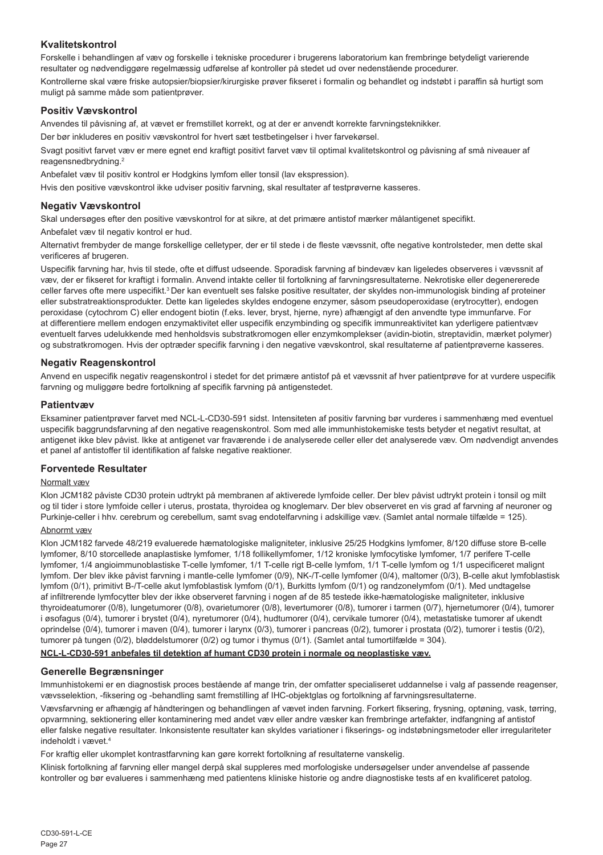# **Kvalitetskontrol**

Forskelle i behandlingen af væv og forskelle i tekniske procedurer i brugerens laboratorium kan frembringe betydeligt varierende resultater og nødvendiggøre regelmæssig udførelse af kontroller på stedet ud over nedenstående procedurer. Kontrollerne skal være friske autopsier/biopsier/kirurgiske prøver fikseret i formalin og behandlet og indstøbt i paraffin så hurtigt som muligt på samme måde som patientprøver.

# **Positiv Vævskontrol**

Anvendes til påvisning af, at vævet er fremstillet korrekt, og at der er anvendt korrekte farvningsteknikker.

Der bør inkluderes en positiv vævskontrol for hvert sæt testbetingelser i hver farvekørsel.

Svagt positivt farvet væv er mere egnet end kraftigt positivt farvet væv til optimal kvalitetskontrol og påvisning af små niveauer af reagensnedbrydning.<sup>2</sup>

Anbefalet væv til positiv kontrol er Hodgkins lymfom eller tonsil (lav ekspression).

Hvis den positive vævskontrol ikke udviser positiv farvning, skal resultater af testprøverne kasseres.

# **Negativ Vævskontrol**

Skal undersøges efter den positive vævskontrol for at sikre, at det primære antistof mærker målantigenet specifikt.

Anbefalet væv til negativ kontrol er hud.

Alternativt frembyder de mange forskellige celletyper, der er til stede i de fleste vævssnit, ofte negative kontrolsteder, men dette skal verificeres af brugeren.

Uspecifik farvning har, hvis til stede, ofte et diffust udseende. Sporadisk farvning af bindevæv kan ligeledes observeres i vævssnit af væv, der er fikseret for kraftigt i formalin. Anvend intakte celler til fortolkning af farvningsresultaterne. Nekrotiske eller degenererede celler farves ofte mere uspecifikt.<sup>3</sup> Der kan eventuelt ses falske positive resultater, der skyldes non-immunologisk binding af proteiner eller substratreaktionsprodukter. Dette kan ligeledes skyldes endogene enzymer, såsom pseudoperoxidase (erytrocytter), endogen peroxidase (cytochrom C) eller endogent biotin (f.eks. lever, bryst, hjerne, nyre) afhængigt af den anvendte type immunfarve. For at differentiere mellem endogen enzymaktivitet eller uspecifik enzymbinding og specifik immunreaktivitet kan yderligere patientvæv eventuelt farves udelukkende med henholdsvis substratkromogen eller enzymkomplekser (avidin-biotin, streptavidin, mærket polymer) og substratkromogen. Hvis der optræder specifik farvning i den negative vævskontrol, skal resultaterne af patientprøverne kasseres.

# **Negativ Reagenskontrol**

Anvend en uspecifik negativ reagenskontrol i stedet for det primære antistof på et vævssnit af hver patientprøve for at vurdere uspecifik farvning og muliggøre bedre fortolkning af specifik farvning på antigenstedet.

### **Patientvæv**

Eksaminer patientprøver farvet med NCL-L-CD30-591 sidst. Intensiteten af positiv farvning bør vurderes i sammenhæng med eventuel uspecifik baggrundsfarvning af den negative reagenskontrol. Som med alle immunhistokemiske tests betyder et negativt resultat, at antigenet ikke blev påvist. Ikke at antigenet var fraværende i de analyserede celler eller det analyserede væv. Om nødvendigt anvendes et panel af antistoffer til identifikation af falske negative reaktioner.

### **Forventede Resultater**

# Normalt væv

Klon JCM182 påviste CD30 protein udtrykt på membranen af aktiverede lymfoide celler. Der blev påvist udtrykt protein i tonsil og milt og til tider i store lymfoide celler i uterus, prostata, thyroidea og knoglemarv. Der blev observeret en vis grad af farvning af neuroner og Purkinje-celler i hhv. cerebrum og cerebellum, samt svag endotelfarvning i adskillige væv. (Samlet antal normale tilfælde = 125).

# Abnormt væv

Klon JCM182 farvede 48/219 evaluerede hæmatologiske maligniteter, inklusive 25/25 Hodgkins lymfomer, 8/120 diffuse store B-celle lymfomer, 8/10 storcellede anaplastiske lymfomer, 1/18 follikellymfomer, 1/12 kroniske lymfocytiske lymfomer, 1/7 perifere T-celle lymfomer, 1/4 angioimmunoblastiske T-celle lymfomer, 1/1 T-celle rigt B-celle lymfom, 1/1 T-celle lymfom og 1/1 uspecificeret malignt lymfom. Der blev ikke påvist farvning i mantle-celle lymfomer (0/9), NK-/T-celle lymfomer (0/4), maltomer (0/3), B-celle akut lymfoblastisk lymfom (0/1), primitivt B-/T-celle akut lymfoblastisk lymfom (0/1), Burkitts lymfom (0/1) og randzonelymfom (0/1). Med undtagelse af infiltrerende lymfocytter blev der ikke observeret farvning i nogen af de 85 testede ikke-hæmatologiske maligniteter, inklusive thyroideatumorer (0/8), lungetumorer (0/8), ovarietumorer (0/8), levertumorer (0/8), tumorer i tarmen (0/7), hjernetumorer (0/4), tumorer i øsofagus (0/4), tumorer i brystet (0/4), nyretumorer (0/4), hudtumorer (0/4), cervikale tumorer (0/4), metastatiske tumorer af ukendt oprindelse (0/4), tumorer i maven (0/4), tumorer i larynx (0/3), tumorer i pancreas (0/2), tumorer i prostata (0/2), tumorer i testis (0/2), tumorer på tungen (0/2), bløddelstumorer (0/2) og tumor i thymus (0/1). (Samlet antal tumortilfælde = 304).

#### **NCL-L-CD30-591 anbefales til detektion af humant CD30 protein i normale og neoplastiske væv.**

### **Generelle Begrænsninger**

Immunhistokemi er en diagnostisk proces bestående af mange trin, der omfatter specialiseret uddannelse i valg af passende reagenser, vævsselektion, -fiksering og -behandling samt fremstilling af IHC-objektglas og fortolkning af farvningsresultaterne.

Vævsfarvning er afhængig af håndteringen og behandlingen af vævet inden farvning. Forkert fiksering, frysning, optøning, vask, tørring, opvarmning, sektionering eller kontaminering med andet væv eller andre væsker kan frembringe artefakter, indfangning af antistof eller falske negative resultater. Inkonsistente resultater kan skyldes variationer i fikserings- og indstøbningsmetoder eller irregulariteter indeholdt i vævet.<sup>4</sup>

For kraftig eller ukomplet kontrastfarvning kan gøre korrekt fortolkning af resultaterne vanskelig.

Klinisk fortolkning af farvning eller mangel derpå skal suppleres med morfologiske undersøgelser under anvendelse af passende kontroller og bør evalueres i sammenhæng med patientens kliniske historie og andre diagnostiske tests af en kvalificeret patolog.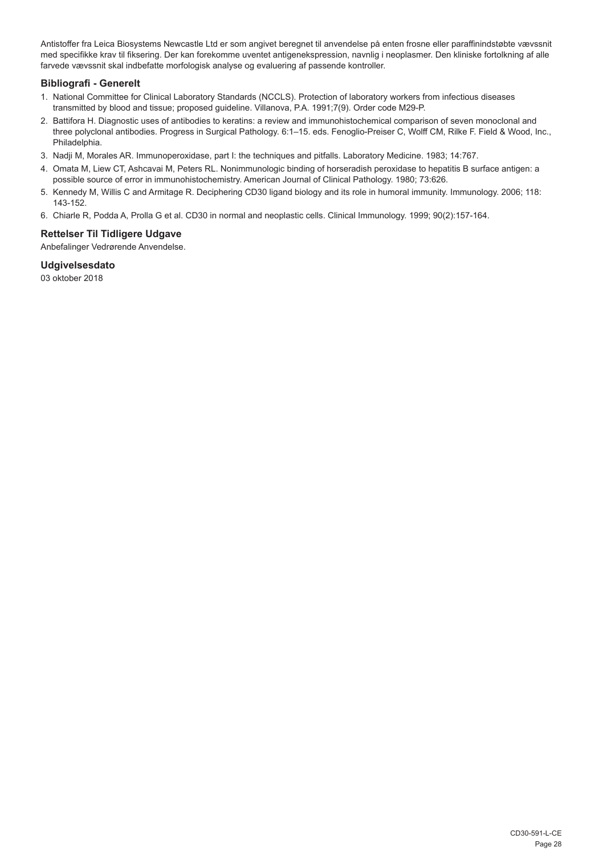Antistoffer fra Leica Biosystems Newcastle Ltd er som angivet beregnet til anvendelse på enten frosne eller paraffinindstøbte vævssnit med specifikke krav til fiksering. Der kan forekomme uventet antigenekspression, navnlig i neoplasmer. Den kliniske fortolkning af alle farvede vævssnit skal indbefatte morfologisk analyse og evaluering af passende kontroller.

## **Bibliografi - Generelt**

- 1. National Committee for Clinical Laboratory Standards (NCCLS). Protection of laboratory workers from infectious diseases transmitted by blood and tissue; proposed guideline. Villanova, P.A. 1991;7(9). Order code M29-P.
- 2. Battifora H. Diagnostic uses of antibodies to keratins: a review and immunohistochemical comparison of seven monoclonal and three polyclonal antibodies. Progress in Surgical Pathology. 6:1–15. eds. Fenoglio-Preiser C, Wolff CM, Rilke F. Field & Wood, Inc., Philadelphia.
- 3. Nadji M, Morales AR. Immunoperoxidase, part I: the techniques and pitfalls. Laboratory Medicine. 1983; 14:767.
- 4. Omata M, Liew CT, Ashcavai M, Peters RL. Nonimmunologic binding of horseradish peroxidase to hepatitis B surface antigen: a possible source of error in immunohistochemistry. American Journal of Clinical Pathology. 1980; 73:626.
- 5. Kennedy M, Willis C and Armitage R. Deciphering CD30 ligand biology and its role in humoral immunity. Immunology. 2006; 118: 143-152.
- 6. Chiarle R, Podda A, Prolla G et al. CD30 in normal and neoplastic cells. Clinical Immunology. 1999; 90(2):157-164.

# **Rettelser Til Tidligere Udgave**

Anbefalinger Vedrørende Anvendelse.

# **Udgivelsesdato**

03 oktober 2018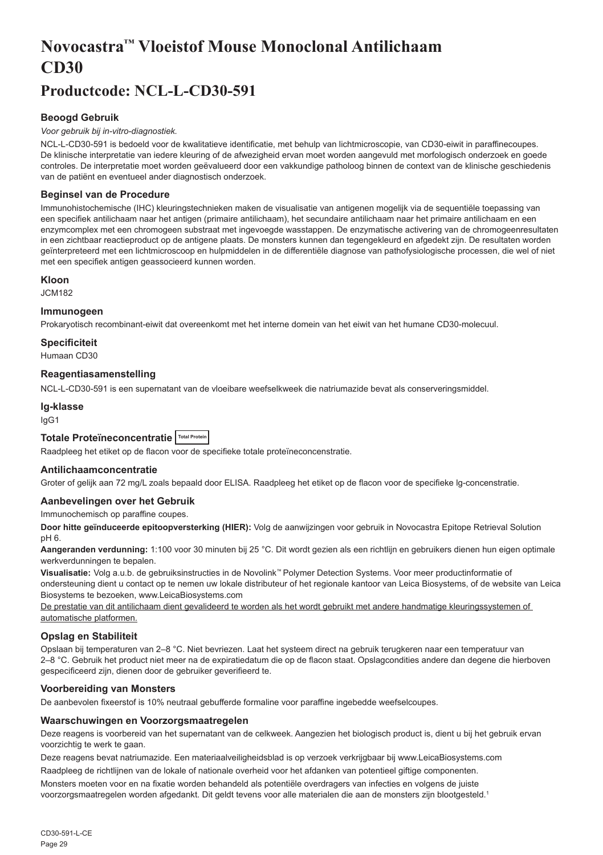# <span id="page-29-0"></span>**Novocastra™ Vloeistof Mouse Monoclonal Antilichaam CD30**

# **Productcode: NCL-L-CD30-591**

# **Beoogd Gebruik**

#### *Voor gebruik bij in-vitro-diagnostiek.*

NCL-L-CD30-591 is bedoeld voor de kwalitatieve identificatie, met behulp van lichtmicroscopie, van CD30-eiwit in paraffinecoupes. De klinische interpretatie van iedere kleuring of de afwezigheid ervan moet worden aangevuld met morfologisch onderzoek en goede controles. De interpretatie moet worden geëvalueerd door een vakkundige patholoog binnen de context van de klinische geschiedenis van de patiënt en eventueel ander diagnostisch onderzoek.

# **Beginsel van de Procedure**

Immunohistochemische (IHC) kleuringstechnieken maken de visualisatie van antigenen mogelijk via de sequentiële toepassing van een specifiek antilichaam naar het antigen (primaire antilichaam), het secundaire antilichaam naar het primaire antilichaam en een enzymcomplex met een chromogeen substraat met ingevoegde wasstappen. De enzymatische activering van de chromogeenresultaten in een zichtbaar reactieproduct op de antigene plaats. De monsters kunnen dan tegengekleurd en afgedekt zijn. De resultaten worden geïnterpreteerd met een lichtmicroscoop en hulpmiddelen in de differentiële diagnose van pathofysiologische processen, die wel of niet met een specifiek antigen geassocieerd kunnen worden.

#### **Kloon**

JCM182

## **Immunogeen**

Prokaryotisch recombinant-eiwit dat overeenkomt met het interne domein van het eiwit van het humane CD30-molecuul.

#### **Specificiteit**

Humaan CD30

#### **Reagentiasamenstelling**

NCL-L-CD30-591 is een supernatant van de vloeibare weefselkweek die natriumazide bevat als conserveringsmiddel.

# **Ig-klasse**

IgG1

# **Totale Proteïneconcentratie Total Protein**

Raadpleeg het etiket op de flacon voor de specifieke totale proteïneconcenstratie.

#### **Antilichaamconcentratie**

Groter of gelijk aan 72 mg/L zoals bepaald door ELISA. Raadpleeg het etiket op de flacon voor de specifieke lg-concenstratie.

#### **Aanbevelingen over het Gebruik**

Immunochemisch op paraffine coupes.

**Door hitte geïnduceerde epitoopversterking (HIER):** Volg de aanwijzingen voor gebruik in Novocastra Epitope Retrieval Solution pH 6.

**Aangeranden verdunning:** 1:100 voor 30 minuten bij 25 °C. Dit wordt gezien als een richtlijn en gebruikers dienen hun eigen optimale werkverdunningen te bepalen.

**Visualisatie:** Volg a.u.b. de gebruiksinstructies in de Novolink™ Polymer Detection Systems. Voor meer productinformatie of ondersteuning dient u contact op te nemen uw lokale distributeur of het regionale kantoor van Leica Biosystems, of de website van Leica Biosystems te bezoeken, www.LeicaBiosystems.com

De prestatie van dit antilichaam dient gevalideerd te worden als het wordt gebruikt met andere handmatige kleuringssystemen of automatische platformen.

### **Opslag en Stabiliteit**

Opslaan bij temperaturen van 2–8 °C. Niet bevriezen. Laat het systeem direct na gebruik terugkeren naar een temperatuur van 2–8 °C. Gebruik het product niet meer na de expiratiedatum die op de flacon staat. Opslagcondities andere dan degene die hierboven gespecificeerd zijn, dienen door de gebruiker geverifieerd te.

### **Voorbereiding van Monsters**

De aanbevolen fixeerstof is 10% neutraal gebufferde formaline voor paraffine ingebedde weefselcoupes.

#### **Waarschuwingen en Voorzorgsmaatregelen**

Deze reagens is voorbereid van het supernatant van de celkweek. Aangezien het biologisch product is, dient u bij het gebruik ervan voorzichtig te werk te gaan.

Deze reagens bevat natriumazide. Een materiaalveiligheidsblad is op verzoek verkrijgbaar bij www.LeicaBiosystems.com

Raadpleeg de richtlijnen van de lokale of nationale overheid voor het afdanken van potentieel giftige componenten.

Monsters moeten voor en na fixatie worden behandeld als potentiële overdragers van infecties en volgens de juiste voorzorgsmaatregelen worden afgedankt. Dit geldt tevens voor alle materialen die aan de monsters zijn blootgesteld.1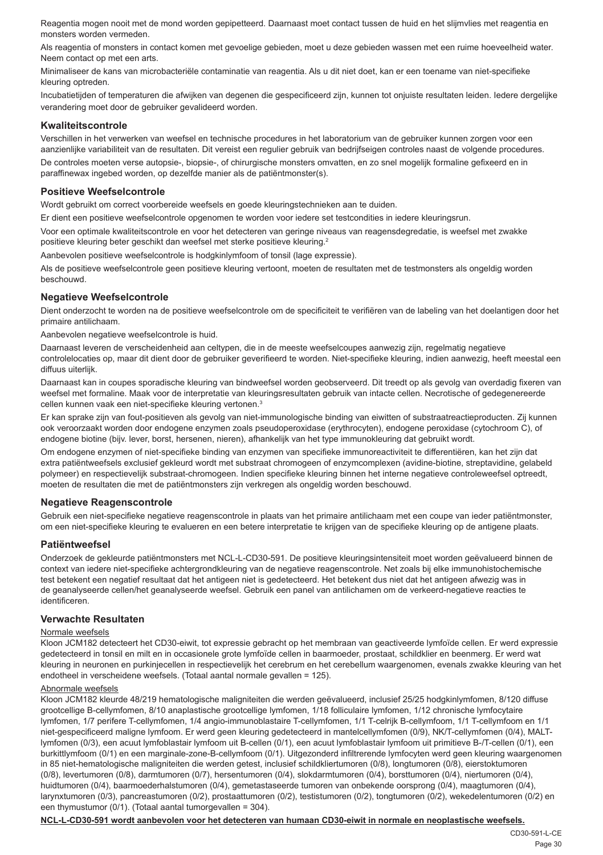Reagentia mogen nooit met de mond worden gepipetteerd. Daarnaast moet contact tussen de huid en het slijmvlies met reagentia en monsters worden vermeden.

Als reagentia of monsters in contact komen met gevoelige gebieden, moet u deze gebieden wassen met een ruime hoeveelheid water. Neem contact op met een arts.

Minimaliseer de kans van microbacteriële contaminatie van reagentia. Als u dit niet doet, kan er een toename van niet-specifieke kleuring optreden.

Incubatietijden of temperaturen die afwijken van degenen die gespecificeerd zijn, kunnen tot onjuiste resultaten leiden. Iedere dergelijke verandering moet door de gebruiker gevalideerd worden.

#### **Kwaliteitscontrole**

Verschillen in het verwerken van weefsel en technische procedures in het laboratorium van de gebruiker kunnen zorgen voor een aanzienlijke variabiliteit van de resultaten. Dit vereist een regulier gebruik van bedrijfseigen controles naast de volgende procedures. De controles moeten verse autopsie-, biopsie-, of chirurgische monsters omvatten, en zo snel mogelijk formaline gefixeerd en in paraffinewax ingebed worden, op dezelfde manier als de patiëntmonster(s).

#### **Positieve Weefselcontrole**

Wordt gebruikt om correct voorbereide weefsels en goede kleuringstechnieken aan te duiden.

Er dient een positieve weefselcontrole opgenomen te worden voor iedere set testcondities in iedere kleuringsrun.

Voor een optimale kwaliteitscontrole en voor het detecteren van geringe niveaus van reagensdegredatie, is weefsel met zwakke positieve kleuring beter geschikt dan weefsel met sterke positieve kleuring.<sup>2</sup>

Aanbevolen positieve weefselcontrole is hodgkinlymfoom of tonsil (lage expressie).

Als de positieve weefselcontrole geen positieve kleuring vertoont, moeten de resultaten met de testmonsters als ongeldig worden beschouwd.

### **Negatieve Weefselcontrole**

Dient onderzocht te worden na de positieve weefselcontrole om de specificiteit te verifiëren van de labeling van het doelantigen door het primaire antilichaam.

Aanbevolen negatieve weefselcontrole is huid.

Daarnaast leveren de verscheidenheid aan celtypen, die in de meeste weefselcoupes aanwezig zijn, regelmatig negatieve controlelocaties op, maar dit dient door de gebruiker geverifieerd te worden. Niet-specifieke kleuring, indien aanwezig, heeft meestal een diffuus uiterlijk.

Daarnaast kan in coupes sporadische kleuring van bindweefsel worden geobserveerd. Dit treedt op als gevolg van overdadig fixeren van weefsel met formaline. Maak voor de interpretatie van kleuringsresultaten gebruik van intacte cellen. Necrotische of gedegenereerde cellen kunnen vaak een niet-specifieke kleuring vertonen.<sup>3</sup>

Er kan sprake zijn van fout-positieven als gevolg van niet-immunologische binding van eiwitten of substraatreactieproducten. Zij kunnen ook veroorzaakt worden door endogene enzymen zoals pseudoperoxidase (erythrocyten), endogene peroxidase (cytochroom C), of endogene biotine (bijv. lever, borst, hersenen, nieren), afhankelijk van het type immunokleuring dat gebruikt wordt.

Om endogene enzymen of niet-specifieke binding van enzymen van specifieke immunoreactiviteit te differentiëren, kan het zijn dat extra patiëntweefsels exclusief gekleurd wordt met substraat chromogeen of enzymcomplexen (avidine-biotine, streptavidine, gelabeld polymeer) en respectievelijk substraat-chromogeen. Indien specifieke kleuring binnen het interne negatieve controleweefsel optreedt, moeten de resultaten die met de patiëntmonsters zijn verkregen als ongeldig worden beschouwd.

#### **Negatieve Reagenscontrole**

Gebruik een niet-specifieke negatieve reagenscontrole in plaats van het primaire antilichaam met een coupe van ieder patiëntmonster, om een niet-specifieke kleuring te evalueren en een betere interpretatie te krijgen van de specifieke kleuring op de antigene plaats.

### **Patiëntweefsel**

Onderzoek de gekleurde patiëntmonsters met NCL-L-CD30-591. De positieve kleuringsintensiteit moet worden geëvalueerd binnen de context van iedere niet-specifieke achtergrondkleuring van de negatieve reagenscontrole. Net zoals bij elke immunohistochemische test betekent een negatief resultaat dat het antigeen niet is gedetecteerd. Het betekent dus niet dat het antigeen afwezig was in de geanalyseerde cellen/het geanalyseerde weefsel. Gebruik een panel van antilichamen om de verkeerd-negatieve reacties te identificeren.

#### **Verwachte Resultaten**

#### Normale weefsels

Kloon JCM182 detecteert het CD30-eiwit, tot expressie gebracht op het membraan van geactiveerde lymfoïde cellen. Er werd expressie gedetecteerd in tonsil en milt en in occasionele grote lymfoïde cellen in baarmoeder, prostaat, schildklier en beenmerg. Er werd wat kleuring in neuronen en purkinjecellen in respectievelijk het cerebrum en het cerebellum waargenomen, evenals zwakke kleuring van het endotheel in verscheidene weefsels. (Totaal aantal normale gevallen = 125).

#### Abnormale weefsels

Kloon JCM182 kleurde 48/219 hematologische maligniteiten die werden geëvalueerd, inclusief 25/25 hodgkinlymfomen, 8/120 diffuse grootcellige B-cellymfomen, 8/10 anaplastische grootcellige lymfomen, 1/18 folliculaire lymfomen, 1/12 chronische lymfocytaire lymfomen, 1/7 perifere T-cellymfomen, 1/4 angio-immunoblastaire T-cellymfomen, 1/1 T-celrijk B-cellymfoom, 1/1 T-cellymfoom en 1/1 niet-gespecificeerd maligne lymfoom. Er werd geen kleuring gedetecteerd in mantelcellymfomen (0/9), NK/T-cellymfomen (0/4), MALTlymfomen (0/3), een acuut lymfoblastair lymfoom uit B-cellen (0/1), een acuut lymfoblastair lymfoom uit primitieve B-/T-cellen (0/1), een burkittlymfoom (0/1) en een marginale-zone-B-cellymfoom (0/1). Uitgezonderd infiltrerende lymfocyten werd geen kleuring waargenomen in 85 niet-hematologische maligniteiten die werden getest, inclusief schildkliertumoren (0/8), longtumoren (0/8), eierstoktumoren (0/8), levertumoren (0/8), darmtumoren (0/7), hersentumoren (0/4), slokdarmtumoren (0/4), borsttumoren (0/4), niertumoren (0/4), huidtumoren (0/4), baarmoederhalstumoren (0/4), gemetastaseerde tumoren van onbekende oorsprong (0/4), maagtumoren (0/4), larynxtumoren (0/3), pancreastumoren (0/2), prostaattumoren (0/2), testistumoren (0/2), tongtumoren (0/2), wekedelentumoren (0/2) en een thymustumor  $(0/1)$ . (Totaal aantal tumorgevallen = 304).

#### **NCL-L-CD30-591 wordt aanbevolen voor het detecteren van humaan CD30-eiwit in normale en neoplastische weefsels.**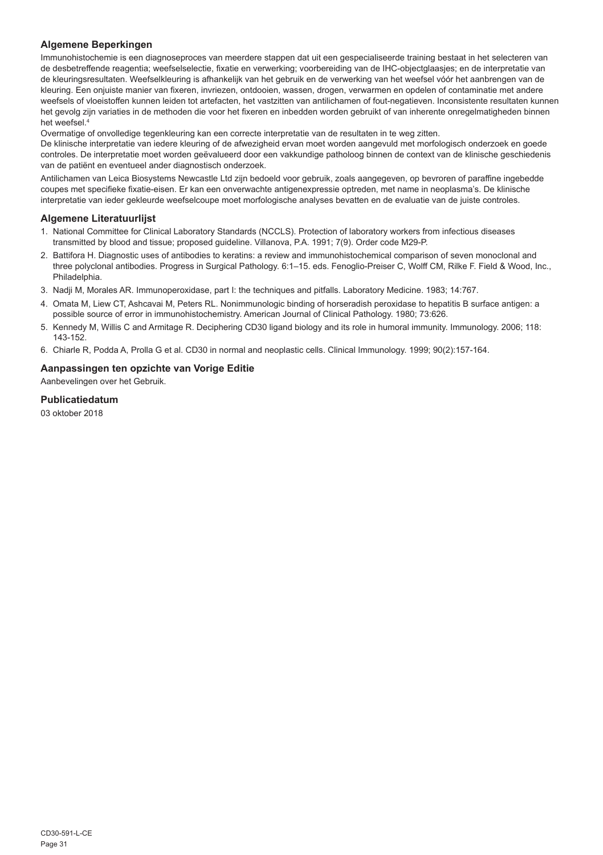# **Algemene Beperkingen**

Immunohistochemie is een diagnoseproces van meerdere stappen dat uit een gespecialiseerde training bestaat in het selecteren van de desbetreffende reagentia; weefselselectie, fixatie en verwerking; voorbereiding van de IHC-objectglaasjes; en de interpretatie van de kleuringsresultaten. Weefselkleuring is afhankelijk van het gebruik en de verwerking van het weefsel vóór het aanbrengen van de kleuring. Een onjuiste manier van fixeren, invriezen, ontdooien, wassen, drogen, verwarmen en opdelen of contaminatie met andere weefsels of vloeistoffen kunnen leiden tot artefacten, het vastzitten van antilichamen of fout-negatieven. Inconsistente resultaten kunnen het gevolg zijn variaties in de methoden die voor het fixeren en inbedden worden gebruikt of van inherente onregelmatigheden binnen het weefsel.<sup>4</sup>

Overmatige of onvolledige tegenkleuring kan een correcte interpretatie van de resultaten in te weg zitten.

De klinische interpretatie van iedere kleuring of de afwezigheid ervan moet worden aangevuld met morfologisch onderzoek en goede controles. De interpretatie moet worden geëvalueerd door een vakkundige patholoog binnen de context van de klinische geschiedenis van de patiënt en eventueel ander diagnostisch onderzoek.

Antilichamen van Leica Biosystems Newcastle Ltd zijn bedoeld voor gebruik, zoals aangegeven, op bevroren of paraffine ingebedde coupes met specifieke fixatie-eisen. Er kan een onverwachte antigenexpressie optreden, met name in neoplasma's. De klinische interpretatie van ieder gekleurde weefselcoupe moet morfologische analyses bevatten en de evaluatie van de juiste controles.

#### **Algemene Literatuurlijst**

- 1. National Committee for Clinical Laboratory Standards (NCCLS). Protection of laboratory workers from infectious diseases transmitted by blood and tissue; proposed guideline. Villanova, P.A. 1991; 7(9). Order code M29-P.
- 2. Battifora H. Diagnostic uses of antibodies to keratins: a review and immunohistochemical comparison of seven monoclonal and three polyclonal antibodies. Progress in Surgical Pathology. 6:1–15. eds. Fenoglio-Preiser C, Wolff CM, Rilke F. Field & Wood, Inc., **Philadelphia**
- 3. Nadji M, Morales AR. Immunoperoxidase, part I: the techniques and pitfalls. Laboratory Medicine. 1983; 14:767.
- 4. Omata M, Liew CT, Ashcavai M, Peters RL. Nonimmunologic binding of horseradish peroxidase to hepatitis B surface antigen: a possible source of error in immunohistochemistry. American Journal of Clinical Pathology. 1980; 73:626.
- 5. Kennedy M, Willis C and Armitage R. Deciphering CD30 ligand biology and its role in humoral immunity. Immunology. 2006; 118: 143-152.
- 6. Chiarle R, Podda A, Prolla G et al. CD30 in normal and neoplastic cells. Clinical Immunology. 1999; 90(2):157-164.

### **Aanpassingen ten opzichte van Vorige Editie**

Aanbevelingen over het Gebruik.

## **Publicatiedatum**

03 oktober 2018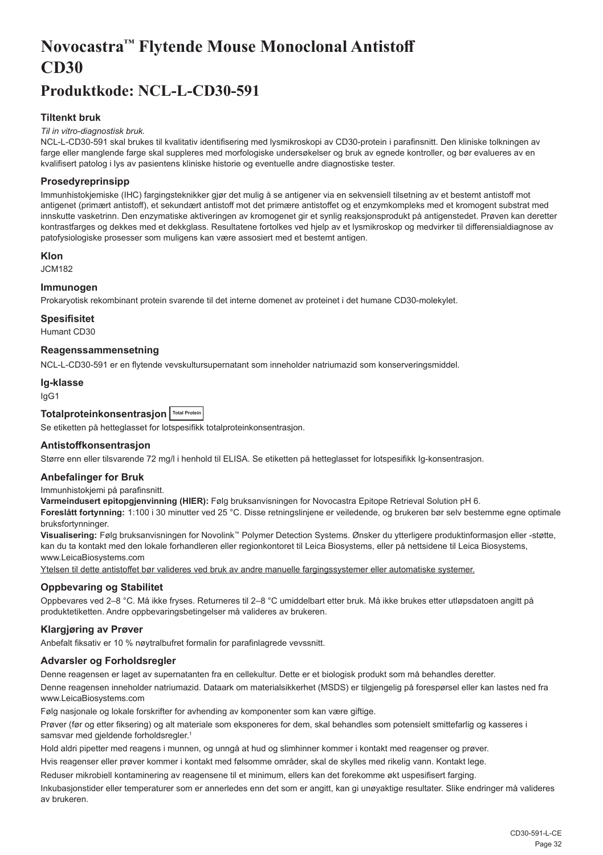# <span id="page-32-0"></span>**Novocastra™ Flytende Mouse Monoclonal Antistoff CD30**

# **Produktkode: NCL-L-CD30-591**

# **Tiltenkt bruk**

#### *Til in vitro-diagnostisk bruk.*

NCL-L-CD30-591 skal brukes til kvalitativ identifisering med lysmikroskopi av CD30-protein i parafinsnitt. Den kliniske tolkningen av farge eller manglende farge skal suppleres med morfologiske undersøkelser og bruk av egnede kontroller, og bør evalueres av en kvalifisert patolog i lys av pasientens kliniske historie og eventuelle andre diagnostiske tester.

### **Prosedyreprinsipp**

Immunhistokjemiske (IHC) fargingsteknikker gjør det mulig å se antigener via en sekvensiell tilsetning av et bestemt antistoff mot antigenet (primært antistoff), et sekundært antistoff mot det primære antistoffet og et enzymkompleks med et kromogent substrat med innskutte vasketrinn. Den enzymatiske aktiveringen av kromogenet gir et synlig reaksjonsprodukt på antigenstedet. Prøven kan deretter kontrastfarges og dekkes med et dekkglass. Resultatene fortolkes ved hjelp av et lysmikroskop og medvirker til differensialdiagnose av patofysiologiske prosesser som muligens kan være assosiert med et bestemt antigen.

#### **Klon**

JCM182

#### **Immunogen**

Prokaryotisk rekombinant protein svarende til det interne domenet av proteinet i det humane CD30-molekylet.

### **Spesifisitet**

Humant CD30

#### **Reagenssammensetning**

NCL-L-CD30-591 er en flytende vevskultursupernatant som inneholder natriumazid som konserveringsmiddel.

#### **Ig-klasse**

IgG1

# **Totalproteinkonsentrasjon Total Protein**

Se etiketten på hetteglasset for lotspesifikk totalproteinkonsentrasjon.

#### **Antistoffkonsentrasjon**

Større enn eller tilsvarende 72 mg/l i henhold til ELISA. Se etiketten på hetteglasset for lotspesifikk Ig-konsentrasjon.

#### **Anbefalinger for Bruk**

Immunhistokjemi på parafinsnitt.

**Varmeindusert epitopgjenvinning (HIER):** Følg bruksanvisningen for Novocastra Epitope Retrieval Solution pH 6.

**Foreslått fortynning:** 1:100 i 30 minutter ved 25 °C. Disse retningslinjene er veiledende, og brukeren bør selv bestemme egne optimale bruksfortynninger.

**Visualisering:** Følg bruksanvisningen for Novolink™ Polymer Detection Systems. Ønsker du ytterligere produktinformasjon eller -støtte, kan du ta kontakt med den lokale forhandleren eller regionkontoret til Leica Biosystems, eller på nettsidene til Leica Biosystems, www.LeicaBiosystems.com

Ytelsen til dette antistoffet bør valideres ved bruk av andre manuelle fargingssystemer eller automatiske systemer.

# **Oppbevaring og Stabilitet**

Oppbevares ved 2–8 °C. Må ikke fryses. Returneres til 2–8 °C umiddelbart etter bruk. Må ikke brukes etter utløpsdatoen angitt på produktetiketten. Andre oppbevaringsbetingelser må valideres av brukeren.

# **Klargjøring av Prøver**

Anbefalt fiksativ er 10 % nøytralbufret formalin for parafinlagrede vevssnitt.

### **Advarsler og Forholdsregler**

Denne reagensen er laget av supernatanten fra en cellekultur. Dette er et biologisk produkt som må behandles deretter.

Denne reagensen inneholder natriumazid. Dataark om materialsikkerhet (MSDS) er tilgjengelig på forespørsel eller kan lastes ned fra www.LeicaBiosystems.com

Følg nasjonale og lokale forskrifter for avhending av komponenter som kan være giftige.

Prøver (før og etter fiksering) og alt materiale som eksponeres for dem, skal behandles som potensielt smittefarlig og kasseres i samsvar med gjeldende forholdsregler.<sup>1</sup>

Hold aldri pipetter med reagens i munnen, og unngå at hud og slimhinner kommer i kontakt med reagenser og prøver.

Hvis reagenser eller prøver kommer i kontakt med følsomme områder, skal de skylles med rikelig vann. Kontakt lege.

Reduser mikrobiell kontaminering av reagensene til et minimum, ellers kan det forekomme økt uspesifisert farging.

Inkubasjonstider eller temperaturer som er annerledes enn det som er angitt, kan gi unøyaktige resultater. Slike endringer må valideres av brukeren.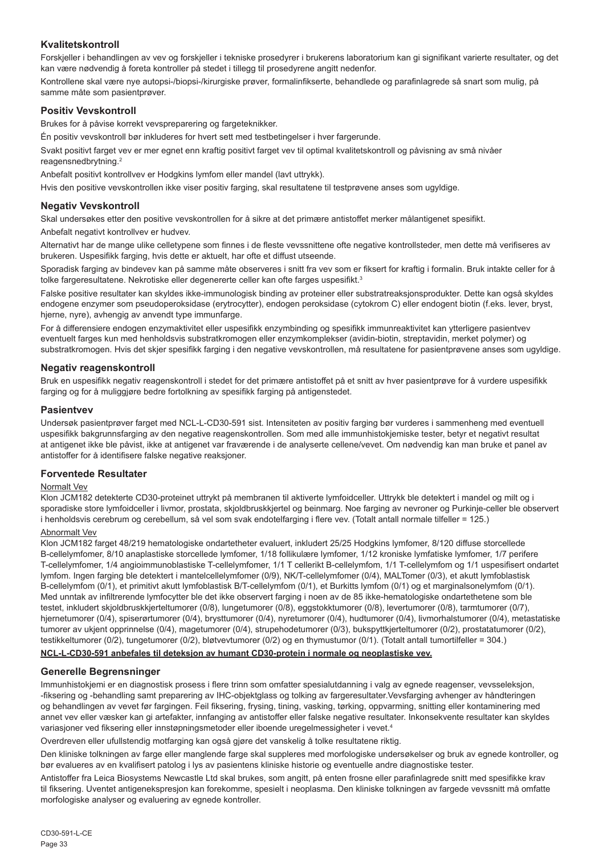# **Kvalitetskontroll**

Forskjeller i behandlingen av vev og forskjeller i tekniske prosedyrer i brukerens laboratorium kan gi signifikant varierte resultater, og det kan være nødvendig å foreta kontroller på stedet i tillegg til prosedyrene angitt nedenfor.

Kontrollene skal være nye autopsi-/biopsi-/kirurgiske prøver, formalinfikserte, behandlede og parafinlagrede så snart som mulig, på samme måte som pasientprøver.

# **Positiv Vevskontroll**

Brukes for å påvise korrekt vevspreparering og fargeteknikker.

Én positiv vevskontroll bør inkluderes for hvert sett med testbetingelser i hver fargerunde.

Svakt positivt farget vev er mer egnet enn kraftig positivt farget vev til optimal kvalitetskontroll og påvisning av små nivåer reagensnedbrytning.<sup>2</sup>

Anbefalt positivt kontrollvev er Hodgkins lymfom eller mandel (lavt uttrykk).

Hvis den positive vevskontrollen ikke viser positiv farging, skal resultatene til testprøvene anses som ugyldige.

# **Negativ Vevskontroll**

Skal undersøkes etter den positive vevskontrollen for å sikre at det primære antistoffet merker målantigenet spesifikt.

Anbefalt negativt kontrollvev er hudvev.

Alternativt har de mange ulike celletypene som finnes i de fleste vevssnittene ofte negative kontrollsteder, men dette må verifiseres av brukeren. Uspesifikk farging, hvis dette er aktuelt, har ofte et diffust utseende.

Sporadisk farging av bindevev kan på samme måte observeres i snitt fra vev som er fiksert for kraftig i formalin. Bruk intakte celler for å tolke fargeresultatene. Nekrotiske eller degenererte celler kan ofte farges uspesifikt.<sup>3</sup>

Falske positive resultater kan skyldes ikke-immunologisk binding av proteiner eller substratreaksjonsprodukter. Dette kan også skyldes endogene enzymer som pseudoperoksidase (erytrocytter), endogen peroksidase (cytokrom C) eller endogent biotin (f.eks. lever, bryst, hjerne, nyre), avhengig av anvendt type immunfarge.

For å differensiere endogen enzymaktivitet eller uspesifikk enzymbinding og spesifikk immunreaktivitet kan ytterligere pasientvev eventuelt farges kun med henholdsvis substratkromogen eller enzymkomplekser (avidin-biotin, streptavidin, merket polymer) og substratkromogen. Hvis det skjer spesifikk farging i den negative vevskontrollen, må resultatene for pasientprøvene anses som ugyldige.

# **Negativ reagenskontroll**

Bruk en uspesifikk negativ reagenskontroll i stedet for det primære antistoffet på et snitt av hver pasientprøve for å vurdere uspesifikk farging og for å muliggjøre bedre fortolkning av spesifikk farging på antigenstedet.

### **Pasientvev**

Undersøk pasientprøver farget med NCL-L-CD30-591 sist. Intensiteten av positiv farging bør vurderes i sammenheng med eventuell uspesifikk bakgrunnsfarging av den negative reagenskontrollen. Som med alle immunhistokjemiske tester, betyr et negativt resultat at antigenet ikke ble påvist, ikke at antigenet var fraværende i de analyserte cellene/vevet. Om nødvendig kan man bruke et panel av antistoffer for å identifisere falske negative reaksjoner.

### **Forventede Resultater**

### Normalt Vev

Klon JCM182 detekterte CD30-proteinet uttrykt på membranen til aktiverte lymfoidceller. Uttrykk ble detektert i mandel og milt og i sporadiske store lymfoidceller i livmor, prostata, skjoldbruskkjertel og beinmarg. Noe farging av nevroner og Purkinje-celler ble observert i henholdsvis cerebrum og cerebellum, så vel som svak endotelfarging i flere vev. (Totalt antall normale tilfeller = 125.)

### Abnormalt Vev

Klon JCM182 farget 48/219 hematologiske ondartetheter evaluert, inkludert 25/25 Hodgkins lymfomer, 8/120 diffuse storcellede B-cellelymfomer, 8/10 anaplastiske storcellede lymfomer, 1/18 follikulære lymfomer, 1/12 kroniske lymfatiske lymfomer, 1/7 perifere T-cellelymfomer, 1/4 angioimmunoblastiske T-cellelymfomer, 1/1 T cellerikt B-cellelymfom, 1/1 T-cellelymfom og 1/1 uspesifisert ondartet lymfom. Ingen farging ble detektert i mantelcellelymfomer (0/9), NK/T-cellelymfomer (0/4), MALTomer (0/3), et akutt lymfoblastisk B-cellelymfom (0/1), et primitivt akutt lymfoblastisk B/T-cellelymfom (0/1), et Burkitts lymfom (0/1) og et marginalsonelymfom (0/1). Med unntak av infiltrerende lymfocytter ble det ikke observert farging i noen av de 85 ikke-hematologiske ondartethetene som ble testet, inkludert skjoldbruskkjerteltumorer (0/8), lungetumorer (0/8), eggstokktumorer (0/8), levertumorer (0/8), tarmtumorer (0/7), hjernetumorer (0/4), spiserørtumorer (0/4), brysttumorer (0/4), nyretumorer (0/4), hudtumorer (0/4), livmorhalstumorer (0/4), metastatiske tumorer av ukjent opprinnelse (0/4), magetumorer (0/4), strupehodetumorer (0/3), bukspyttkjerteltumorer (0/2), prostatatumorer (0/2), testikkeltumorer (0/2), tungetumorer (0/2), bløtvevtumorer (0/2) og en thymustumor (0/1). (Totalt antall tumortilfeller = 304.)

## **NCL-L-CD30-591 anbefales til deteksjon av humant CD30-protein i normale og neoplastiske vev.**

### **Generelle Begrensninger**

Immunhistokjemi er en diagnostisk prosess i flere trinn som omfatter spesialutdanning i valg av egnede reagenser, vevsseleksjon, -fiksering og -behandling samt preparering av IHC-objektglass og tolking av fargeresultater.Vevsfarging avhenger av håndteringen og behandlingen av vevet før fargingen. Feil fiksering, frysing, tining, vasking, tørking, oppvarming, snitting eller kontaminering med annet vev eller væsker kan gi artefakter, innfanging av antistoffer eller falske negative resultater. Inkonsekvente resultater kan skyldes variasjoner ved fiksering eller innstøpningsmetoder eller iboende uregelmessigheter i vevet.<sup>4</sup>

Overdreven eller ufullstendig motfarging kan også gjøre det vanskelig å tolke resultatene riktig.

Den kliniske tolkningen av farge eller manglende farge skal suppleres med morfologiske undersøkelser og bruk av egnede kontroller, og bør evalueres av en kvalifisert patolog i lys av pasientens kliniske historie og eventuelle andre diagnostiske tester.

Antistoffer fra Leica Biosystems Newcastle Ltd skal brukes, som angitt, på enten frosne eller parafinlagrede snitt med spesifikke krav til fiksering. Uventet antigenekspresjon kan forekomme, spesielt i neoplasma. Den kliniske tolkningen av fargede vevssnitt må omfatte morfologiske analyser og evaluering av egnede kontroller.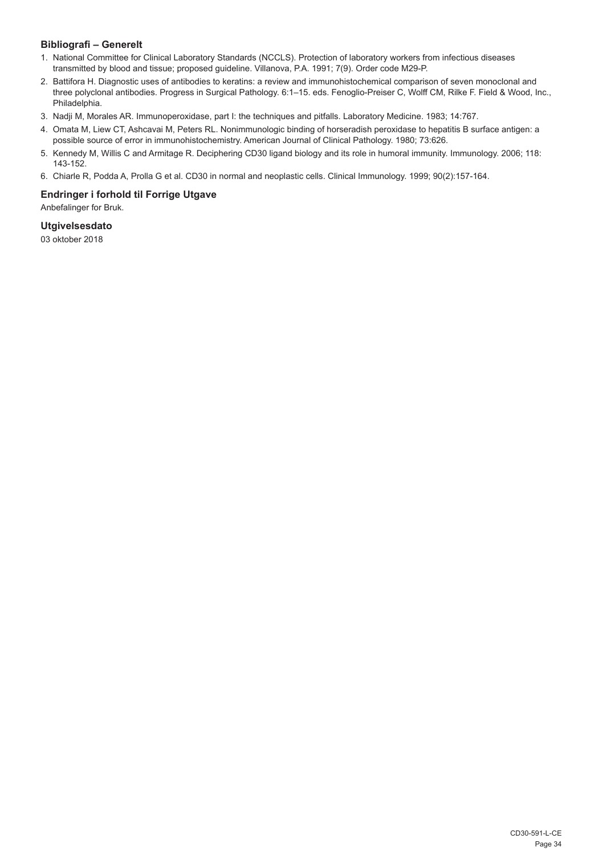# **Bibliografi – Generelt**

- 1. National Committee for Clinical Laboratory Standards (NCCLS). Protection of laboratory workers from infectious diseases transmitted by blood and tissue; proposed guideline. Villanova, P.A. 1991; 7(9). Order code M29-P.
- 2. Battifora H. Diagnostic uses of antibodies to keratins: a review and immunohistochemical comparison of seven monoclonal and three polyclonal antibodies. Progress in Surgical Pathology. 6:1–15. eds. Fenoglio-Preiser C, Wolff CM, Rilke F. Field & Wood, Inc., Philadelphia.
- 3. Nadji M, Morales AR. Immunoperoxidase, part I: the techniques and pitfalls. Laboratory Medicine. 1983; 14:767.
- 4. Omata M, Liew CT, Ashcavai M, Peters RL. Nonimmunologic binding of horseradish peroxidase to hepatitis B surface antigen: a possible source of error in immunohistochemistry. American Journal of Clinical Pathology. 1980; 73:626.
- 5. Kennedy M, Willis C and Armitage R. Deciphering CD30 ligand biology and its role in humoral immunity. Immunology. 2006; 118: 143-152.
- 6. Chiarle R, Podda A, Prolla G et al. CD30 in normal and neoplastic cells. Clinical Immunology. 1999; 90(2):157-164.

# **Endringer i forhold til Forrige Utgave**

Anbefalinger for Bruk.

# **Utgivelsesdato**

03 oktober 2018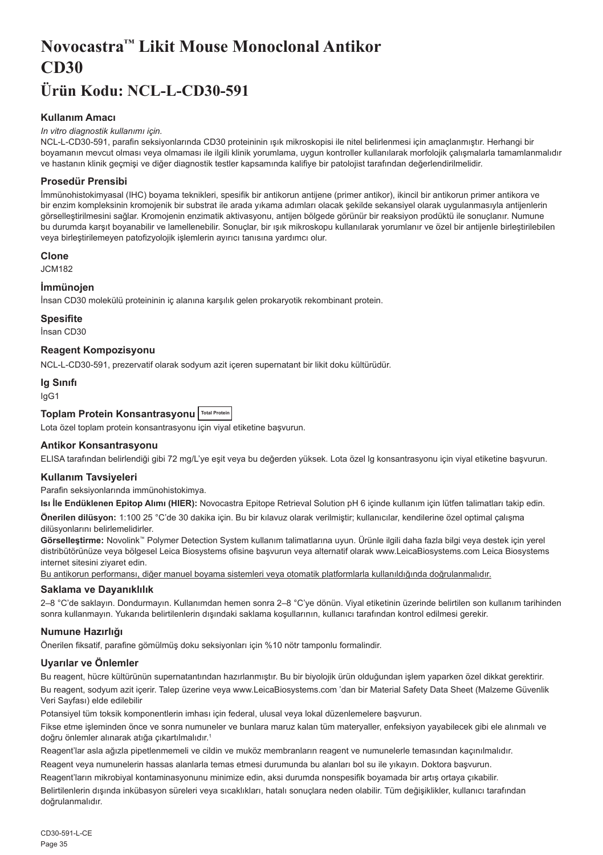# <span id="page-35-0"></span>**Novocastra™ Likit Mouse Monoclonal Antikor CD30 Ürün Kodu: NCL-L-CD30-591**

# **Kullanım Amacı**

#### *In vitro diagnostik kullanımı için.*

NCL-L-CD30-591, parafin seksiyonlarında CD30 proteininin ışık mikroskopisi ile nitel belirlenmesi için amaçlanmıştır. Herhangi bir boyamanın mevcut olması veya olmaması ile ilgili klinik yorumlama, uygun kontroller kullanılarak morfolojik çalışmalarla tamamlanmalıdır ve hastanın klinik geçmişi ve diğer diagnostik testler kapsamında kalifiye bir patolojist tarafından değerlendirilmelidir.

#### **Prosedür Prensibi**

İmmünohistokimyasal (IHC) boyama teknikleri, spesifik bir antikorun antijene (primer antikor), ikincil bir antikorun primer antikora ve bir enzim kompleksinin kromojenik bir substrat ile arada yıkama adımları olacak şekilde sekansiyel olarak uygulanmasıyla antijenlerin görselleştirilmesini sağlar. Kromojenin enzimatik aktivasyonu, antijen bölgede görünür bir reaksiyon prodüktü ile sonuçlanır. Numune bu durumda karşıt boyanabilir ve lamellenebilir. Sonuçlar, bir ışık mikroskopu kullanılarak yorumlanır ve özel bir antijenle birleştirilebilen veya birleştirilemeyen patofizyolojik işlemlerin ayırıcı tanısına yardımcı olur.

#### **Clone**

JCM182

#### **İmmünojen**

İnsan CD30 molekülü proteininin iç alanına karşılık gelen prokaryotik rekombinant protein.

# **Spesifite**

İnsan CD30

# **Reagent Kompozisyonu**

NCL-L-CD30-591, prezervatif olarak sodyum azit içeren supernatant bir likit doku kültürüdür.

#### **Ig Sınıfı**

IgG1

# **Toplam Protein Konsantrasyonu Total Protein**

Lota özel toplam protein konsantrasyonu için viyal etiketine başvurun.

#### **Antikor Konsantrasyonu**

ELISA tarafından belirlendiği gibi 72 mg/L'ye eşit veya bu değerden yüksek. Lota özel lg konsantrasyonu için viyal etiketine başvurun.

#### **Kullanım Tavsiyeleri**

Parafin seksiyonlarında immünohistokimya.

**Isı İle Endüklenen Epitop Alımı (HIER):** Novocastra Epitope Retrieval Solution pH 6 içinde kullanım için lütfen talimatları takip edin.

**Önerilen dilüsyon:** 1:100 25 °C'de 30 dakika için. Bu bir kılavuz olarak verilmiştir; kullanıcılar, kendilerine özel optimal çalışma dilüsyonlarını belirlemelidirler.

**Görselleştirme:** Novolink™ Polymer Detection System kullanım talimatlarına uyun. Ürünle ilgili daha fazla bilgi veya destek için yerel distribütörünüze veya bölgesel Leica Biosystems ofisine başvurun veya alternatif olarak www.LeicaBiosystems.com Leica Biosystems internet sitesini ziyaret edin.

Bu antikorun performansı, diğer manuel boyama sistemleri veya otomatik platformlarla kullanıldığında doğrulanmalıdır.

#### **Saklama ve Dayanıklılık**

2–8 °C'de saklayın. Dondurmayın. Kullanımdan hemen sonra 2–8 °C'ye dönün. Viyal etiketinin üzerinde belirtilen son kullanım tarihinden sonra kullanmayın. Yukarıda belirtilenlerin dışındaki saklama koşullarının, kullanıcı tarafından kontrol edilmesi gerekir.

### **Numune Hazırlığı**

Önerilen fiksatif, parafine gömülmüş doku seksiyonları için %10 nötr tamponlu formalindir.

#### **Uyarılar ve Önlemler**

Bu reagent, hücre kültürünün supernatantından hazırlanmıştır. Bu bir biyolojik ürün olduğundan işlem yaparken özel dikkat gerektirir. Bu reagent, sodyum azit içerir. Talep üzerine veya www.LeicaBiosystems.com 'dan bir Material Safety Data Sheet (Malzeme Güvenlik Veri Sayfası) elde edilebilir

Potansiyel tüm toksik komponentlerin imhası için federal, ulusal veya lokal düzenlemelere başvurun.

Fikse etme işleminden önce ve sonra numuneler ve bunlara maruz kalan tüm materyaller, enfeksiyon yayabilecek gibi ele alınmalı ve doğru önlemler alınarak atığa çıkartılmalıdır.<sup>1</sup>

Reagent'lar asla ağızla pipetlenmemeli ve cildin ve muköz membranların reagent ve numunelerle temasından kaçınılmalıdır.

Reagent veya numunelerin hassas alanlarla temas etmesi durumunda bu alanları bol su ile yıkayın. Doktora başvurun.

Reagent'ların mikrobiyal kontaminasyonunu minimize edin, aksi durumda nonspesifik boyamada bir artış ortaya çıkabilir.

Belirtilenlerin dışında inkübasyon süreleri veya sıcaklıkları, hatalı sonuçlara neden olabilir. Tüm değişiklikler, kullanıcı tarafından doğrulanmalıdır.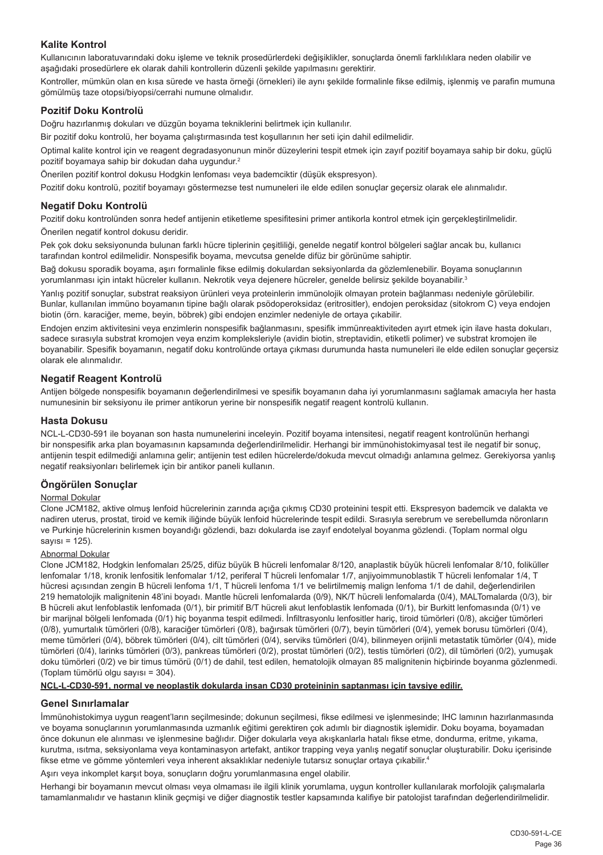# **Kalite Kontrol**

Kullanıcının laboratuvarındaki doku işleme ve teknik prosedürlerdeki değişiklikler, sonuçlarda önemli farklılıklara neden olabilir ve aşağıdaki prosedürlere ek olarak dahili kontrollerin düzenli şekilde yapılmasını gerektirir.

Kontroller, mümkün olan en kısa sürede ve hasta örneği (örnekleri) ile aynı şekilde formalinle fikse edilmiş, işlenmiş ve parafin mumuna gömülmüş taze otopsi/biyopsi/cerrahi numune olmalıdır.

#### **Pozitif Doku Kontrolü**

Doğru hazırlanmış dokuları ve düzgün boyama tekniklerini belirtmek için kullanılır.

Bir pozitif doku kontrolü, her boyama çalıştırmasında test koşullarının her seti için dahil edilmelidir.

Optimal kalite kontrol için ve reagent degradasyonunun minör düzeylerini tespit etmek için zayıf pozitif boyamaya sahip bir doku, güçlü pozitif boyamaya sahip bir dokudan daha uygundur.<sup>2</sup>

Önerilen pozitif kontrol dokusu Hodgkin lenfoması veya bademciktir (düşük ekspresyon).

Pozitif doku kontrolü, pozitif boyamayı göstermezse test numuneleri ile elde edilen sonuçlar geçersiz olarak ele alınmalıdır.

#### **Negatif Doku Kontrolü**

Pozitif doku kontrolünden sonra hedef antijenin etiketleme spesifitesini primer antikorla kontrol etmek için gerçekleştirilmelidir. Önerilen negatif kontrol dokusu deridir.

Pek çok doku seksiyonunda bulunan farklı hücre tiplerinin çeşitliliği, genelde negatif kontrol bölgeleri sağlar ancak bu, kullanıcı tarafından kontrol edilmelidir. Nonspesifik boyama, mevcutsa genelde difüz bir görünüme sahiptir.

Bağ dokusu sporadik boyama, aşırı formalinle fikse edilmiş dokulardan seksiyonlarda da gözlemlenebilir. Boyama sonuçlarının yorumlanması için intakt hücreler kullanın. Nekrotik veya dejenere hücreler, genelde belirsiz şekilde boyanabilir.<sup>3</sup>

Yanlış pozitif sonuçlar, substrat reaksiyon ürünleri veya proteinlerin immünolojik olmayan protein bağlanması nedeniyle görülebilir. Bunlar, kullanılan immüno boyamanın tipine bağlı olarak psödoperoksidaz (eritrositler), endojen peroksidaz (sitokrom C) veya endojen biotin (örn. karaciğer, meme, beyin, böbrek) gibi endojen enzimler nedeniyle de ortaya çıkabilir.

Endojen enzim aktivitesini veya enzimlerin nonspesifik bağlanmasını, spesifik immünreaktiviteden ayırt etmek için ilave hasta dokuları, sadece sırasıyla substrat kromojen veya enzim kompleksleriyle (avidin biotin, streptavidin, etiketli polimer) ve substrat kromojen ile boyanabilir. Spesifik boyamanın, negatif doku kontrolünde ortaya çıkması durumunda hasta numuneleri ile elde edilen sonuçlar geçersiz olarak ele alınmalıdır.

### **Negatif Reagent Kontrolü**

Antijen bölgede nonspesifik boyamanın değerlendirilmesi ve spesifik boyamanın daha iyi yorumlanmasını sağlamak amacıyla her hasta numunesinin bir seksiyonu ile primer antikorun yerine bir nonspesifik negatif reagent kontrolü kullanın.

### **Hasta Dokusu**

NCL-L-CD30-591 ile boyanan son hasta numunelerini inceleyin. Pozitif boyama intensitesi, negatif reagent kontrolünün herhangi bir nonspesifik arka plan boyamasının kapsamında değerlendirilmelidir. Herhangi bir immünohistokimyasal test ile negatif bir sonuç, antijenin tespit edilmediği anlamına gelir; antijenin test edilen hücrelerde/dokuda mevcut olmadığı anlamına gelmez. Gerekiyorsa yanlış negatif reaksiyonları belirlemek için bir antikor paneli kullanın.

### **Öngörülen Sonuçlar**

#### Normal Dokular

Clone JCM182, aktive olmuş lenfoid hücrelerinin zarında açığa çıkmış CD30 proteinini tespit etti. Ekspresyon bademcik ve dalakta ve nadiren uterus, prostat, tiroid ve kemik iliğinde büyük lenfoid hücrelerinde tespit edildi. Sırasıyla serebrum ve serebellumda nöronların ve Purkinje hücrelerinin kısmen boyandığı gözlendi, bazı dokularda ise zayıf endotelyal boyanma gözlendi. (Toplam normal olgu sayısı =  $125$ ).

## Abnormal Dokular

Clone JCM182, Hodgkin lenfomaları 25/25, difüz büyük B hücreli lenfomalar 8/120, anaplastik büyük hücreli lenfomalar 8/10, foliküller lenfomalar 1/18, kronik lenfositik lenfomalar 1/12, periferal T hücreli lenfomalar 1/7, anjiyoimmunoblastik T hücreli lenfomalar 1/4, T hücresi açısından zengin B hücreli lenfoma 1/1, T hücreli lenfoma 1/1 ve belirtilmemiş malign lenfoma 1/1 de dahil, değerlendirilen 219 hematolojik malignitenin 48'ini boyadı. Mantle hücreli lenfomalarda (0/9), NK/T hücreli lenfomalarda (0/4), MALTomalarda (0/3), bir B hücreli akut lenfoblastik lenfomada (0/1), bir primitif B/T hücreli akut lenfoblastik lenfomada (0/1), bir Burkitt lenfomasında (0/1) ve bir marijnal bölgeli lenfomada (0/1) hiç boyanma tespit edilmedi. İnfiltrasyonlu lenfositler hariç, tiroid tümörleri (0/8), akciğer tümörleri (0/8), yumurtalık tümörleri (0/8), karaciğer tümörleri (0/8), bağırsak tümörleri (0/7), beyin tümörleri (0/4), yemek borusu tümörleri (0/4), meme tümörleri (0/4), böbrek tümörleri (0/4), cilt tümörleri (0/4), serviks tümörleri (0/4), bilinmeyen orijinli metastatik tümörler (0/4), mide tümörleri (0/4), larinks tümörleri (0/3), pankreas tümörleri (0/2), prostat tümörleri (0/2), testis tümörleri (0/2), dil tümörleri (0/2), yumuşak doku tümörleri (0/2) ve bir timus tümörü (0/1) de dahil, test edilen, hematolojik olmayan 85 malignitenin hiçbirinde boyanma gözlenmedi. (Toplam tümörlü olgu sayısı = 304).

#### **NCL-L-CD30-591, normal ve neoplastik dokularda insan CD30 proteininin saptanması için tavsiye edilir.**

#### **Genel Sınırlamalar**

İmmünohistokimya uygun reagent'ların seçilmesinde; dokunun seçilmesi, fikse edilmesi ve işlenmesinde; IHC lamının hazırlanmasında ve boyama sonuçlarının yorumlanmasında uzmanlık eğitimi gerektiren çok adımlı bir diagnostik işlemidir. Doku boyama, boyamadan önce dokunun ele alınması ve işlenmesine bağlıdır. Diğer dokularla veya akışkanlarla hatalı fikse etme, dondurma, eritme, yıkama, kurutma, ısıtma, seksiyonlama veya kontaminasyon artefakt, antikor trapping veya yanlış negatif sonuçlar oluşturabilir. Doku içerisinde fikse etme ve gömme yöntemleri veya inherent aksaklıklar nedeniyle tutarsız sonuçlar ortaya çıkabilir. 4

Aşırı veya inkomplet karşıt boya, sonuçların doğru yorumlanmasına engel olabilir.

Herhangi bir boyamanın mevcut olması veya olmaması ile ilgili klinik yorumlama, uygun kontroller kullanılarak morfolojik çalışmalarla tamamlanmalıdır ve hastanın klinik geçmişi ve diğer diagnostik testler kapsamında kalifiye bir patolojist tarafından değerlendirilmelidir.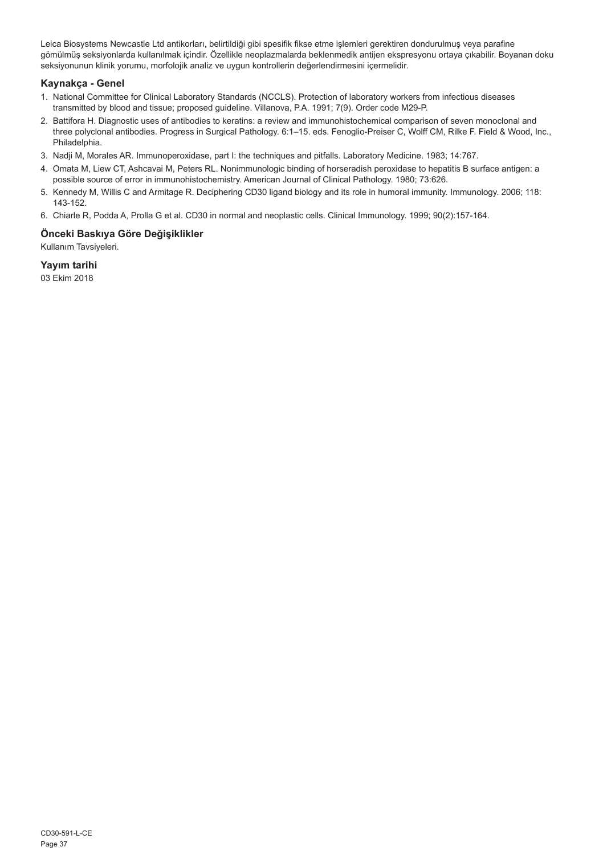Leica Biosystems Newcastle Ltd antikorları, belirtildiği gibi spesifik fikse etme işlemleri gerektiren dondurulmuş veya parafine gömülmüş seksiyonlarda kullanılmak içindir. Özellikle neoplazmalarda beklenmedik antijen ekspresyonu ortaya çıkabilir. Boyanan doku seksiyonunun klinik yorumu, morfolojik analiz ve uygun kontrollerin değerlendirmesini içermelidir.

## **Kaynakça - Genel**

- 1. National Committee for Clinical Laboratory Standards (NCCLS). Protection of laboratory workers from infectious diseases transmitted by blood and tissue; proposed guideline. Villanova, P.A. 1991; 7(9). Order code M29-P.
- 2. Battifora H. Diagnostic uses of antibodies to keratins: a review and immunohistochemical comparison of seven monoclonal and three polyclonal antibodies. Progress in Surgical Pathology. 6:1–15. eds. Fenoglio-Preiser C, Wolff CM, Rilke F. Field & Wood, Inc., Philadelphia.
- 3. Nadji M, Morales AR. Immunoperoxidase, part I: the techniques and pitfalls. Laboratory Medicine. 1983; 14:767.
- 4. Omata M, Liew CT, Ashcavai M, Peters RL. Nonimmunologic binding of horseradish peroxidase to hepatitis B surface antigen: a possible source of error in immunohistochemistry. American Journal of Clinical Pathology. 1980; 73:626.
- 5. Kennedy M, Willis C and Armitage R. Deciphering CD30 ligand biology and its role in humoral immunity. Immunology. 2006; 118: 143-152.
- 6. Chiarle R, Podda A, Prolla G et al. CD30 in normal and neoplastic cells. Clinical Immunology. 1999; 90(2):157-164.

# **Önceki Baskıya Göre Değişiklikler**

Kullanım Tavsiyeleri.

**Yayım tarihi**

03 Ekim 2018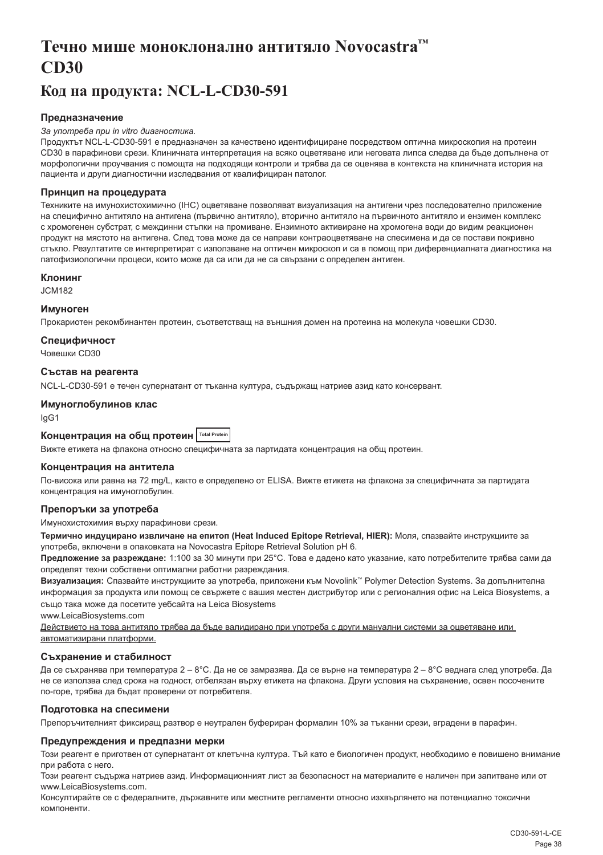# <span id="page-38-0"></span>**Течно мише моноклонално антитяло Novocastra™ CD30**

# **Код на продукта: NCL-L-CD30-591**

### **Предназначение**

#### *За употреба при in vitro диагностика.*

Продуктът NCL-L-CD30-591 е предназначен за качествено идентифициране посредством оптична микроскопия на протеин CD30 в парафинови срези. Клиничната интерпретация на всяко оцветяване или неговата липса следва да бъде допълнена от морфологични проучвания с помощта на подходящи контроли и трябва да се оценява в контекста на клиничната история на пациента и други диагностични изследвания от квалифициран патолог.

#### **Принцип на процедурата**

Техниките на имунохистохимично (IHC) оцветяване позволяват визуализация на антигени чрез последователно приложение на специфично антитяло на антигена (първично антитяло), вторично антитяло на първичното антитяло и ензимен комплекс с хромогенен субстрат, с междинни стъпки на промиване. Ензимното активиране на хромогена води до видим реакционен продукт на мястото на антигена. След това може да се направи контраоцветяване на спесимена и да се постави покривно стъкло. Резултатите се интерпретират с използване на оптичен микроскоп и са в помощ при диференциалната диагностика на патофизиологични процеси, които може да са или да не са свързани с определен антиген.

#### **Клонинг**

JCM182

#### **Имуноген**

Прокариотен рекомбинантен протеин, съответстващ на външния домен на протеина на молекула човешки CD30.

### **Специфичност**

Човешки CD30

#### **Състав на реагента**

NCL-L-CD30-591 е течен супернатант от тъканна култура, съдържащ натриев азид като консервант.

#### **Имуноглобулинов клас**

IgG1

# **Концентрация на общ протеин Total Protein**

Вижте етикета на флакона относно специфичната за партидата концентрация на общ протеин.

#### **Концентрация на антитела**

По-висока или равна на 72 mg/L, както е определено от ELISA. Вижте етикета на флакона за специфичната за партидата концентрация на имуноглобулин.

### **Препоръки за употреба**

Имунохистохимия върху парафинови срези.

**Термично индуцирано извличане на епитоп (Heat Induced Epitope Retrieval, HIER):** Моля, спазвайте инструкциите за употреба, включени в опаковката на Novocastra Epitope Retrieval Solution pH 6.

**Предложение за разреждане:** 1:100 за 30 минути при 25°C. Това е дадено като указание, като потребителите трябва сами да определят техни собствени оптимални работни разреждания.

**Визуализация:** Спазвайте инструкциите за употреба, приложени към Novolink™ Polymer Detection Systems. За допълнителна информация за продукта или помощ се свържете с вашия местен дистрибутор или с регионалния офис на Leica Biosystems, а също така може да посетите уебсайта на Leica Biosystems

www.LeicaBiosystems.com

Действието на това антитяло трябва да бъде валидирано при употреба с други мануални системи за оцветяване или автоматизирани платформи.

#### **Съхранение и стабилност**

Да се съхранява при температура 2 – 8°C. Да не се замразява. Да се върне на температура 2 – 8°C веднага след употреба. Да не се използва след срока на годност, отбелязан върху етикета на флакона. Други условия на съхранение, освен посочените по-горе, трябва да бъдат проверени от потребителя.

#### **Подготовка на спесимени**

Препоръчителният фиксиращ разтвор е неутрален буфериран формалин 10% за тъканни срези, вградени в парафин.

#### **Предупреждения и предпазни мерки**

Този реагент е приготвен от супернатант от клетъчна култура. Тъй като е биологичен продукт, необходимо е повишено внимание при работа с него.

Този реагент съдържа натриев азид. Информационният лист за безопасност на материалите е наличен при запитване или от www.LeicaBiosystems.com.

Консултирайте се с федералните, държавните или местните регламенти относно изхвърлянето на потенциално токсични компоненти.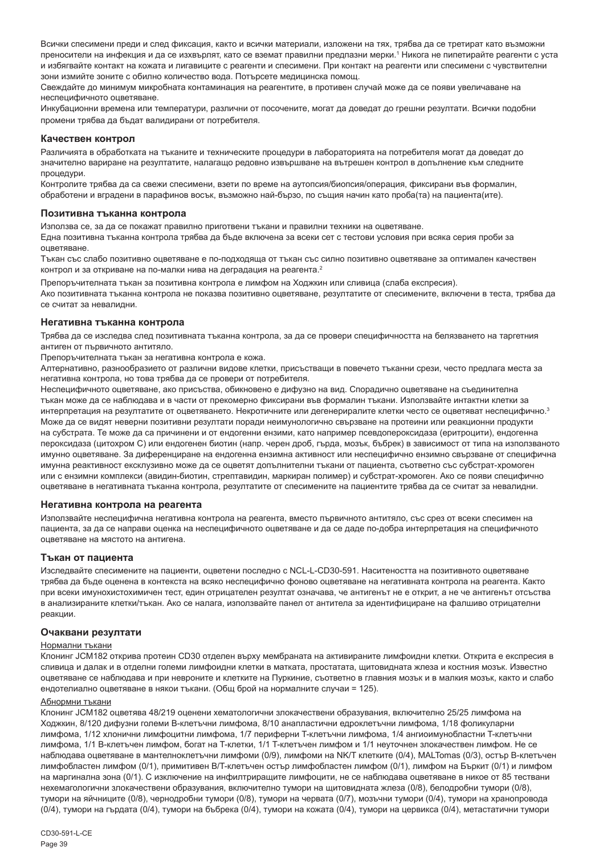Всички спесимени преди и след фиксация, както и всички материали, изложени на тях, трябва да се третират като възможни преносители на инфекция и да се изхвърлят, като се вземат правилни предпазни мерки.' Никога не пипетирайте реагенти с уста и избягвайте контакт на кожата и лигавиците с реагенти и спесимени. При контакт на реагенти или спесимени с чувствителни зони измийте зоните с обилно количество вода. Потърсете медицинска помощ.

Свеждайте до минимум микробната контаминация на реагентите, в противен случай може да се появи увеличаване на неспецифичното оцветяване.

Инкубационни времена или температури, различни от посочените, могат да доведат до грешни резултати. Всички подобни промени трябва да бъдат валидирани от потребителя.

#### **Качествен контрол**

Различията в обработката на тъканите и техническите процедури в лабораторията на потребителя могат да доведат до значително вариране на резултатите, налагащо редовно извършване на вътрешен контрол в допълнение към следните процедури.

Контролите трябва да са свежи спесимени, взети по време на аутопсия/биопсия/операция, фиксирани във формалин, обработени и вградени в парафинов восък, възможно най-бързо, по същия начин като проба(та) на пациента(ите).

#### **Позитивна тъканна контрола**

Използва се, за да се покажат правилно приготвени тъкани и правилни техники на оцветяване.

Една позитивна тъканна контрола трябва да бъде включена за всеки сет с тестови условия при всяка серия проби за оцветяване.

Тъкан със слабо позитивно оцветяване е по-подходяща от тъкан със силно позитивно оцветяване за оптимален качествен контрол и за откриване на по-малки нива на деградация на реагента.<sup>2</sup>

Препоръчителната тъкан за позитивна контрола е лимфом на Ходжкин или сливица (слаба експресия). Ако позитивната тъканна контрола не показва позитивно оцветяване, резултатите от спесимените, включени в теста, трябва да се считат за невалидни.

#### **Негативна тъканна контрола**

Трябва да се изследва след позитивната тъканна контрола, за да се провери специфичността на белязването на таргетния антиген от първичното антитяло.

Препоръчителната тъкан за негативна контрола е кожа.

Алтернативно, разнообразието от различни видове клетки, присъстващи в повечето тъканни срези, често предлага места за негативна контрола, но това трябва да се провери от потребителя.

Неспецифичното оцветяване, ако присъства, обикновено е дифузно на вид. Спорадично оцветяване на съединителна тъкан може да се наблюдава и в части от прекомерно фиксирани във формалин тъкани. Използвайте интактни клетки за интерпретация на резултатите от оцветяването. Некротичните или дегенериралите клетки често се оцветяват неспецифично.<sup>3</sup> Може да се видят неверни позитивни резултати поради неимунологично свързване на протеини или реакционни продукти на субстрата. Те може да са причинени и от ендогенни ензими, като например псевдопероксидаза (еритроцити), ендогенна пероксидаза (цитохром C) или ендогенен биотин (напр. черен дроб, гърда, мозък, бъбрек) в зависимост от типа на използваното имунно оцветяване. За диференциране на ендогенна ензимна активност или неспецифично ензимно свързване от специфична имунна реактивност ексклузивно може да се оцветят допълнителни тъкани от пациента, съответно със субстрат-хромоген или с ензимни комплекси (авидин-биотин, стрептавидин, маркиран полимер) и субстрат-хромоген. Ако се появи специфично оцветяване в негативната тъканна контрола, резултатите от спесимените на пациентите трябва да се считат за невалидни.

#### **Негативна контрола на реагента**

Използвайте неспецифична негативна контрола на реагента, вместо първичното антитяло, със срез от всеки спесимен на пациента, за да се направи оценка на неспецифичното оцветяване и да се даде по-добра интерпретация на специфичното оцветяване на мястото на антигена.

#### **Тъкан от пациента**

Изследвайте спесимените на пациенти, оцветени последно с NCL-L-CD30-591. Наситеността на позитивното оцветяване трябва да бъде оценена в контекста на всяко неспецифично фоново оцветяване на негативната контрола на реагента. Както при всеки имунохистохимичен тест, един отрицателен резултат означава, че антигенът не е открит, а не че антигенът отсъства в анализираните клетки/тъкан. Ако се налага, използвайте панел от антитела за идентифициране на фалшиво отрицателни реакции.

#### **Очаквани резултати**

#### Нормални тъкани

Клонинг JCM182 открива протеин CD30 отделен върху мембраната на активираните лимфоидни клетки. Открита е експресия в сливица и далак и в отделни големи лимфоидни клетки в матката, простатата, щитовидната жлеза и костния мозък. Известно оцветяване се наблюдава и при невроните и клетките на Пуркиние, съответно в главния мозък и в малкия мозък, както и слабо ендотелиално оцветяване в някои тъкани. (Общ брой на нормалните случаи = 125).

#### Абнормни тъкани

Клонинг JCM182 оцветява 48/219 оценени хематологични злокачествени образувания, включително 25/25 лимфома на Ходжкин, 8/120 дифузни големи B-клетъчни лимфома, 8/10 анапластични едроклетъчни лимфома, 1/18 фоликуларни лимфома, 1/12 хлонични лимфоцитни лимфома, 1/7 периферни T-клетъчни лимфома, 1/4 ангиоимунобластни T-клетъчни лимфома, 1/1 B-клетъчен лимфом, богат на T-клетки, 1/1 T-клетъчен лимфом и 1/1 неуточнен злокачествен лимфом. Не се наблюдава оцветяване в мантелноклетъчни лимфоми (0/9), лимфоми на NK/T клетките (0/4), MALTomas (0/3), остър B-клетъчен лимфобластен лимфом (0/1), примитивен B/T-клетъчен остър лимфобластен лимфом (0/1), лимфом на Бъркит (0/1) и лимфом на маргинална зона (0/1). С изключение на инфилтриращите лимфоцити, не се наблюдава оцветяване в никое от 85 тествани нехемагологични злокачествени образувания, включително тумори на щитовидната жлеза (0/8), белодробни тумори (0/8), тумори на яйчниците (0/8), чернодробни тумори (0/8), тумори на червата (0/7), мозъчни тумори (0/4), тумори на хранопровода (0/4), тумори на гърдата (0/4), тумори на бъбрека (0/4), тумори на кожата (0/4), тумори на цервикса (0/4), метастатични тумори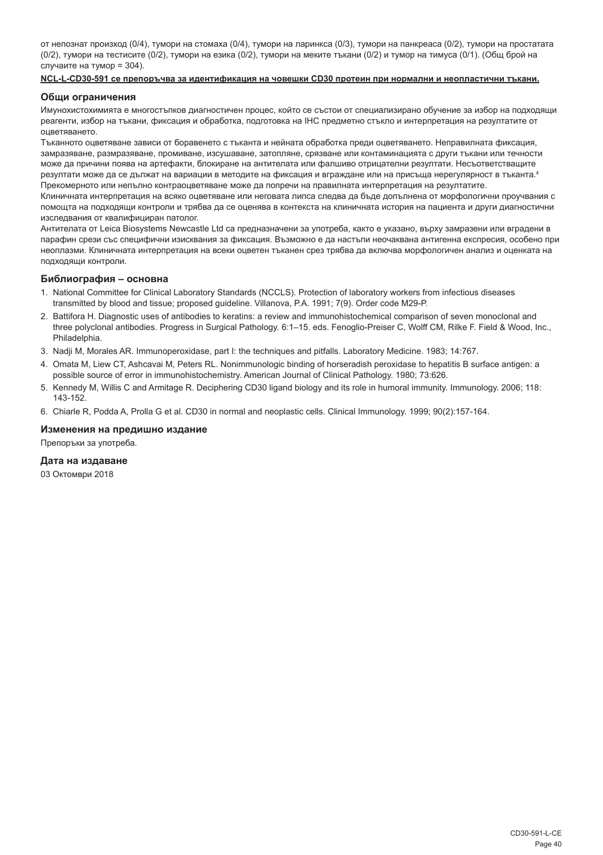от непознат произход (0/4), тумори на стомаха (0/4), тумори на ларинкса (0/3), тумори на панкреаса (0/2), тумори на простатата (0/2), тумори на тестисите (0/2), тумори на езика (0/2), тумори на меките тъкани (0/2) и тумор на тимуса (0/1). (Общ брой на случаите на тумор = 304).

#### **NCL-L-CD30-591 се препоръчва за идентификация на човешки CD30 протеин при нормални и неопластични тъкани.**

#### **Общи ограничения**

Имунохистохимията е многостъпков диагностичен процес, който се състои от специализирано обучение за избор на подходящи реагенти, избор на тъкани, фиксация и обработка, подготовка на IHC предметно стъкло и интерпретация на резултатите от оцветяването.

Тъканното оцветяване зависи от боравенето с тъканта и нейната обработка преди оцветяването. Неправилната фиксация, замразяване, размразяване, промиване, изсушаване, затопляне, срязване или контаминацията с други тъкани или течности може да причини поява на артефакти, блокиране на антителата или фалшиво отрицателни резултати. Несъответстващите резултати може да се дължат на вариации в методите на фиксация и вграждане или на присъща нерегулярност в тъканта.<sup>4</sup> Прекомерното или непълно контраоцветяване може да попречи на правилната интерпретация на резултатите.

Клиничната интерпретация на всяко оцветяване или неговата липса следва да бъде допълнена от морфологични проучвания с помощта на подходящи контроли и трябва да се оценява в контекста на клиничната история на пациента и други диагностични изследвания от квалифициран патолог.

Антителата от Leica Biosystems Newcastle Ltd са предназначени за употреба, както е указано, върху замразени или вградени в парафин срези със специфични изисквания за фиксация. Възможно е да настъпи неочаквана антигенна експресия, особено при неоплазми. Клиничната интерпретация на всеки оцветен тъканен срез трябва да включва морфологичен анализ и оценката на подходящи контроли.

#### **Библиография – основна**

- 1. National Committee for Clinical Laboratory Standards (NCCLS). Protection of laboratory workers from infectious diseases transmitted by blood and tissue; proposed guideline. Villanova, P.A. 1991; 7(9). Order code M29-P.
- 2. Battifora H. Diagnostic uses of antibodies to keratins: a review and immunohistochemical comparison of seven monoclonal and three polyclonal antibodies. Progress in Surgical Pathology. 6:1–15. eds. Fenoglio-Preiser C, Wolff CM, Rilke F. Field & Wood, Inc., Philadelphia.
- 3. Nadji M, Morales AR. Immunoperoxidase, part I: the techniques and pitfalls. Laboratory Medicine. 1983; 14:767.
- 4. Omata M, Liew CT, Ashcavai M, Peters RL. Nonimmunologic binding of horseradish peroxidase to hepatitis B surface antigen: a possible source of error in immunohistochemistry. American Journal of Clinical Pathology. 1980; 73:626.
- 5. Kennedy M, Willis C and Armitage R. Deciphering CD30 ligand biology and its role in humoral immunity. Immunology. 2006; 118: 143-152.
- 6. Chiarle R, Podda A, Prolla G et al. CD30 in normal and neoplastic cells. Clinical Immunology. 1999; 90(2):157-164.

#### **Изменения на предишно издание**

Препоръки за употреба.

# **Дата на издаване**

03 Октомври 2018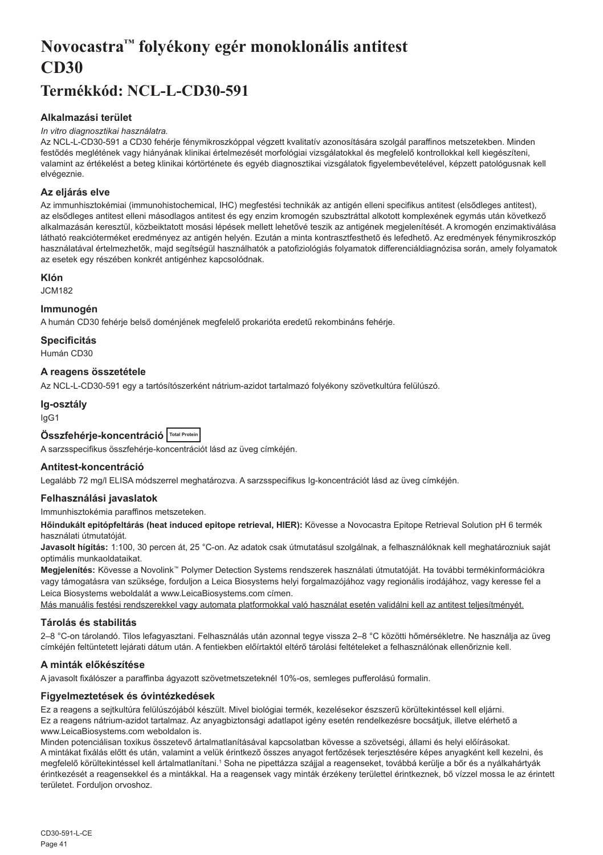# <span id="page-41-0"></span>**Novocastra™ folyékony egér monoklonális antitest CD30**

# **Termékkód: NCL-L-CD30-591**

# **Alkalmazási terület**

#### *In vitro diagnosztikai használatra.*

Az NCL-L-CD30-591 a CD30 fehérje fénymikroszkóppal végzett kvalitatív azonosítására szolgál paraffinos metszetekben. Minden festődés meglétének vagy hiányának klinikai értelmezését morfológiai vizsgálatokkal és megfelelő kontrollokkal kell kiegészíteni, valamint az értékelést a beteg klinikai kórtörténete és egyéb diagnosztikai vizsgálatok figyelembevételével, képzett patológusnak kell elvégeznie.

# **Az eljárás elve**

Az immunhisztokémiai (immunohistochemical, IHC) megfestési technikák az antigén elleni specifikus antitest (elsődleges antitest), az elsődleges antitest elleni másodlagos antitest és egy enzim kromogén szubsztráttal alkotott komplexének egymás után következő alkalmazásán keresztül, közbeiktatott mosási lépések mellett lehetővé teszik az antigének megjelenítését. A kromogén enzimaktiválása látható reakcióterméket eredményez az antigén helyén. Ezután a minta kontrasztfesthető és lefedhető. Az eredmények fénymikroszkóp használatával értelmezhetők, majd segítségül használhatók a patofiziológiás folyamatok differenciáldiagnózisa során, amely folyamatok az esetek egy részében konkrét antigénhez kapcsolódnak.

# **Klón**

JCM182

# **Immunogén**

A humán CD30 fehérje belső doménjének megfelelő prokarióta eredetű rekombináns fehérje.

# **Specificitás**

Humán CD30

# **A reagens összetétele**

Az NCL-L-CD30-591 egy a tartósítószerként nátrium-azidot tartalmazó folyékony szövetkultúra felülúszó.

#### **Ig-osztály**

IgG1

# **Összfehérje-koncentráció Total Protein**

A sarzsspecifikus összfehérje-koncentrációt lásd az üveg címkéjén.

### **Antitest-koncentráció**

Legalább 72 mg/l ELISA módszerrel meghatározva. A sarzsspecifikus Ig-koncentrációt lásd az üveg címkéjén.

### **Felhasználási javaslatok**

Immunhisztokémia paraffinos metszeteken.

**Hőindukált epitópfeltárás (heat induced epitope retrieval, HIER):** Kövesse a Novocastra Epitope Retrieval Solution pH 6 termék használati útmutatóját.

**Javasolt hígítás:** 1:100, 30 percen át, 25 °C-on. Az adatok csak útmutatásul szolgálnak, a felhasználóknak kell meghatározniuk saját optimális munkaoldataikat.

**Megjelenítés:** Kövesse a Novolink™ Polymer Detection Systems rendszerek használati útmutatóját. Ha további termékinformációkra vagy támogatásra van szüksége, forduljon a Leica Biosystems helyi forgalmazójához vagy regionális irodájához, vagy keresse fel a Leica Biosystems weboldalát a www.LeicaBiosystems.com címen.

Más manuális festési rendszerekkel vagy automata platformokkal való használat esetén validálni kell az antitest teljesítményét.

### **Tárolás és stabilitás**

2–8 °C-on tárolandó. Tilos lefagyasztani. Felhasználás után azonnal tegye vissza 2–8 °C közötti hőmérsékletre. Ne használja az üveg címkéjén feltüntetett lejárati dátum után. A fentiekben előírtaktól eltérő tárolási feltételeket a felhasználónak ellenőriznie kell.

### **A minták előkészítése**

A javasolt fixálószer a paraffinba ágyazott szövetmetszeteknél 10%-os, semleges pufferolású formalin.

### **Figyelmeztetések és óvintézkedések**

Ez a reagens a sejtkultúra felülúszójából készült. Mivel biológiai termék, kezelésekor észszerű körültekintéssel kell eljárni. Ez a reagens nátrium-azidot tartalmaz. Az anyagbiztonsági adatlapot igény esetén rendelkezésre bocsátjuk, illetve elérhető a www.LeicaBiosystems.com weboldalon is.

Minden potenciálisan toxikus összetevő ártalmatlanításával kapcsolatban kövesse a szövetségi, állami és helyi előírásokat. A mintákat fixálás előtt és után, valamint a velük érintkező összes anyagot fertőzések terjesztésére képes anyagként kell kezelni, és megfelelő körültekintéssel kell ártalmatlanítani.<sup>1</sup> Soha ne pipettázza szájjal a reagenseket, továbbá kerülje a bőr és a nyálkahártyák érintkezését a reagensekkel és a mintákkal. Ha a reagensek vagy minták érzékeny területtel érintkeznek, bő vízzel mossa le az érintett területet. Forduljon orvoshoz.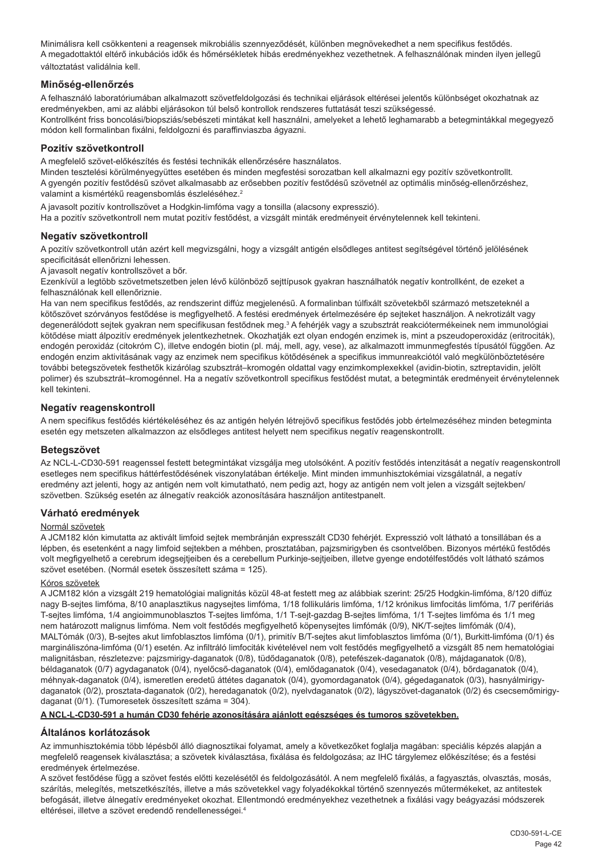Minimálisra kell csökkenteni a reagensek mikrobiális szennyeződését, különben megnövekedhet a nem specifikus festődés. A megadottaktól eltérő inkubációs idők és hőmérsékletek hibás eredményekhez vezethetnek. A felhasználónak minden ilyen jellegű változtatást validálnia kell.

#### **Minőség-ellenőrzés**

A felhasználó laboratóriumában alkalmazott szövetfeldolgozási és technikai eljárások eltérései jelentős különbséget okozhatnak az eredményekben, ami az alábbi eljárásokon túl belső kontrollok rendszeres futtatását teszi szükségessé. Kontrollként friss boncolási/biopsziás/sebészeti mintákat kell használni, amelyeket a lehető leghamarabb a betegmintákkal megegyező módon kell formalinban fixálni, feldolgozni és paraffinviaszba ágyazni.

## **Pozitív szövetkontroll**

A megfelelő szövet-előkészítés és festési technikák ellenőrzésére használatos.

Minden tesztelési körülményegyüttes esetében és minden megfestési sorozatban kell alkalmazni egy pozitív szövetkontrollt. A gyengén pozitív festődésű szövet alkalmasabb az erősebben pozitív festődésű szövetnél az optimális minőség-ellenőrzéshez, valamint a kismértékű reagensbomlás észleléséhez.<sup>2</sup>

A javasolt pozitív kontrollszövet a Hodgkin-limfóma vagy a tonsilla (alacsony expresszió).

Ha a pozitív szövetkontroll nem mutat pozitív festődést, a vizsgált minták eredményeit érvénytelennek kell tekinteni.

#### **Negatív szövetkontroll**

A pozitív szövetkontroll után azért kell megvizsgálni, hogy a vizsgált antigén elsődleges antitest segítségével történő jelölésének specificitását ellenőrizni lehessen.

A javasolt negatív kontrollszövet a bőr.

Ezenkívül a legtöbb szövetmetszetben jelen lévő különböző sejttípusok gyakran használhatók negatív kontrollként, de ezeket a felhasználónak kell ellenőriznie.

Ha van nem specifikus festődés, az rendszerint diffúz megjelenésű. A formalinban túlfixált szövetekből származó metszeteknél a kötőszövet szórványos festődése is megfigyelhető. A festési eredmények értelmezésére ép sejteket használjon. A nekrotizált vagy degenerálódott sejtek gyakran nem specifikusan festődnek meg.<sup>3</sup> A fehérjék vagy a szubsztrát reakciótermékeinek nem immunológiai kötődése miatt álpozitív eredmények jelentkezhetnek. Okozhatják ezt olyan endogén enzimek is, mint a pszeudoperoxidáz (eritrociták), endogén peroxidáz (citokróm C), illetve endogén biotin (pl. máj, mell, agy, vese), az alkalmazott immunmegfestés típusától függően. Az endogén enzim aktivitásának vagy az enzimek nem specifikus kötődésének a specifikus immunreakciótól való megkülönböztetésére további betegszövetek festhetők kizárólag szubsztrát–kromogén oldattal vagy enzimkomplexekkel (avidin-biotin, sztreptavidin, jelölt polimer) és szubsztrát–kromogénnel. Ha a negatív szövetkontroll specifikus festődést mutat, a betegminták eredményeit érvénytelennek kell tekinteni.

#### **Negatív reagenskontroll**

A nem specifikus festődés kiértékeléséhez és az antigén helyén létrejövő specifikus festődés jobb értelmezéséhez minden betegminta esetén egy metszeten alkalmazzon az elsődleges antitest helyett nem specifikus negatív reagenskontrollt.

#### **Betegszövet**

Az NCL-L-CD30-591 reagenssel festett betegmintákat vizsgálja meg utolsóként. A pozitív festődés intenzitását a negatív reagenskontroll esetleges nem specifikus háttérfestődésének viszonylatában értékelje. Mint minden immunhisztokémiai vizsgálatnál, a negatív eredmény azt ielenti, hogy az antigén nem volt kimutatható, nem pedig azt, hogy az antigén nem volt jelen a vizsgált sejtekben/ szövetben. Szükség esetén az álnegatív reakciók azonosítására használjon antitestpanelt.

#### **Várható eredmények**

#### Normál szövetek

A JCM182 klón kimutatta az aktivált limfoid sejtek membránján expresszált CD30 fehérjét. Expresszió volt látható a tonsillában és a lépben, és esetenként a nagy limfoid sejtekben a méhben, prosztatában, pajzsmirigyben és csontvelőben. Bizonyos mértékű festődés volt megfigyelhető a cerebrum idegsejtjeiben és a cerebellum Purkinje-sejtjeiben, illetve gyenge endotélfestődés volt látható számos szövet esetében. (Normál esetek összesített száma = 125).

#### Kóros szövetek

A JCM182 klón a vizsgált 219 hematológiai malignitás közül 48-at festett meg az alábbiak szerint: 25/25 Hodgkin-limfóma, 8/120 diffúz nagy B-sejtes limfóma, 8/10 anaplasztikus nagysejtes limfóma, 1/18 follikuláris limfóma, 1/12 krónikus limfocitás limfóma, 1/7 perifériás T-sejtes limfóma, 1/4 angioimmunoblasztos T-sejtes limfóma, 1/1 T-sejt-gazdag B-sejtes limfóma, 1/1 T-sejtes limfóma és 1/1 meg nem határozott malignus limfóma. Nem volt festődés megfigyelhető köpenysejtes limfómák (0/9), NK/T-sejtes limfómák (0/4), MALTómák (0/3), B-sejtes akut limfoblasztos limfóma (0/1), primitív B/T-sejtes akut limfoblasztos limfóma (0/1), Burkitt-limfóma (0/1) és margináliszóna-limfóma (0/1) esetén. Az infiltráló limfociták kivételével nem volt festődés megfigyelhető a vizsgált 85 nem hematológiai malignitásban, részletezve: pajzsmirigy-daganatok (0/8), tüdődaganatok (0/8), petefészek-daganatok (0/8), májdaganatok (0/8), béldaganatok (0/7) agydaganatok (0/4), nyelőcső-daganatok (0/4), emlődaganatok (0/4), vesedaganatok (0/4), bőrdaganatok (0/4), méhnyak-daganatok (0/4), ismeretlen eredetű áttétes daganatok (0/4), gyomordaganatok (0/4), gégedaganatok (0/3), hasnyálmirigydaganatok (0/2), prosztata-daganatok (0/2), heredaganatok (0/2), nyelvdaganatok (0/2), lágyszövet-daganatok (0/2) és csecsemőmirigydaganat (0/1). (Tumoresetek összesített száma = 304).

### **A NCL-L-CD30-591 a humán CD30 fehérje azonosítására ajánlott egészséges és tumoros szövetekben.**

#### **Általános korlátozások**

Az immunhisztokémia több lépésből álló diagnosztikai folyamat, amely a következőket foglalja magában: speciális képzés alapján a megfelelő reagensek kiválasztása; a szövetek kiválasztása, fixálása és feldolgozása; az IHC tárgylemez előkészítése; és a festési eredmények értelmezése.

A szövet festődése függ a szövet festés előtti kezelésétől és feldolgozásától. A nem megfelelő fixálás, a fagyasztás, olvasztás, mosás, szárítás, melegítés, metszetkészítés, illetve a más szövetekkel vagy folyadékokkal történő szennyezés műtermékeket, az antitestek befogását, illetve álnegatív eredményeket okozhat. Ellentmondó eredményekhez vezethetnek a fixálási vagy beágyazási módszerek eltérései, illetve a szövet eredendő rendellenességei.4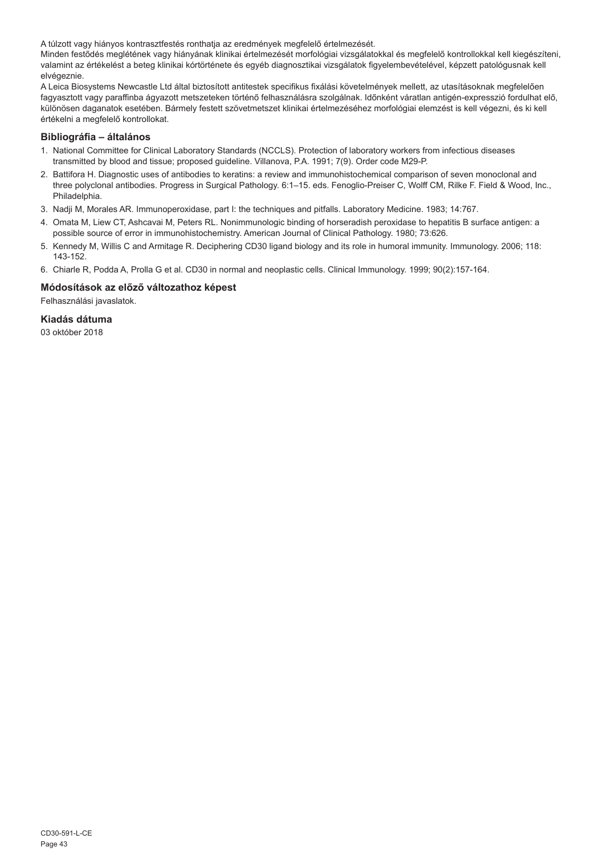A túlzott vagy hiányos kontrasztfestés ronthatja az eredmények megfelelő értelmezését.

Minden festődés meglétének vagy hiányának klinikai értelmezését morfológiai vizsgálatokkal és megfelelő kontrollokkal kell kiegészíteni, valamint az értékelést a beteg klinikai kórtörténete és egyéb diagnosztikai vizsgálatok figyelembevételével, képzett patológusnak kell elvégeznie.

A Leica Biosystems Newcastle Ltd által biztosított antitestek specifikus fixálási követelmények mellett, az utasításoknak megfelelően fagyasztott vagy paraffinba ágyazott metszeteken történő felhasználásra szolgálnak. Időnként váratlan antigén-expresszió fordulhat elő, különösen daganatok esetében. Bármely festett szövetmetszet klinikai értelmezéséhez morfológiai elemzést is kell végezni, és ki kell értékelni a megfelelő kontrollokat.

### **Bibliográfia – általános**

- 1. National Committee for Clinical Laboratory Standards (NCCLS). Protection of laboratory workers from infectious diseases transmitted by blood and tissue; proposed guideline. Villanova, P.A. 1991; 7(9). Order code M29-P.
- 2. Battifora H. Diagnostic uses of antibodies to keratins: a review and immunohistochemical comparison of seven monoclonal and three polyclonal antibodies. Progress in Surgical Pathology. 6:1–15. eds. Fenoglio-Preiser C, Wolff CM, Rilke F. Field & Wood, Inc., Philadelphia.
- 3. Nadji M, Morales AR. Immunoperoxidase, part I: the techniques and pitfalls. Laboratory Medicine. 1983; 14:767.
- 4. Omata M, Liew CT, Ashcavai M, Peters RL. Nonimmunologic binding of horseradish peroxidase to hepatitis B surface antigen: a possible source of error in immunohistochemistry. American Journal of Clinical Pathology. 1980; 73:626.
- 5. Kennedy M, Willis C and Armitage R. Deciphering CD30 ligand biology and its role in humoral immunity. Immunology. 2006; 118: 143-152.
- 6. Chiarle R, Podda A, Prolla G et al. CD30 in normal and neoplastic cells. Clinical Immunology. 1999; 90(2):157-164.

### **Módosítások az előző változathoz képest**

Felhasználási javaslatok.

# **Kiadás dátuma**

03 október 2018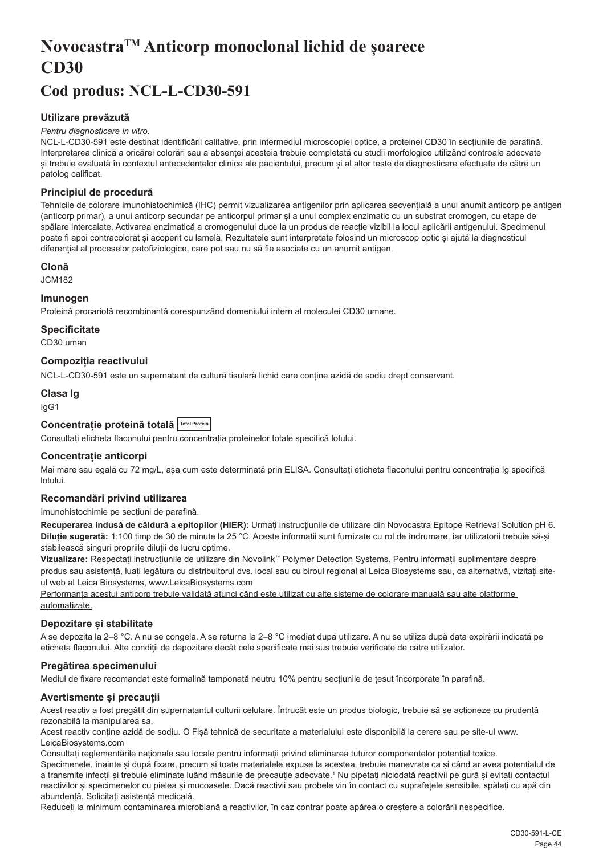# <span id="page-44-0"></span>**NovocastraTM Anticorp monoclonal lichid de șoarece CD30**

# **Cod produs: NCL-L-CD30-591**

# **Utilizare prevăzută**

#### *Pentru diagnosticare in vitro.*

NCL-L-CD30-591 este destinat identificării calitative, prin intermediul microscopiei optice, a proteinei CD30 în secțiunile de parafină. Interpretarea clinică a oricărei colorări sau a absenței acesteia trebuie completată cu studii morfologice utilizând controale adecvate și trebuie evaluată în contextul antecedentelor clinice ale pacientului, precum și al altor teste de diagnosticare efectuate de către un patolog calificat.

### **Principiul de procedură**

Tehnicile de colorare imunohistochimică (IHC) permit vizualizarea antigenilor prin aplicarea secvențială a unui anumit anticorp pe antigen (anticorp primar), a unui anticorp secundar pe anticorpul primar și a unui complex enzimatic cu un substrat cromogen, cu etape de spălare intercalate. Activarea enzimatică a cromogenului duce la un produs de reacție vizibil la locul aplicării antigenului. Specimenul poate fi apoi contracolorat și acoperit cu lamelă. Rezultatele sunt interpretate folosind un microscop optic și ajută la diagnosticul diferențial al proceselor patofiziologice, care pot sau nu să fie asociate cu un anumit antigen.

### **Clonă**

JCM182

#### **Imunogen**

Proteină procariotă recombinantă corespunzând domeniului intern al moleculei CD30 umane.

#### **Specificitate**

CD30 uman

## **Compoziția reactivului**

NCL-L-CD30-591 este un supernatant de cultură tisulară lichid care conține azidă de sodiu drept conservant.

# **Clasa Ig**

IgG1

#### **Concentrație proteină totală Total Protein**

Consultați eticheta flaconului pentru concentrația proteinelor totale specifică lotului.

### **Concentrație anticorpi**

Mai mare sau egală cu 72 mg/L, asa cum este determinată prin ELISA. Consultati eticheta flaconului pentru concentratia Ig specifică lotului.

#### **Recomandări privind utilizarea**

#### Imunohistochimie pe secțiuni de parafină.

**Recuperarea indusă de căldură a epitopilor (HIER):** Urmați instrucțiunile de utilizare din Novocastra Epitope Retrieval Solution pH 6. **Diluție sugerată:** 1:100 timp de 30 de minute la 25 °C. Aceste informații sunt furnizate cu rol de îndrumare, iar utilizatorii trebuie să-și stabilească singuri propriile diluții de lucru optime.

**Vizualizare:** Respectați instrucțiunile de utilizare din Novolink™ Polymer Detection Systems. Pentru informații suplimentare despre produs sau asistență, luați legătura cu distribuitorul dvs. local sau cu biroul regional al Leica Biosystems sau, ca alternativă, vizitați siteul web al Leica Biosystems, www.LeicaBiosystems.com

Performanța acestui anticorp trebuie validată atunci când este utilizat cu alte sisteme de colorare manuală sau alte platforme automatizate.

#### **Depozitare și stabilitate**

A se depozita la 2–8 °C. A nu se congela. A se returna la 2–8 °C imediat după utilizare. A nu se utiliza după data expirării indicată pe eticheta flaconului. Alte condiții de depozitare decât cele specificate mai sus trebuie verificate de către utilizator.

### **Pregătirea specimenului**

Mediul de fixare recomandat este formalină tamponată neutru 10% pentru secțiunile de țesut încorporate în parafină.

### **Avertismente și precauții**

Acest reactiv a fost pregătit din supernatantul culturii celulare. Întrucât este un produs biologic, trebuie să se acționeze cu prudență rezonabilă la manipularea sa.

Acest reactiv conține azidă de sodiu. O Fișă tehnică de securitate a materialului este disponibilă la cerere sau pe site-ul www. LeicaBiosystems.com

Consultați reglementările naționale sau locale pentru informații privind eliminarea tuturor componentelor potențial toxice. Specimenele, înainte și după fixare, precum și toate materialele expuse la acestea, trebuie manevrate ca și când ar avea potențialul de a transmite infecții și trebuie eliminate luând măsurile de precauție adecvate.1 Nu pipetați niciodată reactivii pe gură și evitați contactul reactivilor și specimenelor cu pielea și mucoasele. Dacă reactivii sau probele vin în contact cu suprafețele sensibile, spălați cu apă din abundență. Solicitați asistență medicală.

Reduceți la minimum contaminarea microbiană a reactivilor, în caz contrar poate apărea o creștere a colorării nespecifice.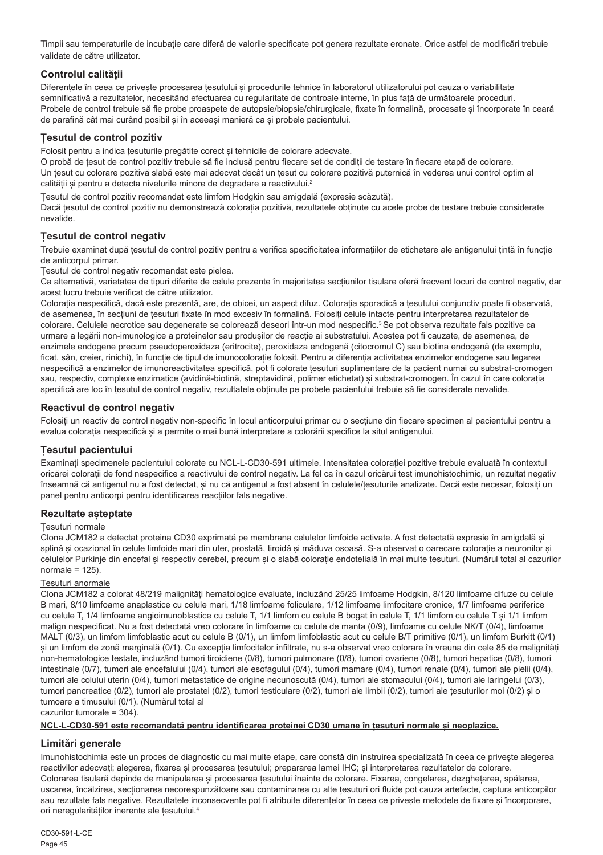Timpii sau temperaturile de incubație care diferă de valorile specificate pot genera rezultate eronate. Orice astfel de modificări trebuie validate de către utilizator.

# **Controlul calității**

Diferentele în ceea ce priveste procesarea tesutului și procedurile tehnice în laboratorul utilizatorului pot cauza o variabilitate semnificativă a rezultatelor, necesitând efectuarea cu regularitate de controale interne, în plus față de următoarele proceduri. Probele de control trebuie să fie probe proaspete de autopsie/biopsie/chirurgicale, fixate în formalină, procesate și încorporate în ceară de parafină cât mai curând posibil și în aceeași manieră ca și probele pacientului.

# **Țesutul de control pozitiv**

Folosit pentru a indica țesuturile pregătite corect și tehnicile de colorare adecvate.

O probă de țesut de control pozitiv trebuie să fie inclusă pentru fiecare set de condiții de testare în fiecare etapă de colorare. Un țesut cu colorare pozitivă slabă este mai adecvat decât un țesut cu colorare pozitivă puternică în vederea unui control optim al calității și pentru a detecta nivelurile minore de degradare a reactivului.<sup>2</sup>

Țesutul de control pozitiv recomandat este limfom Hodgkin sau amigdală (expresie scăzută). Dacă țesutul de control pozitiv nu demonstrează colorația pozitivă, rezultatele obținute cu acele probe de testare trebuie considerate nevalide.

# **Țesutul de control negativ**

Trebuie examinat după țesutul de control pozitiv pentru a verifica specificitatea informațiilor de etichetare ale antigenului țintă în funcție de anticorpul primar.

Țesutul de control negativ recomandat este pielea.

Ca alternativă, varietatea de tipuri diferite de celule prezente în majoritatea secțiunilor tisulare oferă frecvent locuri de control negativ, dar acest lucru trebuie verificat de către utilizator.

Colorația nespecifică, dacă este prezentă, are, de obicei, un aspect difuz. Colorația sporadică a țesutului conjunctiv poate fi observată, de asemenea, în secțiuni de țesuturi fixate în mod excesiv în formalină. Folosiți celule intacte pentru interpretarea rezultatelor de colorare. Celulele necrotice sau degenerate se colorează deseori într-un mod nespecific.<sup>3</sup> Se pot observa rezultate fals pozitive ca urmare a legării non-imunologice a proteinelor sau produșilor de reacție ai substratului. Acestea pot fi cauzate, de asemenea, de enzimele endogene precum pseudoperoxidaza (eritrocite), peroxidaza endogenă (citocromul C) sau biotina endogenă (de exemplu, ficat, sân, creier, rinichi), în funcție de tipul de imunocolorație folosit. Pentru a diferenția activitatea enzimelor endogene sau legarea nespecifică a enzimelor de imunoreactivitatea specifică, pot fi colorate țesuturi suplimentare de la pacient numai cu substrat-cromogen sau, respectiv, complexe enzimatice (avidină-biotină, streptavidină, polimer etichetat) și substrat-cromogen. În cazul în care colorația specifică are loc în țesutul de control negativ, rezultatele obținute pe probele pacientului trebuie să fie considerate nevalide.

# **Reactivul de control negativ**

Folosiți un reactiv de control negativ non-specific în locul anticorpului primar cu o secțiune din fiecare specimen al pacientului pentru a evalua colorația nespecifică și a permite o mai bună interpretare a colorării specifice la situl antigenului.

# **Țesutul pacientului**

Examinați specimenele pacientului colorate cu NCL-L-CD30-591 ultimele. Intensitatea colorației pozitive trebuie evaluată în contextul oricărei colorații de fond nespecifice a reactivului de control negativ. La fel ca în cazul oricărui test imunohistochimic, un rezultat negativ înseamnă că antigenul nu a fost detectat, și nu că antigenul a fost absent în celulele/țesuturile analizate. Dacă este necesar, folosiți un panel pentru anticorpi pentru identificarea reacțiilor fals negative.

# **Rezultate așteptate**

### Țesuturi normale

Clona JCM182 a detectat proteina CD30 exprimată pe membrana celulelor limfoide activate. A fost detectată expresie în amigdală și splină și ocazional în celule limfoide mari din uter, prostată, tiroidă și măduva osoasă. S-a observat o oarecare colorație a neuronilor și celulelor Purkinje din encefal și respectiv cerebel, precum și o slabă colorație endotelială în mai multe țesuturi. (Numărul total al cazurilor normale =  $125$ ).

### Țesuturi anormale

Clona JCM182 a colorat 48/219 malignități hematologice evaluate, incluzând 25/25 limfoame Hodgkin, 8/120 limfoame difuze cu celule B mari, 8/10 limfoame anaplastice cu celule mari, 1/18 limfoame foliculare, 1/12 limfoame limfocitare cronice, 1/7 limfoame periferice cu celule T, 1/4 limfoame angioimunoblastice cu celule T, 1/1 limfom cu celule B bogat în celule T, 1/1 limfom cu celule T și 1/1 limfom malign nespecificat. Nu a fost detectată vreo colorare în limfoame cu celule de manta (0/9), limfoame cu celule NK/T (0/4), limfoame MALT (0/3), un limfom limfoblastic acut cu celule B (0/1), un limfom limfoblastic acut cu celule B/T primitive (0/1), un limfom Burkitt (0/1) și un limfom de zonă marginală (0/1). Cu excepția limfocitelor infiltrate, nu s-a observat vreo colorare în vreuna din cele 85 de malignități non-hematologice testate, incluzând tumori tiroidiene (0/8), tumori pulmonare (0/8), tumori ovariene (0/8), tumori hepatice (0/8), tumori intestinale (0/7), tumori ale encefalului (0/4), tumori ale esofagului (0/4), tumori mamare (0/4), tumori renale (0/4), tumori ale pielii (0/4), tumori ale colului uterin (0/4), tumori metastatice de origine necunoscută (0/4), tumori ale stomacului (0/4), tumori ale laringelui (0/3), tumori pancreatice (0/2), tumori ale prostatei (0/2), tumori testiculare (0/2), tumori ale limbii (0/2), tumori ale țesuturilor moi (0/2) și o tumoare a timusului (0/1). (Numărul total al cazurilor tumorale = 304).

**NCL-L-CD30-591 este recomandată pentru identificarea proteinei CD30 umane în țesuturi normale și neoplazice.**

# **Limitări generale**

Imunohistochimia este un proces de diagnostic cu mai multe etape, care constă din instruirea specializată în ceea ce privește alegerea reactivilor adecvați; alegerea, fixarea și procesarea țesutului; prepararea lamei IHC; și interpretarea rezultatelor de colorare. Colorarea tisulară depinde de manipularea și procesarea țesutului înainte de colorare. Fixarea, congelarea, dezghețarea, spălarea, uscarea, încălzirea, secționarea necorespunzătoare sau contaminarea cu alte țesuturi ori fluide pot cauza artefacte, captura anticorpilor sau rezultate fals negative. Rezultatele inconsecvente pot fi atribuite diferentelor în ceea ce priveste metodele de fixare și încorporare, ori neregularităților inerente ale țesutului.4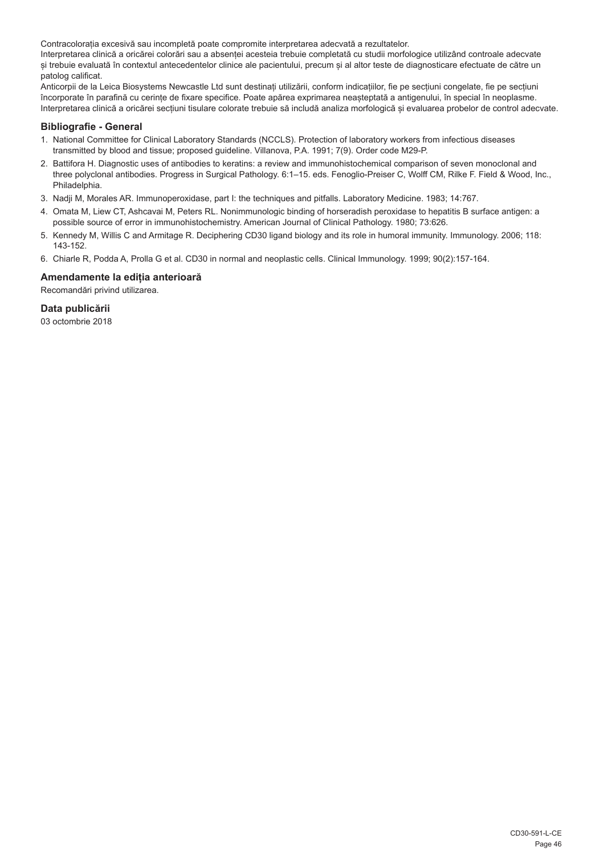Contracolorația excesivă sau incompletă poate compromite interpretarea adecvată a rezultatelor.

Interpretarea clinică a oricărei colorări sau a absenței acesteia trebuie completată cu studii morfologice utilizând controale adecvate și trebuie evaluată în contextul antecedentelor clinice ale pacientului, precum și al altor teste de diagnosticare efectuate de către un patolog calificat.

Anticorpii de la Leica Biosystems Newcastle Ltd sunt destinați utilizării, conform indicațiilor, fie pe secțiuni congelate, fie pe secțiuni încorporate în parafină cu cerințe de fixare specifice. Poate apărea exprimarea neașteptată a antigenului, în special în neoplasme. Interpretarea clinică a oricărei secțiuni tisulare colorate trebuie să includă analiza morfologică și evaluarea probelor de control adecvate.

#### **Bibliografie - General**

- 1. National Committee for Clinical Laboratory Standards (NCCLS). Protection of laboratory workers from infectious diseases transmitted by blood and tissue; proposed guideline. Villanova, P.A. 1991; 7(9). Order code M29-P.
- 2. Battifora H. Diagnostic uses of antibodies to keratins: a review and immunohistochemical comparison of seven monoclonal and three polyclonal antibodies. Progress in Surgical Pathology. 6:1–15. eds. Fenoglio-Preiser C, Wolff CM, Rilke F. Field & Wood, Inc., Philadelphia.
- 3. Nadji M, Morales AR. Immunoperoxidase, part I: the techniques and pitfalls. Laboratory Medicine. 1983; 14:767.
- 4. Omata M, Liew CT, Ashcavai M, Peters RL. Nonimmunologic binding of horseradish peroxidase to hepatitis B surface antigen: a possible source of error in immunohistochemistry. American Journal of Clinical Pathology. 1980; 73:626.
- 5. Kennedy M, Willis C and Armitage R. Deciphering CD30 ligand biology and its role in humoral immunity. Immunology. 2006; 118: 143-152.
- 6. Chiarle R, Podda A, Prolla G et al. CD30 in normal and neoplastic cells. Clinical Immunology. 1999; 90(2):157-164.

# **Amendamente la ediția anterioară**

Recomandări privind utilizarea.

**Data publicării**

03 octombrie 2018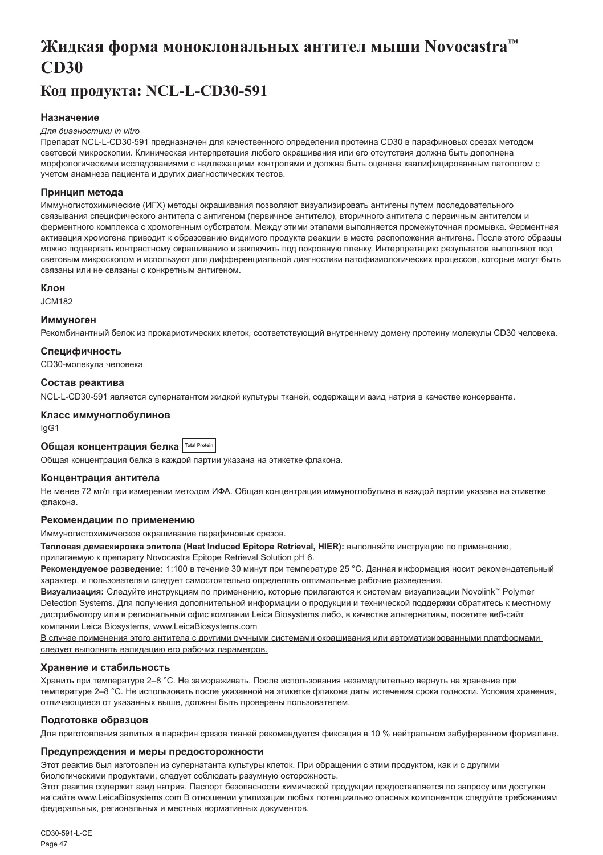# <span id="page-47-0"></span>**Жидкая форма моноклональных антител мыши Novocastra™ CD30**

# **Код продукта: NCL-L-CD30-591**

# **Назначение**

#### *Для диагностики in vitro*

Препарат NCL-L-CD30-591 предназначен для качественного определения протеина CD30 в парафиновых срезах методом световой микроскопии. Клиническая интерпретация любого окрашивания или его отсутствия должна быть дополнена морфологическими исследованиями с надлежащими контролями и должна быть оценена квалифицированным патологом с учетом анамнеза пациента и других диагностических тестов.

#### **Принцип метода**

Иммуногистохимические (ИГХ) методы окрашивания позволяют визуализировать антигены путем последовательного связывания специфического антитела с антигеном (первичное антитело), вторичного антитела с первичным антителом и ферментного комплекса с хромогенным субстратом. Между этими этапами выполняется промежуточная промывка. Ферментная активация хромогена приводит к образованию видимого продукта реакции в месте расположения антигена. После этого образцы можно подвергать контрастному окрашиванию и заключить под покровную пленку. Интерпретацию результатов выполняют под световым микроскопом и используют для дифференциальной диагностики патофизиологических процессов, которые могут быть связаны или не связаны с конкретным антигеном.

#### **Клон**

JCM182

#### **Иммуноген**

Рекомбинантный белок из прокариотических клеток, соответствующий внутреннему домену протеину молекулы CD30 человека.

#### **Специфичность**

CD30-молекула человека

#### **Состав реактива**

NCL-L-CD30-591 является супернатантом жидкой культуры тканей, содержащим азид натрия в качестве консерванта.

# **Класс иммуноглобулинов**

IgG1

# **Общая концентрация белка Total Protein**

Общая концентрация белка в каждой партии указана на этикетке флакона.

#### **Концентрация антитела**

Не менее 72 мг/л при измерении методом ИФА. Общая концентрация иммуноглобулина в каждой партии указана на этикетке флакона.

#### **Рекомендации по применению**

Иммуногистохимическое окрашивание парафиновых срезов.

**Тепловая демаскировка эпитопа (Heat Induced Epitope Retrieval, HIER):** выполняйте инструкцию по применению, прилагаемую к препарату Novocastra Epitope Retrieval Solution pH 6.

**Рекомендуемое разведение:** 1:100 в течение 30 минут при температуре 25 °C. Данная информация носит рекомендательный характер, и пользователям следует самостоятельно определять оптимальные рабочие разведения.

**Визуализация:** Следуйте инструкциям по применению, которые прилагаются к системам визуализации Novolink™ Polymer Detection Systems. Для получения дополнительной информации о продукции и технической поддержки обратитесь к местному дистрибьютору или в региональный офис компании Leica Biosystems либо, в качестве альтернативы, посетите веб-сайт компании Leica Biosystems, www.LeicaBiosystems.com

В случае применения этого антитела с другими ручными системами окрашивания или автоматизированными платформами следует выполнять валидацию его рабочих параметров.

### **Хранение и стабильность**

Хранить при температуре 2–8 °C. Не замораживать. После использования незамедлительно вернуть на хранение при температуре 2–8 °C. Не использовать после указанной на этикетке флакона даты истечения срока годности. Условия хранения, отличающиеся от указанных выше, должны быть проверены пользователем.

### **Подготовка образцов**

Для приготовления залитых в парафин срезов тканей рекомендуется фиксация в 10 % нейтральном забуференном формалине.

#### **Предупреждения и меры предосторожности**

Этот реактив был изготовлен из супернатанта культуры клеток. При обращении с этим продуктом, как и с другими биологическими продуктами, следует соблюдать разумную осторожность.

Этот реактив содержит азид натрия. Паспорт безопасности химической продукции предоставляется по запросу или доступен на сайте www.LeicaBiosystems.com В отношении утилизации любых потенциально опасных компонентов следуйте требованиям федеральных, региональных и местных нормативных документов.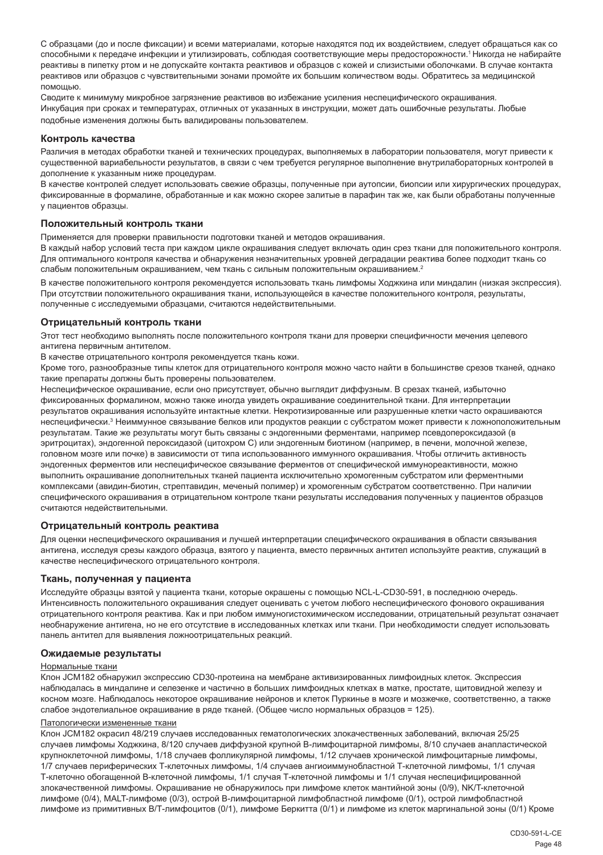С образцами (до и после фиксации) и всеми материалами, которые находятся под их воздействием, следует обращаться как со способными к передаче инфекции и утилизировать, соблюдая соответствующие меры предосторожности.<sup>1</sup>Никогда не набирайте реактивы в пипетку ртом и не допускайте контакта реактивов и образцов с кожей и слизистыми оболочками. В случае контакта реактивов или образцов с чувствительными зонами промойте их большим количеством воды. Обратитесь за медицинской помощью.

Сводите к минимуму микробное загрязнение реактивов во избежание усиления неспецифического окрашивания. Инкубация при сроках и температурах, отличных от указанных в инструкции, может дать ошибочные результаты. Любые подобные изменения должны быть валидированы пользователем.

#### **Контроль качества**

Различия в методах обработки тканей и технических процедурах, выполняемых в лаборатории пользователя, могут привести к существенной вариабельности результатов, в связи с чем требуется регулярное выполнение внутрилабораторных контролей в дополнение к указанным ниже процедурам.

В качестве контролей следует использовать свежие образцы, полученные при аутопсии, биопсии или хирургических процедурах, фиксированные в формалине, обработанные и как можно скорее залитые в парафин так же, как были обработаны полученные у пациентов образцы.

#### **Положительный контроль ткани**

Применяется для проверки правильности подготовки тканей и методов окрашивания.

В каждый набор условий теста при каждом цикле окрашивания следует включать один срез ткани для положительного контроля. Для оптимального контроля качества и обнаружения незначительных уровней деградации реактива более подходит ткань со слабым положительным окрашиванием, чем ткань с сильным положительным окрашиванием.<sup>2</sup>

В качестве положительного контроля рекомендуется использовать ткань лимфомы Ходжкина или миндалин (низкая экспрессия). При отсутствии положительного окрашивания ткани, использующейся в качестве положительного контроля, результаты, полученные с исследуемыми образцами, считаются недействительными.

#### **Отрицательный контроль ткани**

Этот тест необходимо выполнять после положительного контроля ткани для проверки специфичности мечения целевого антигена первичным антителом.

В качестве отрицательного контроля рекомендуется ткань кожи.

Кроме того, разнообразные типы клеток для отрицательного контроля можно часто найти в большинстве срезов тканей, однако такие препараты должны быть проверены пользователем.

Неспецифическое окрашивание, если оно присутствует, обычно выглядит диффузным. В срезах тканей, избыточно фиксированных формалином, можно также иногда увидеть окрашивание соединительной ткани. Для интерпретации результатов окрашивания используйте интактные клетки. Некротизированные или разрушенные клетки часто окрашиваются неспецифически.<sup>з</sup> Неиммунное связывание белков или продуктов реакции с субстратом может привести к ложноположительным результатам. Такие же результаты могут быть связаны с эндогенными ферментами, например псевдопероксидазой (в эритроцитах), эндогенной пероксидазой (цитохром C) или эндогенным биотином (например, в печени, молочной железе, головном мозге или почке) в зависимости от типа использованного иммунного окрашивания. Чтобы отличить активность эндогенных ферментов или неспецифическое связывание ферментов от специфической иммунореактивности, можно выполнить окрашивание дополнительных тканей пациента исключительно хромогенным субстратом или ферментными комплексами (авидин-биотин, стрептавидин, меченый полимер) и хромогенным субстратом соответственно. При наличии специфического окрашивания в отрицательном контроле ткани результаты исследования полученных у пациентов образцов считаются недействительными.

#### **Отрицательный контроль реактива**

Для оценки неспецифического окрашивания и лучшей интерпретации специфического окрашивания в области связывания антигена, исследуя срезы каждого образца, взятого у пациента, вместо первичных антител используйте реактив, служащий в качестве неспецифического отрицательного контроля.

#### **Ткань, полученная у пациента**

Исследуйте образцы взятой у пациента ткани, которые окрашены с помощью NCL-L-CD30-591, в последнюю очередь. Интенсивность положительного окрашивания следует оценивать с учетом любого неспецифического фонового окрашивания отрицательного контроля реактива. Как и при любом иммуногистохимическом исследовании, отрицательный результат означает необнаружение антигена, но не его отсутствие в исследованных клетках или ткани. При необходимости следует использовать панель антител для выявления ложноотрицательных реакций.

#### **Ожидаемые результаты**

#### Нормальные ткани

Клон JCM182 обнаружил экспрессию CD30-протеина на мембране активизированных лимфоидных клеток. Экспрессия наблюдалась в миндалине и селезенке и частично в больших лимфоидных клетках в матке, простате, щитовидной железу и косном мозге. Наблюдалось некоторое окрашивание нейронов и клеток Пуркинье в мозге и мозжечке, соответственно, а также слабое эндотелиальное окрашивание в ряде тканей. (Общее число нормальных образцов = 125).

#### Патологически измененные ткани

Клон JCM182 окрасил 48/219 случаев исследованных гематологических злокачественных заболеваний, включая 25/25 случаев лимфомы Ходжкина, 8/120 случаев диффузной крупной В-лимфоцитарной лимфомы, 8/10 случаев анапластической крупноклеточной лимфомы, 1/18 случаев фолликулярной лимфомы, 1/12 случаев хронической лимфоцитарные лимфомы, 1/7 случаев периферических Т-клеточных лимфомы, 1/4 случаев ангиоиммунобластной Т-клеточной лимфомы, 1/1 случая Т-клеточно обогащенной В-клеточной лимфомы, 1/1 случая Т-клеточной лимфомы и 1/1 случая неспецифицированной злокачественной лимфомы. Окрашивание не обнаружилось при лимфоме клеток мантийной зоны (0/9), NK/T-клеточной лимфоме (0/4), MALT-лимфоме (0/3), острой В-лимфоцитарной лимфобластной лимфоме (0/1), острой лимфобластной лимфоме из примитивных В/Т-лимфоцитов (0/1), лимфоме Беркитта (0/1) и лимфоме из клеток маргинальной зоны (0/1) Кроме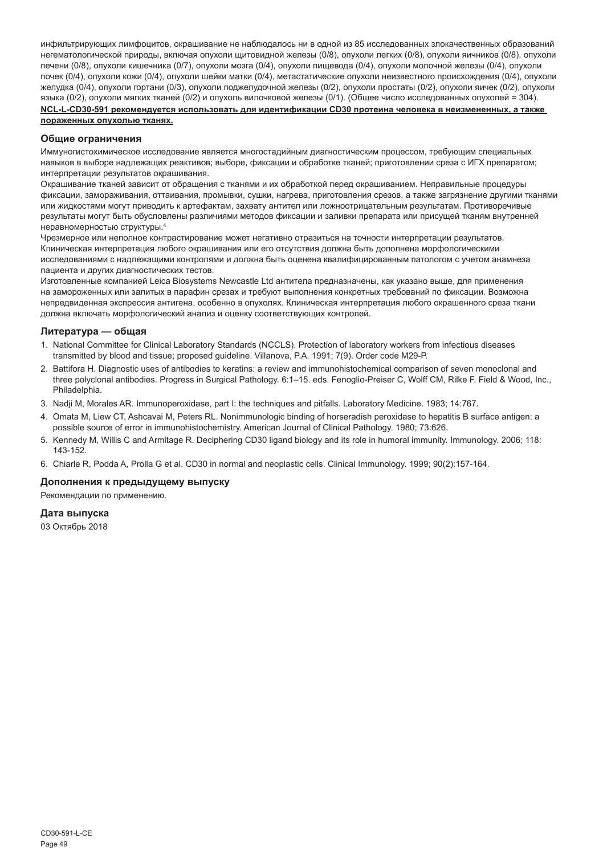инфильтрирующих лимфоцитов, окрашивание не наблюдалось ни в одной из 85 исследованных злокачественных образований негематологической природы, включая опухоли щитовидной железы (0/8), опухоли легких (0/8), опухоли яичников (0/8), опухоли печени (0/8), опухоли кишечника (0/7), опухоли мозга (0/4), опухоли пищевода (0/4), опухоли молочной железы (0/4), опухоли почек (0/4), опухоли кожи (0/4), опухоли шейки матки (0/4), метастатические опухоли неизвестного происхождения (0/4), опухоли желудка (0/4), опухоли гортани (0/3), опухоли поджелудочной железы (0/2), опухоли простаты (0/2), опухоли яичек (0/2), опухоли языка (0/2), опухоли мягких тканей (0/2) и опухоль вилочковой железы (0/1). (Общее число исследованных опухолей = 304). **NCL-L-CD30-591 рекомендуется использовать для идентификации CD30 протеина человека в неизмененных, а также пораженных опухолью тканях.**

#### **Общие ограничения**

Иммуногистохимическое исследование является многостадийным диагностическим процессом, требующим специальных навыков в выборе надлежащих реактивов; выборе, фиксации и обработке тканей; приготовлении среза с ИГХ препаратом; интерпретации результатов окрашивания.

Окрашивание тканей зависит от обращения с тканями и их обработкой перед окрашиванием. Неправильные процедуры фиксации, замораживания, оттаивания, промывки, сушки, нагрева, приготовления срезов, а также загрязнение другими тканями или жидкостями могут приводить к артефактам, захвату антител или ложноотрицательным результатам. Противоречивые результаты могут быть обусловлены различиями методов фиксации и заливки препарата или присущей тканям внутренней неравномерностью структуры.<sup>4</sup>

Чрезмерное или неполное контрастирование может негативно отразиться на точности интерпретации результатов. Клиническая интерпретация любого окрашивания или его отсутствия должна быть дополнена морфологическими исследованиями с надлежащими контролями и должна быть оценена квалифицированным патологом с учетом анамнеза пациента и других диагностических тестов.

Изготовленные компанией Leica Biosystems Newcastle Ltd антитела предназначены, как указано выше, для применения на замороженных или залитых в парафин срезах и требуют выполнения конкретных требований по фиксации. Возможна непредвиденная экспрессия антигена, особенно в опухолях. Клиническая интерпретация любого окрашенного среза ткани должна включать морфологический анализ и оценку соответствующих контролей.

#### **Литература — общая**

- 1. National Committee for Clinical Laboratory Standards (NCCLS). Protection of laboratory workers from infectious diseases transmitted by blood and tissue; proposed guideline. Villanova, P.A. 1991; 7(9). Order code M29-P.
- 2. Battifora H. Diagnostic uses of antibodies to keratins: a review and immunohistochemical comparison of seven monoclonal and three polyclonal antibodies. Progress in Surgical Pathology. 6:1–15. eds. Fenoglio-Preiser C, Wolff CM, Rilke F. Field & Wood, Inc., Philadelphia.
- 3. Nadji M, Morales AR. Immunoperoxidase, part I: the techniques and pitfalls. Laboratory Medicine. 1983; 14:767.
- 4. Omata M, Liew CT, Ashcavai M, Peters RL. Nonimmunologic binding of horseradish peroxidase to hepatitis B surface antigen: a possible source of error in immunohistochemistry. American Journal of Clinical Pathology. 1980; 73:626.
- 5. Kennedy M, Willis C and Armitage R. Deciphering CD30 ligand biology and its role in humoral immunity. Immunology. 2006; 118: 143-152.
- 6. Chiarle R, Podda A, Prolla G et al. CD30 in normal and neoplastic cells. Clinical Immunology. 1999; 90(2):157-164.

# **Дополнения к предыдущему выпуску**

Рекомендации по применению.

# **Дата выпуска**

03 Октябрь 2018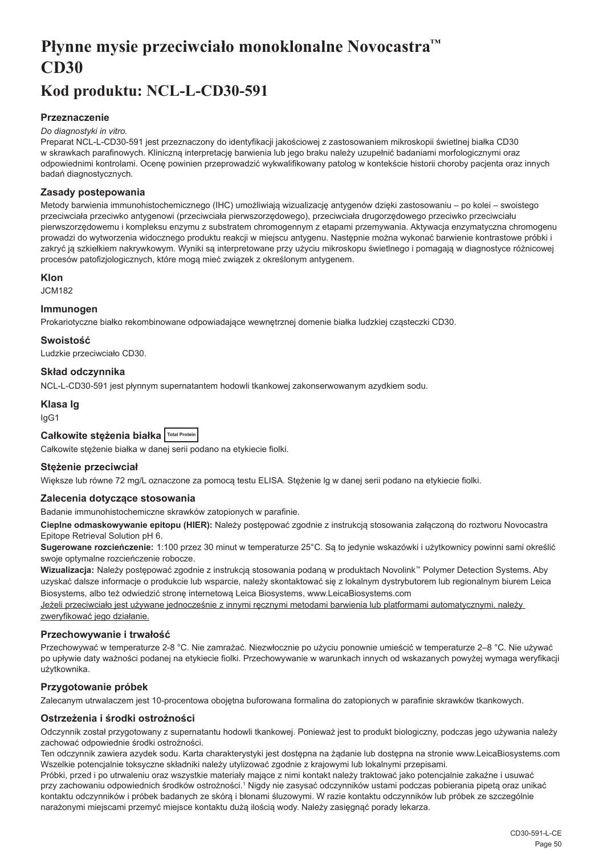# <span id="page-50-0"></span>**Płynne mysie przeciwciało monoklonalne Novocastra™ CD30**

# **Kod produktu: NCL-L-CD30-591**

# **Przeznaczenie**

#### *Do diagnostyki in vitro.*

Preparat NCL-L-CD30-591 jest przeznaczony do identyfikacji jakościowej z zastosowaniem mikroskopii świetlnej białka CD30 w skrawkach parafinowych. Kliniczną interpretację barwienia lub jego braku należy uzupełnić badaniami morfologicznymi oraz odpowiednimi kontrolami. Ocenę powinien przeprowadzić wykwalifikowany patolog w kontekście historii choroby pacjenta oraz innych badań diagnostycznych.

### **Zasady postepowania**

Metody barwienia immunohistochemicznego (IHC) umożliwiają wizualizację antygenów dzięki zastosowaniu – po kolei – swoistego przeciwciała przeciwko antygenowi (przeciwciała pierwszorzędowego), przeciwciała drugorzędowego przeciwko przeciwciału pierwszorzędowemu i kompleksu enzymu z substratem chromogennym z etapami przemywania. Aktywacja enzymatyczna chromogenu prowadzi do wytworzenia widocznego produktu reakcji w miejscu antygenu. Następnie można wykonać barwienie kontrastowe próbki i zakryć ją szkiełkiem nakrywkowym. Wyniki są interpretowane przy użyciu mikroskopu świetlnego i pomagają w diagnostyce różnicowej procesów patofizjologicznych, które mogą mieć związek z określonym antygenem.

### **Klon**

JCM182

# **Immunogen**

Prokariotyczne białko rekombinowane odpowiadające wewnętrznej domenie białka ludzkiej cząsteczki CD30.

#### **Swoistość**

Ludzkie przeciwciało CD30.

# **Skład odczynnika**

NCL-L-CD30-591 jest płynnym supernatantem hodowli tkankowej zakonserwowanym azydkiem sodu.

#### **Klasa Ig**

IgG1

| Całkowite stężenia białka   Total Protein |  |  |  |
|-------------------------------------------|--|--|--|
|-------------------------------------------|--|--|--|

Całkowite stężenie białka w danej serii podano na etykiecie fiolki.

### **Stężenie przeciwciał**

Większe lub równe 72 mg/L oznaczone za pomocą testu ELISA. Stężenie lg w danej serii podano na etykiecie fiolki.

### **Zalecenia dotyczące stosowania**

Badanie immunohistochemiczne skrawków zatopionych w parafinie.

**Cieplne odmaskowywanie epitopu (HIER):** Należy postępować zgodnie z instrukcją stosowania załączoną do roztworu Novocastra Epitope Retrieval Solution pH 6.

**Sugerowane rozcieńczenie:** 1:100 przez 30 minut w temperaturze 25°C. Są to jedynie wskazówki i użytkownicy powinni sami określić swoje optymalne rozcieńczenie robocze.

**Wizualizacja:** Należy postępować zgodnie z instrukcją stosowania podaną w produktach Novolink™ Polymer Detection Systems. Aby uzyskać dalsze informacje o produkcie lub wsparcie, należy skontaktować się z lokalnym dystrybutorem lub regionalnym biurem Leica Biosystems, albo też odwiedzić stronę internetową Leica Biosystems, www.LeicaBiosystems.com

Jeżeli przeciwciało jest używane jednocześnie z innymi ręcznymi metodami barwienia lub platformami automatycznymi, należy zweryfikować jego działanie.

# **Przechowywanie i trwałość**

Przechowywać w temperaturze 2-8 °C. Nie zamrażać. Niezwłocznie po użyciu ponownie umieścić w temperaturze 2–8 °C. Nie używać po upływie daty ważności podanej na etykiecie fiolki. Przechowywanie w warunkach innych od wskazanych powyżej wymaga weryfikacji użytkownika.

### **Przygotowanie próbek**

Zalecanym utrwalaczem jest 10-procentowa obojętna buforowana formalina do zatopionych w parafinie skrawków tkankowych.

### **Ostrzeżenia i środki ostrożności**

Odczynnik został przygotowany z supernatantu hodowli tkankowej. Ponieważ jest to produkt biologiczny, podczas jego używania należy zachować odpowiednie środki ostrożności.

Ten odczynnik zawiera azydek sodu. Karta charakterystyki jest dostępna na żądanie lub dostępna na stronie www.LeicaBiosystems.com Wszelkie potencjalnie toksyczne składniki należy utylizować zgodnie z krajowymi lub lokalnymi przepisami.

Próbki, przed i po utrwaleniu oraz wszystkie materiały mające z nimi kontakt należy traktować jako potencjalnie zakaźne i usuwać przy zachowaniu odpowiednich środków ostrożności.1 Nigdy nie zasysać odczynników ustami podczas pobierania pipetą oraz unikać kontaktu odczynników i próbek badanych ze skórą i błonami śluzowymi. W razie kontaktu odczynników lub próbek ze szczególnie narażonymi miejscami przemyć miejsce kontaktu dużą ilością wody. Należy zasięgnąć porady lekarza.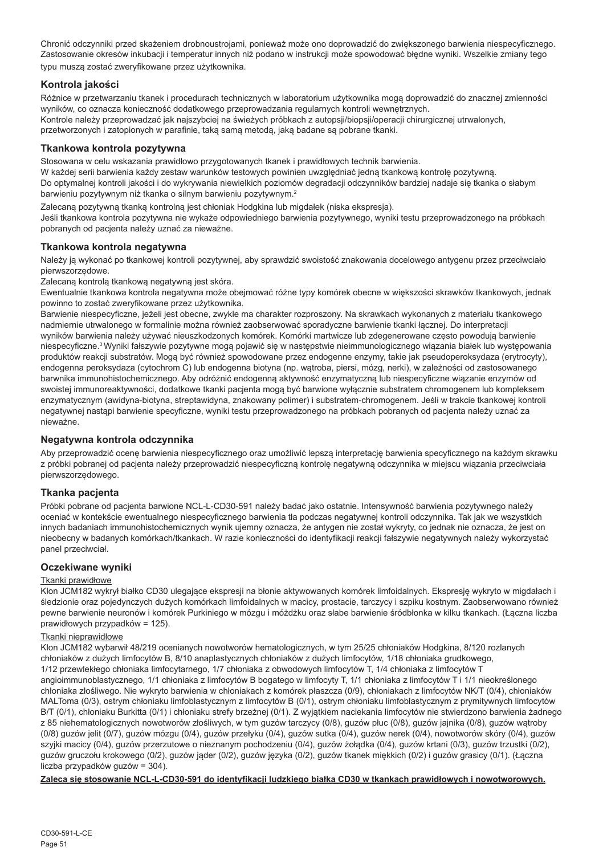Chronić odczynniki przed skażeniem drobnoustrojami, ponieważ może ono doprowadzić do zwiększonego barwienia niespecyficznego. Zastosowanie okresów inkubacji i temperatur innych niż podano w instrukcji może spowodować błędne wyniki. Wszelkie zmiany tego typu muszą zostać zweryfikowane przez użytkownika.

### **Kontrola jakości**

Różnice w przetwarzaniu tkanek i procedurach technicznych w laboratorium użytkownika mogą doprowadzić do znacznej zmienności wyników, co oznacza konieczność dodatkowego przeprowadzania regularnych kontroli wewnętrznych. Kontrole należy przeprowadzać jak najszybciej na świeżych próbkach z autopsji/biopsji/operacji chirurgicznej utrwalonych, przetworzonych i zatopionych w parafinie, taką samą metodą, jaką badane są pobrane tkanki.

# **Tkankowa kontrola pozytywna**

Stosowana w celu wskazania prawidłowo przygotowanych tkanek i prawidłowych technik barwienia.

W każdej serii barwienia każdy zestaw warunków testowych powinien uwzględniać jedną tkankową kontrolę pozytywną. Do optymalnej kontroli jakości i do wykrywania niewielkich poziomów degradacji odczynników bardziej nadaje się tkanka o słabym barwieniu pozytywnym niż tkanka o silnym barwieniu pozytywnym.<sup>2</sup>

Zalecaną pozytywną tkanką kontrolną jest chłoniak Hodgkina lub migdałek (niska ekspresja). Jeśli tkankowa kontrola pozytywna nie wykaże odpowiedniego barwienia pozytywnego, wyniki testu przeprowadzonego na próbkach pobranych od pacjenta należy uznać za nieważne.

### **Tkankowa kontrola negatywna**

Należy ją wykonać po tkankowej kontroli pozytywnej, aby sprawdzić swoistość znakowania docelowego antygenu przez przeciwciało pierwszorzędowe.

Zalecaną kontrolą tkankową negatywną jest skóra.

Ewentualnie tkankowa kontrola negatywna może obejmować różne typy komórek obecne w większości skrawków tkankowych, jednak powinno to zostać zweryfikowane przez użytkownika.

Barwienie niespecyficzne, jeżeli jest obecne, zwykle ma charakter rozproszony. Na skrawkach wykonanych z materiału tkankowego nadmiernie utrwalonego w formalinie można również zaobserwować sporadyczne barwienie tkanki łącznej. Do interpretacji wyników barwienia należy używać nieuszkodzonych komórek. Komórki martwicze lub zdegenerowane często powodują barwienie niespecyficzne.<sup>3</sup>Wyniki fałszywie pozytywne mogą pojawić się w następstwie nieimmunologicznego wiązania białek lub występowania produktów reakcji substratów. Mogą być również spowodowane przez endogenne enzymy, takie jak pseudoperoksydaza (erytrocyty), endogenna peroksydaza (cytochrom C) lub endogenna biotyna (np. wątroba, piersi, mózg, nerki), w zależności od zastosowanego barwnika immunohistochemicznego. Aby odróżnić endogenną aktywność enzymatyczną lub niespecyficzne wiązanie enzymów od swoistej immunoreaktywności, dodatkowe tkanki pacjenta mogą być barwione wyłącznie substratem chromogenem lub kompleksem enzymatycznym (awidyna-biotyna, streptawidyna, znakowany polimer) i substratem-chromogenem. Jeśli w trakcie tkankowej kontroli negatywnej nastąpi barwienie specyficzne, wyniki testu przeprowadzonego na próbkach pobranych od pacjenta należy uznać za nieważne.

# **Negatywna kontrola odczynnika**

Aby przeprowadzić ocenę barwienia niespecyficznego oraz umożliwić lepszą interpretację barwienia specyficznego na każdym skrawku z próbki pobranej od pacjenta należy przeprowadzić niespecyficzną kontrolę negatywną odczynnika w miejscu wiązania przeciwciała pierwszorzędowego.

### **Tkanka pacjenta**

Próbki pobrane od pacjenta barwione NCL-L-CD30-591 należy badać jako ostatnie. Intensywność barwienia pozytywnego należy oceniać w kontekście ewentualnego niespecyficznego barwienia tła podczas negatywnej kontroli odczynnika. Tak jak we wszystkich innych badaniach immunohistochemicznych wynik ujemny oznacza, że antygen nie został wykryty, co jednak nie oznacza, że jest on nieobecny w badanych komórkach/tkankach. W razie konieczności do identyfikacji reakcji fałszywie negatywnych należy wykorzystać panel przeciwciał.

### **Oczekiwane wyniki**

#### Tkanki prawidłowe

Klon JCM182 wykrył białko CD30 ulegające ekspresji na błonie aktywowanych komórek limfoidalnych. Ekspresję wykryto w migdałach i śledzionie oraz pojedynczych dużych komórkach limfoidalnych w macicy, prostacie, tarczycy i szpiku kostnym. Zaobserwowano również pewne barwienie neuronów i komórek Purkiniego w mózgu i móżdżku oraz słabe barwienie śródbłonka w kilku tkankach. (Łączna liczba prawidłowych przypadków = 125).

#### Tkanki nieprawidłowe

Klon JCM182 wybarwił 48/219 ocenianych nowotworów hematologicznych, w tym 25/25 chłoniaków Hodgkina, 8/120 rozlanych chłoniaków z dużych limfocytów B, 8/10 anaplastycznych chłoniaków z dużych limfocytów, 1/18 chłoniaka grudkowego, 1/12 przewlekłego chłoniaka limfocytarnego, 1/7 chłoniaka z obwodowych limfocytów T, 1/4 chłoniaka z limfocytów T angioimmunoblastycznego, 1/1 chłoniaka z limfocytów B bogatego w limfocyty T, 1/1 chłoniaka z limfocytów T i 1/1 nieokreślonego chłoniaka złośliwego. Nie wykryto barwienia w chłoniakach z komórek płaszcza (0/9), chłoniakach z limfocytów NK/T (0/4), chłoniaków MALToma (0/3), ostrym chłoniaku limfoblastycznym z limfocytów B (0/1), ostrym chłoniaku limfoblastycznym z prymitywnych limfocytów B/T (0/1), chłoniaku Burkitta (0/1) i chłoniaku strefy brzeżnej (0/1). Z wyjątkiem naciekania limfocytów nie stwierdzono barwienia żadnego z 85 niehematologicznych nowotworów złośliwych, w tym guzów tarczycy (0/8), guzów płuc (0/8), guzów jajnika (0/8), guzów wątroby (0/8) guzów jelit (0/7), guzów mózgu (0/4), guzów przełyku (0/4), guzów sutka (0/4), guzów nerek (0/4), nowotworów skóry (0/4), guzów szyjki macicy (0/4), guzów przerzutowe o nieznanym pochodzeniu (0/4), guzów żołądka (0/4), guzów krtani (0/3), guzów trzustki (0/2), guzów gruczołu krokowego (0/2), guzów jąder (0/2), guzów języka (0/2), guzów tkanek miękkich (0/2) i guzów grasicy (0/1). (Łączna liczba przypadków guzów = 304).

**Zaleca się stosowanie NCL-L-CD30-591 do identyfikacji ludzkiego białka CD30 w tkankach prawidłowych i nowotworowych.**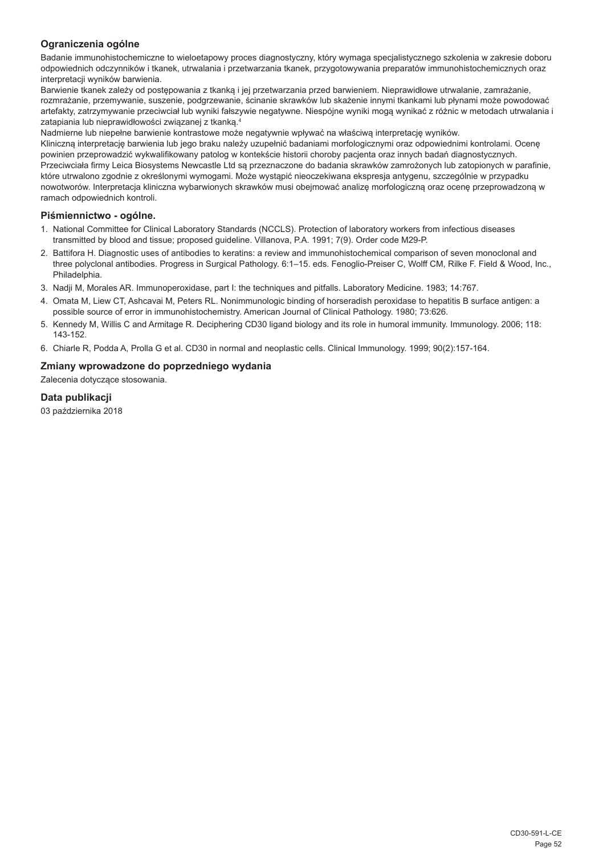# **Ograniczenia ogólne**

Badanie immunohistochemiczne to wieloetapowy proces diagnostyczny, który wymaga specjalistycznego szkolenia w zakresie doboru odpowiednich odczynników i tkanek, utrwalania i przetwarzania tkanek, przygotowywania preparatów immunohistochemicznych oraz interpretacji wyników barwienia.

Barwienie tkanek zależy od postępowania z tkanką i jej przetwarzania przed barwieniem. Nieprawidłowe utrwalanie, zamrażanie, rozmrażanie, przemywanie, suszenie, podgrzewanie, ścinanie skrawków lub skażenie innymi tkankami lub płynami może powodować artefakty, zatrzymywanie przeciwciał lub wyniki fałszywie negatywne. Niespójne wyniki mogą wynikać z różnic w metodach utrwalania i zatapiania lub nieprawidłowości związanej z tkanką.<sup>4</sup>

Nadmierne lub niepełne barwienie kontrastowe może negatywnie wpływać na właściwą interpretację wyników.

Kliniczną interpretację barwienia lub jego braku należy uzupełnić badaniami morfologicznymi oraz odpowiednimi kontrolami. Ocenę powinien przeprowadzić wykwalifikowany patolog w kontekście historii choroby pacjenta oraz innych badań diagnostycznych. Przeciwciała firmy Leica Biosystems Newcastle Ltd są przeznaczone do badania skrawków zamrożonych lub zatopionych w parafinie, które utrwalono zgodnie z określonymi wymogami. Może wystąpić nieoczekiwana ekspresja antygenu, szczególnie w przypadku nowotworów. Interpretacja kliniczna wybarwionych skrawków musi obejmować analizę morfologiczną oraz ocenę przeprowadzoną w ramach odpowiednich kontroli.

### **Piśmiennictwo - ogólne.**

- 1. National Committee for Clinical Laboratory Standards (NCCLS). Protection of laboratory workers from infectious diseases transmitted by blood and tissue; proposed guideline. Villanova, P.A. 1991; 7(9). Order code M29-P.
- 2. Battifora H. Diagnostic uses of antibodies to keratins: a review and immunohistochemical comparison of seven monoclonal and three polyclonal antibodies. Progress in Surgical Pathology. 6:1–15. eds. Fenoglio-Preiser C, Wolff CM, Rilke F. Field & Wood, Inc., Philadelphia.
- 3. Nadji M, Morales AR. Immunoperoxidase, part I: the techniques and pitfalls. Laboratory Medicine. 1983; 14:767.
- 4. Omata M, Liew CT, Ashcavai M, Peters RL. Nonimmunologic binding of horseradish peroxidase to hepatitis B surface antigen: a possible source of error in immunohistochemistry. American Journal of Clinical Pathology. 1980; 73:626.
- 5. Kennedy M, Willis C and Armitage R. Deciphering CD30 ligand biology and its role in humoral immunity. Immunology. 2006; 118: 143-152.
- 6. Chiarle R, Podda A, Prolla G et al. CD30 in normal and neoplastic cells. Clinical Immunology. 1999; 90(2):157-164.

# **Zmiany wprowadzone do poprzedniego wydania**

Zalecenia dotyczące stosowania.

# **Data publikacji**

03 października 2018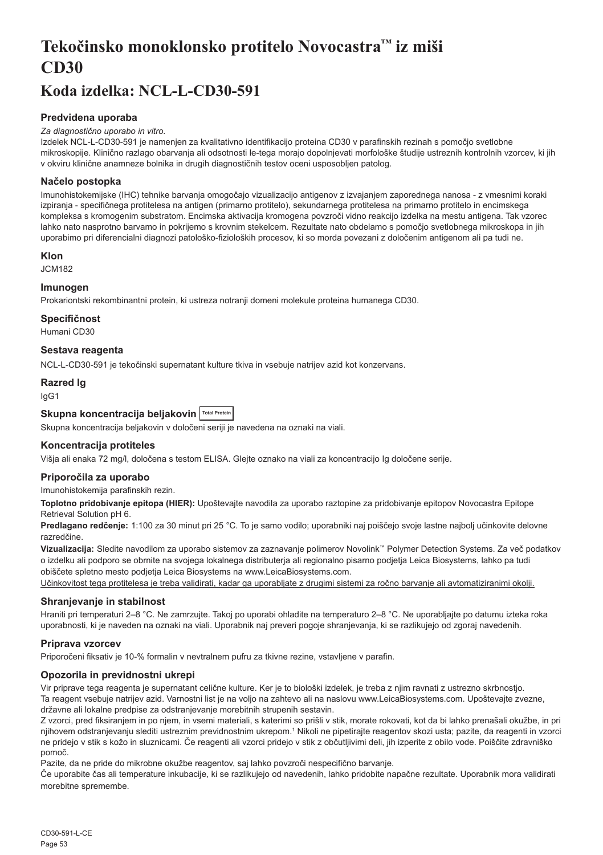# <span id="page-53-0"></span>**Tekočinsko monoklonsko protitelo Novocastra™ iz miši CD30**

# **Koda izdelka: NCL-L-CD30-591**

# **Predvidena uporaba**

#### *Za diagnostično uporabo in vitro.*

Izdelek NCL-L-CD30-591 je namenjen za kvalitativno identifikacijo proteina CD30 v parafinskih rezinah s pomočjo svetlobne mikroskopije. Klinično razlago obarvanja ali odsotnosti le-tega morajo dopolnjevati morfološke študije ustreznih kontrolnih vzorcev, ki jih v okviru klinične anamneze bolnika in drugih diagnostičnih testov oceni usposobljen patolog.

### **Načelo postopka**

Imunohistokemijske (IHC) tehnike barvanja omogočajo vizualizacijo antigenov z izvajanjem zaporednega nanosa - z vmesnimi koraki izpiranja - specifičnega protitelesa na antigen (primarno protitelo), sekundarnega protitelesa na primarno protitelo in encimskega kompleksa s kromogenim substratom. Encimska aktivacija kromogena povzroči vidno reakcijo izdelka na mestu antigena. Tak vzorec lahko nato nasprotno barvamo in pokrijemo s krovnim stekelcem. Rezultate nato obdelamo s pomočjo svetlobnega mikroskopa in jih uporabimo pri diferencialni diagnozi patološko-fizioloških procesov, ki so morda povezani z določenim antigenom ali pa tudi ne.

### **Klon**

JCM182

# **Imunogen**

Prokariontski rekombinantni protein, ki ustreza notranji domeni molekule proteina humanega CD30.

### **Specifičnost**

Humani CD30

### **Sestava reagenta**

NCL-L-CD30-591 je tekočinski supernatant kulture tkiva in vsebuje natrijev azid kot konzervans.

# **Razred Ig**

IgG1

# Skupna koncentracija beljakovin Total Protein

Skupna koncentracija beljakovin v določeni seriji je navedena na oznaki na viali.

### **Koncentracija protiteles**

Višja ali enaka 72 mg/l, določena s testom ELISA. Glejte oznako na viali za koncentracijo Ig določene serije.

### **Priporočila za uporabo**

Imunohistokemija parafinskih rezin.

**Toplotno pridobivanje epitopa (HIER):** Upoštevajte navodila za uporabo raztopine za pridobivanje epitopov Novocastra Epitope Retrieval Solution pH 6.

**Predlagano redčenje:** 1:100 za 30 minut pri 25 °C. To je samo vodilo; uporabniki naj poiščejo svoje lastne najbolj učinkovite delovne razredčine.

**Vizualizacija:** Sledite navodilom za uporabo sistemov za zaznavanje polimerov Novolink™ Polymer Detection Systems. Za več podatkov o izdelku ali podporo se obrnite na svojega lokalnega distributerja ali regionalno pisarno podjetja Leica Biosystems, lahko pa tudi obiščete spletno mesto podjetja Leica Biosystems na www.LeicaBiosystems.com.

Učinkovitost tega protitelesa je treba validirati, kadar ga uporabljate z drugimi sistemi za ročno barvanje ali avtomatiziranimi okolji.

### **Shranjevanje in stabilnost**

Hraniti pri temperaturi 2–8 °C. Ne zamrzujte. Takoj po uporabi ohladite na temperaturo 2–8 °C. Ne uporabljajte po datumu izteka roka uporabnosti, ki je naveden na oznaki na viali. Uporabnik naj preveri pogoje shranjevanja, ki se razlikujejo od zgoraj navedenih.

### **Priprava vzorcev**

Priporočeni fiksativ je 10-% formalin v nevtralnem pufru za tkivne rezine, vstavljene v parafin.

### **Opozorila in previdnostni ukrepi**

Vir priprave tega reagenta je supernatant celične kulture. Ker je to biološki izdelek, je treba z njim ravnati z ustrezno skrbnostjo. Ta reagent vsebuje natrijev azid. Varnostni list je na voljo na zahtevo ali na naslovu www.LeicaBiosystems.com. Upoštevajte zvezne, državne ali lokalne predpise za odstranjevanje morebitnih strupenih sestavin.

Z vzorci, pred fiksiranjem in po njem, in vsemi materiali, s katerimi so prišli v stik, morate rokovati, kot da bi lahko prenašali okužbe, in pri njihovem odstranjevanju slediti ustreznim previdnostnim ukrepom.<sup>1</sup> Nikoli ne pipetirajte reagentov skozi usta; pazite, da reagenti in vzorci ne pridejo v stik s kožo in sluznicami. Če reagenti ali vzorci pridejo v stik z občutljivimi deli, jih izperite z obilo vode. Poiščite zdravniško pomoč.

Pazite, da ne pride do mikrobne okužbe reagentov, saj lahko povzroči nespecifično barvanje.

Če uporabite čas ali temperature inkubacije, ki se razlikujejo od navedenih, lahko pridobite napačne rezultate. Uporabnik mora validirati morebitne spremembe.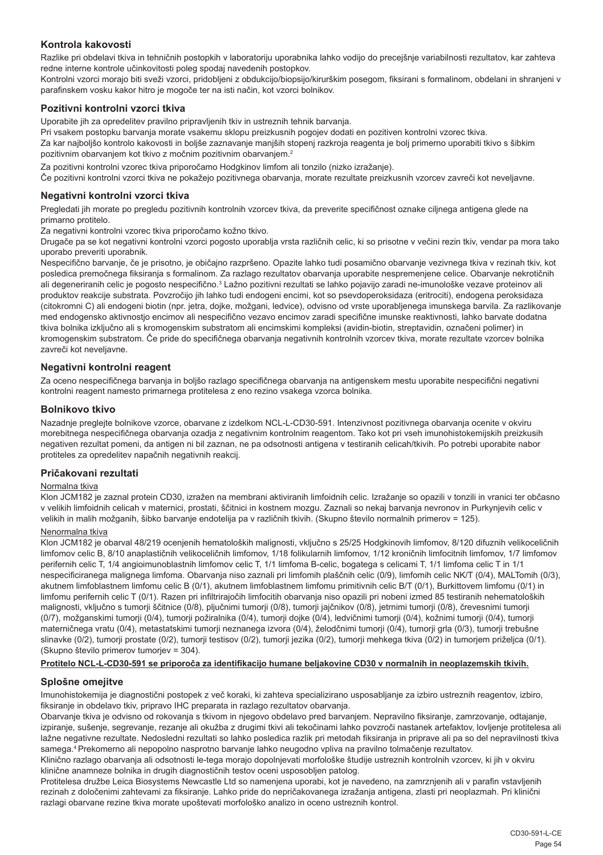# **Kontrola kakovosti**

Razlike pri obdelavi tkiva in tehničnih postopkih v laboratoriju uporabnika lahko vodijo do precejšnje variabilnosti rezultatov, kar zahteva redne interne kontrole učinkovitosti poleg spodaj navedenih postopkov.

Kontrolni vzorci morajo biti sveži vzorci, pridobljeni z obdukcijo/biopsijo/kirurškim posegom, fiksirani s formalinom, obdelani in shranjeni v parafinskem vosku kakor hitro je mogoče ter na isti način, kot vzorci bolnikov.

#### **Pozitivni kontrolni vzorci tkiva**

Uporabite jih za opredelitev pravilno pripravljenih tkiv in ustreznih tehnik barvanja.

Pri vsakem postopku barvanja morate vsakemu sklopu preizkusnih pogojev dodati en pozitiven kontrolni vzorec tkiva.

Za kar najboljšo kontrolo kakovosti in boljše zaznavanje manjših stopenj razkroja reagenta je bolj primerno uporabiti tkivo s šibkim pozitivnim obarvanjem kot tkivo z močnim pozitivnim obarvanjem.<sup>2</sup>

Za pozitivni kontrolni vzorec tkiva priporočamo Hodgkinov limfom ali tonzilo (nizko izražanje).

Če pozitivni kontrolni vzorci tkiva ne pokažejo pozitivnega obarvanja, morate rezultate preizkusnih vzorcev zavreči kot neveljavne.

#### **Negativni kontrolni vzorci tkiva**

Pregledati jih morate po pregledu pozitivnih kontrolnih vzorcev tkiva, da preverite specifičnost oznake ciljnega antigena glede na primarno protitelo.

Za negativni kontrolni vzorec tkiva priporočamo kožno tkivo.

Drugače pa se kot negativni kontrolni vzorci pogosto uporablja vrsta različnih celic, ki so prisotne v večini rezin tkiv, vendar pa mora tako uporabo preveriti uporabnik.

Nespecifično barvanje, če je prisotno, je običajno razpršeno. Opazite lahko tudi posamično obarvanje vezivnega tkiva v rezinah tkiv, kot posledica premočnega fiksiranja s formalinom. Za razlago rezultatov obarvanja uporabite nespremenjene celice. Obarvanje nekrotičnih ali degeneriranih celic je pogosto nespecifično.<sup>3</sup> Lažno pozitivni rezultati se lahko pojavijo zaradi ne-imunološke vezave proteinov ali produktov reakcije substrata. Povzročijo jih lahko tudi endogeni encimi, kot so psevdoperoksidaza (eritrociti), endogena peroksidaza (citokromni C) ali endogeni biotin (npr. jetra, dojke, možgani, ledvice), odvisno od vrste uporabljenega imunskega barvila. Za razlikovanje med endogensko aktivnostjo encimov ali nespecifično vezavo encimov zaradi specifične imunske reaktivnosti, lahko barvate dodatna tkiva bolnika izključno ali s kromogenskim substratom ali encimskimi kompleksi (avidin-biotin, streptavidin, označeni polimer) in kromogenskim substratom. Če pride do specifičnega obarvanja negativnih kontrolnih vzorcev tkiva, morate rezultate vzorcev bolnika zavreči kot neveljavne.

#### **Negativni kontrolni reagent**

Za oceno nespecifičnega barvanja in boljšo razlago specifičnega obarvanja na antigenskem mestu uporabite nespecifični negativni kontrolni reagent namesto primarnega protitelesa z eno rezino vsakega vzorca bolnika.

#### **Bolnikovo tkivo**

Nazadnje preglejte bolnikove vzorce, obarvane z izdelkom NCL-L-CD30-591. Intenzivnost pozitivnega obarvanja ocenite v okviru morebitnega nespecifičnega obarvanja ozadja z negativnim kontrolnim reagentom. Tako kot pri vseh imunohistokemijskih preizkusih negativen rezultat pomeni, da antigen ni bil zaznan, ne pa odsotnosti antigena v testiranih celicah/tkivih. Po potrebi uporabite nabor protiteles za opredelitev napačnih negativnih reakcij.

#### **Pričakovani rezultati**

#### Normalna tkiva

Klon JCM182 je zaznal protein CD30, izražen na membrani aktiviranih limfoidnih celic. Izražanje so opazili v tonzili in vranici ter občasno v velikih limfoidnih celicah v maternici, prostati, ščitnici in kostnem mozgu. Zaznali so nekaj barvanja nevronov in Purkynjevih celic v velikih in malih možganih, šibko barvanje endotelija pa v različnih tkivih. (Skupno število normalnih primerov = 125).

#### Nenormalna tkiva

Klon JCM182 je obarval 48/219 ocenjenih hematoloških malignosti, vključno s 25/25 Hodgkinovih limfomov, 8/120 difuznih velikoceličnih limfomov celic B, 8/10 anaplastičnih velikoceličnih limfomov, 1/18 folikularnih limfomov, 1/12 kroničnih limfocitnih limfomov, 1/7 limfomov perifernih celic T, 1/4 angioimunoblastnih limfomov celic T, 1/1 limfoma B-celic, bogatega s celicami T, 1/1 limfoma celic T in 1/1 nespecificiranega malignega limfoma. Obarvanja niso zaznali pri limfomih plaščnih celic (0/9), limfomih celic NK/T (0/4), MALTomih (0/3), akutnem limfoblastnem limfomu celic B (0/1), akutnem limfoblastnem limfomu primitivnih celic B/T (0/1), Burkittovem limfomu (0/1) in limfomu perifernih celic T (0/1). Razen pri infiltrirajočih limfocitih obarvanja niso opazili pri nobeni izmed 85 testiranih nehematoloških malignosti, vključno s tumorji ščitnice (0/8), pljučnimi tumorji (0/8), tumorji jajčnikov (0/8), jetrnimi tumorji (0/8), črevesnimi tumorji (0/7), možganskimi tumorji (0/4), tumorji požiralnika (0/4), tumorji dojke (0/4), ledvičnimi tumorji (0/4), kožnimi tumorji (0/4), tumorji materničnega vratu (0/4), metastatskimi tumorji neznanega izvora (0/4), želodčnimi tumorji (0/4), tumorji grla (0/3), tumorji trebušne slinavke (0/2), tumorji prostate (0/2), tumorji testisov (0/2), tumorji jezika (0/2), tumorji mehkega tkiva (0/2) in tumorjem priželjca (0/1). (Skupno število primerov tumorjev = 304).

#### **Protitelo NCL-L-CD30-591 se priporoča za identifikacijo humane beljakovine CD30 v normalnih in neoplazemskih tkivih.**

### **Splošne omejitve**

Imunohistokemija je diagnostični postopek z več koraki, ki zahteva specializirano usposabljanje za izbiro ustreznih reagentov, izbiro, fiksiranje in obdelavo tkiv, pripravo IHC preparata in razlago rezultatov obarvanja.

Obarvanje tkiva je odvisno od rokovanja s tkivom in njegovo obdelavo pred barvanjem. Nepravilno fiksiranje, zamrzovanje, odtajanje, izpiranje, sušenje, segrevanje, rezanje ali okužba z drugimi tkivi ali tekočinami lahko povzroči nastanek artefaktov, lovljenje protitelesa ali lažne negativne rezultate. Nedosledni rezultati so lahko posledica razlik pri metodah fiksiranja in priprave ali pa so del nepravilnosti tkiva samega.<sup>4</sup>Prekomerno ali nepopolno nasprotno barvanje lahko neugodno vpliva na pravilno tolmačenje rezultatov.

Klinično razlago obarvanja ali odsotnosti le-tega morajo dopolnjevati morfološke študije ustreznih kontrolnih vzorcev, ki jih v okviru klinične anamneze bolnika in drugih diagnostičnih testov oceni usposobljen patolog.

Protitelesa družbe Leica Biosystems Newcastle Ltd so namenjena uporabi, kot je navedeno, na zamrznjenih ali v parafin vstavljenih rezinah z določenimi zahtevami za fiksiranje. Lahko pride do nepričakovanega izražanja antigena, zlasti pri neoplazmah. Pri klinični razlagi obarvane rezine tkiva morate upoštevati morfološko analizo in oceno ustreznih kontrol.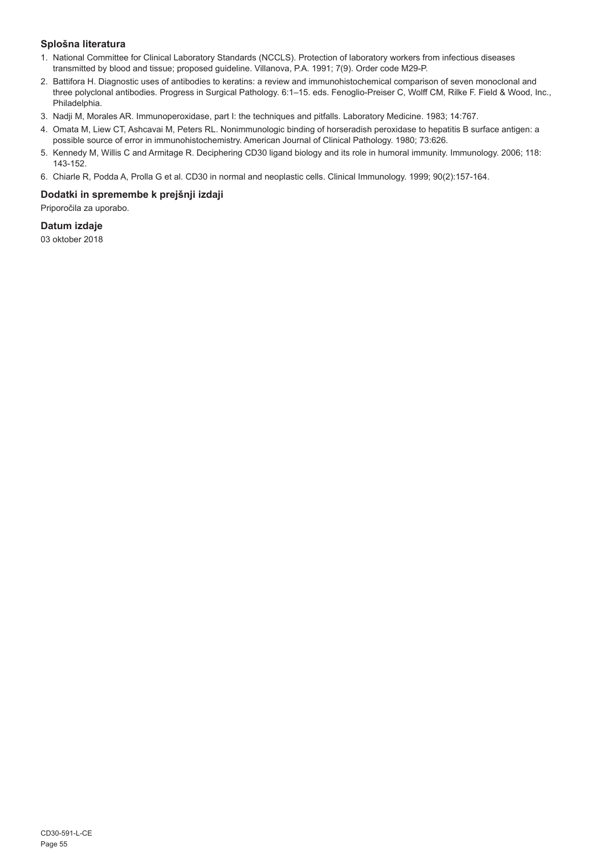# **Splošna literatura**

- 1. National Committee for Clinical Laboratory Standards (NCCLS). Protection of laboratory workers from infectious diseases transmitted by blood and tissue; proposed guideline. Villanova, P.A. 1991; 7(9). Order code M29-P.
- 2. Battifora H. Diagnostic uses of antibodies to keratins: a review and immunohistochemical comparison of seven monoclonal and three polyclonal antibodies. Progress in Surgical Pathology. 6:1–15. eds. Fenoglio-Preiser C, Wolff CM, Rilke F. Field & Wood, Inc., Philadelphia.
- 3. Nadji M, Morales AR. Immunoperoxidase, part I: the techniques and pitfalls. Laboratory Medicine. 1983; 14:767.
- 4. Omata M, Liew CT, Ashcavai M, Peters RL. Nonimmunologic binding of horseradish peroxidase to hepatitis B surface antigen: a possible source of error in immunohistochemistry. American Journal of Clinical Pathology. 1980; 73:626.
- 5. Kennedy M, Willis C and Armitage R. Deciphering CD30 ligand biology and its role in humoral immunity. Immunology. 2006; 118: 143-152.
- 6. Chiarle R, Podda A, Prolla G et al. CD30 in normal and neoplastic cells. Clinical Immunology. 1999; 90(2):157-164.

# **Dodatki in spremembe k prejšnji izdaji**

Priporočila za uporabo.

# **Datum izdaje**

03 oktober 2018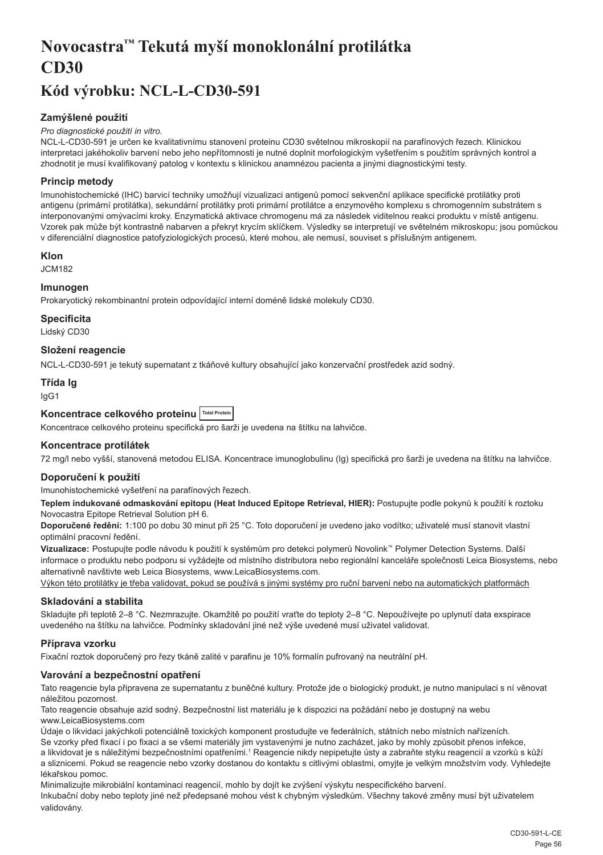# <span id="page-56-0"></span>**Novocastra™ Tekutá myší monoklonální protilátka CD30**

# **Kód výrobku: NCL-L-CD30-591**

# **Zamýšlené použití**

#### *Pro diagnostické použití in vitro.*

NCL-L-CD30-591 je určen ke kvalitativnímu stanovení proteinu CD30 světelnou mikroskopií na parafínových řezech. Klinickou interpretaci jakéhokoliv barvení nebo jeho nepřítomnosti je nutné doplnit morfologickým vyšetřením s použitím správných kontrol a zhodnotit je musí kvalifikovaný patolog v kontextu s klinickou anamnézou pacienta a jinými diagnostickými testy.

# **Princip metody**

Imunohistochemické (IHC) barvicí techniky umožňují vizualizaci antigenů pomocí sekvenční aplikace specifické protilátky proti antigenu (primární protilátka), sekundární protilátky proti primární protilátce a enzymového komplexu s chromogenním substrátem s interponovanými omývacími kroky. Enzymatická aktivace chromogenu má za následek viditelnou reakci produktu v místě antigenu. Vzorek pak může být kontrastně nabarven a překryt krycím sklíčkem. Výsledky se interpretují ve světelném mikroskopu; jsou pomůckou v diferenciální diagnostice patofyziologických procesů, které mohou, ale nemusí, souviset s příslušným antigenem.

### **Klon**

JCM182

# **Imunogen**

Prokaryotický rekombinantní protein odpovídající interní doméně lidské molekuly CD30.

# **Specificita**

Lidský CD30

# **Složení reagencie**

NCL-L-CD30-591 je tekutý supernatant z tkáňové kultury obsahující jako konzervační prostředek azid sodný.

# **Třída Ig**

IgG1

# **Koncentrace celkového proteinu Total Protein**

Koncentrace celkového proteinu specifická pro šarži je uvedena na štítku na lahvičce.

### **Koncentrace protilátek**

72 mg/l nebo vyšší, stanovená metodou ELISA. Koncentrace imunoglobulinu (Ig) specifická pro šarži je uvedena na štítku na lahvičce.

### **Doporučení k použití**

Imunohistochemické vyšetření na parafínových řezech.

**Teplem indukované odmaskování epitopu (Heat Induced Epitope Retrieval, HIER):** Postupujte podle pokynů k použití k roztoku Novocastra Epitope Retrieval Solution pH 6.

**Doporučené ředění:** 1:100 po dobu 30 minut při 25 °C. Toto doporučení je uvedeno jako vodítko; uživatelé musí stanovit vlastní optimální pracovní ředění.

**Vizualizace:** Postupujte podle návodu k použití k systémům pro detekci polymerů Novolink™ Polymer Detection Systems. Další informace o produktu nebo podporu si vyžádejte od místního distributora nebo regionální kanceláře společnosti Leica Biosystems, nebo alternativně navštivte web Leica Biosystems, www.LeicaBiosystems.com.

Výkon této protilátky je třeba validovat, pokud se používá s jinými systémy pro ruční barvení nebo na automatických platformách

### **Skladování a stabilita**

Skladujte při teplotě 2–8 °C. Nezmrazujte. Okamžitě po použití vraťte do teploty 2–8 °C. Nepoužívejte po uplynutí data exspirace uvedeného na štítku na lahvičce. Podmínky skladování jiné než výše uvedené musí uživatel validovat.

### **Příprava vzorku**

Fixační roztok doporučený pro řezy tkáně zalité v parafinu je 10% formalín pufrovaný na neutrální pH.

### **Varování a bezpečnostní opatření**

Tato reagencie byla připravena ze supernatantu z buněčné kultury. Protože jde o biologický produkt, je nutno manipulaci s ní věnovat náležitou pozornost.

Tato reagencie obsahuje azid sodný. Bezpečnostní list materiálu je k dispozici na požádání nebo je dostupný na webu www.LeicaBiosystems.com

Údaje o likvidaci jakýchkoli potenciálně toxických komponent prostudujte ve federálních, státních nebo místních nařízeních. Se vzorky před fixací i po fixaci a se všemi materiály jim vystavenými je nutno zacházet, jako by mohly způsobit přenos infekce,

a likvidovat je s náležitými bezpečnostními opatřeními.<sup>1</sup> Reagencie nikdy nepipetujte ústy a zabraňte styku reagencií a vzorků s kůží a sliznicemi. Pokud se reagencie nebo vzorky dostanou do kontaktu s citlivými oblastmi, omyjte je velkým množstvím vody. Vyhledejte lékařskou pomoc.

Minimalizujte mikrobiální kontaminaci reagencií, mohlo by dojít ke zvýšení výskytu nespecifického barvení.

Inkubační doby nebo teploty jiné než předepsané mohou vést k chybným výsledkům. Všechny takové změny musí být uživatelem validovány.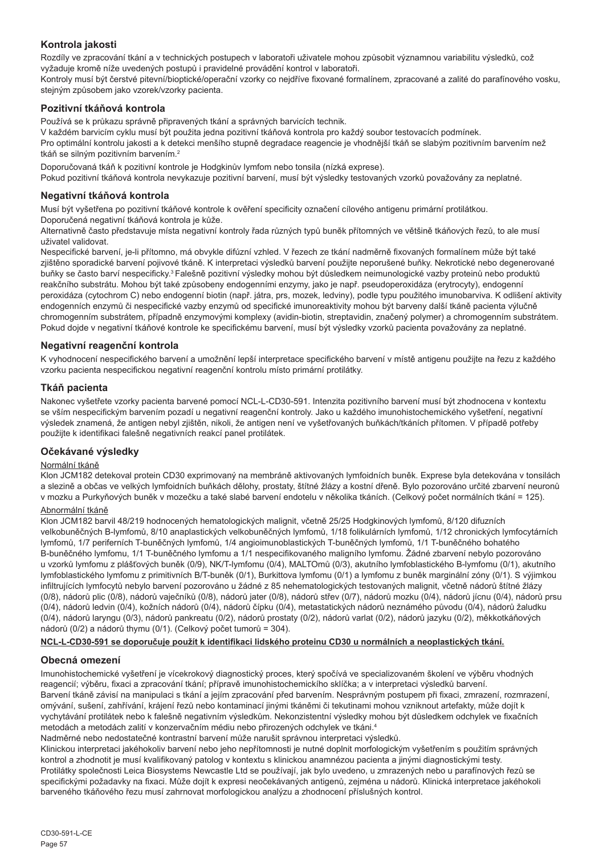# **Kontrola jakosti**

Rozdíly ve zpracování tkání a v technických postupech v laboratoři uživatele mohou způsobit významnou variabilitu výsledků, což vyžaduje kromě níže uvedených postupů i pravidelné provádění kontrol v laboratoři.

Kontroly musí být čerstvé pitevní/bioptické/operační vzorky co nejdříve fixované formalínem, zpracované a zalité do parafínového vosku, stejným způsobem jako vzorek/vzorky pacienta.

# **Pozitivní tkáňová kontrola**

Používá se k průkazu správně připravených tkání a správných barvicích technik.

V každém barvicím cyklu musí být použita jedna pozitivní tkáňová kontrola pro každý soubor testovacích podmínek.

Pro optimální kontrolu jakosti a k detekci menšího stupně degradace reagencie je vhodnější tkáň se slabým pozitivním barvením než tkáň se silným pozitivním barvením.<sup>2</sup>

Doporučovaná tkáň k pozitivní kontrole je Hodgkinův lymfom nebo tonsila (nízká exprese).

Pokud pozitivní tkáňová kontrola nevykazuje pozitivní barvení, musí být výsledky testovaných vzorků považovány za neplatné.

#### **Negativní tkáňová kontrola**

Musí být vyšetřena po pozitivní tkáňové kontrole k ověření specificity označení cílového antigenu primární protilátkou. Doporučená negativní tkáňová kontrola je kůže.

Alternativně často představuje místa negativní kontroly řada různých typů buněk přítomných ve většině tkáňových řezů, to ale musí uživatel validovat.

Nespecifické barvení, je-li přítomno, má obvykle difúzní vzhled. V řezech ze tkání nadměrně fixovaných formalínem může být také zjištěno sporadické barvení pojivové tkáně. K interpretaci výsledků barvení použijte neporušené buňky. Nekrotické nebo degenerované buňky se často barví nespecificky.<sup>3</sup>Falešně pozitivní výsledky mohou být důsledkem neimunologické vazby proteinů nebo produktů reakčního substrátu. Mohou být také způsobeny endogenními enzymy, jako je např. pseudoperoxidáza (erytrocyty), endogenní peroxidáza (cytochrom C) nebo endogenní biotin (např. játra, prs, mozek, ledviny), podle typu použitého imunobarviva. K odlišení aktivity endogenních enzymů či nespecifické vazby enzymů od specifické imunoreaktivity mohou být barveny další tkáně pacienta výlučně chromogenním substrátem, případně enzymovými komplexy (avidin-biotin, streptavidin, značený polymer) a chromogenním substrátem. Pokud dojde v negativní tkáňové kontrole ke specifickému barvení, musí být výsledky vzorků pacienta považovány za neplatné.

# **Negativní reagenční kontrola**

K vyhodnocení nespecifického barvení a umožnění lepší interpretace specifického barvení v místě antigenu použijte na řezu z každého vzorku pacienta nespecifickou negativní reagenční kontrolu místo primární protilátky.

### **Tkáň pacienta**

Nakonec vyšetřete vzorky pacienta barvené pomocí NCL-L-CD30-591. Intenzita pozitivního barvení musí být zhodnocena v kontextu se vším nespecifickým barvením pozadí u negativní reagenční kontroly. Jako u každého imunohistochemického vyšetření, negativní výsledek znamená, že antigen nebyl zjištěn, nikoli, že antigen není ve vyšetřovaných buňkách/tkáních přítomen. V případě potřeby použijte k identifikaci falešně negativních reakcí panel protilátek.

### **Očekávané výsledky**

### Normální tkáně

Klon JCM182 detekoval protein CD30 exprimovaný na membráně aktivovaných lymfoidních buněk. Exprese byla detekována v tonsilách a slezině a občas ve velkých lymfoidních buňkách dělohy, prostaty, štítné žlázy a kostní dřeně. Bylo pozorováno určité zbarvení neuronů v mozku a Purkyňových buněk v mozečku a také slabé barvení endotelu v několika tkáních. (Celkový počet normálních tkání = 125).

# Abnormální tkáně

Klon JCM182 barvil 48/219 hodnocených hematologických malignit, včetně 25/25 Hodgkinových lymfomů, 8/120 difuzních velkobuněčných B-lymfomů, 8/10 anaplastických velkobuněčných lymfomů, 1/18 folikulárních lymfomů, 1/12 chronických lymfocytárních lymfomů, 1/7 periferních T-buněčných lymfomů, 1/4 angioimunoblastických T-buněčných lymfomů, 1/1 T-buněčného bohatého B-buněčného lymfomu, 1/1 T-buněčného lymfomu a 1/1 nespecifikovaného maligního lymfomu. Žádné zbarvení nebylo pozorováno u vzorků lymfomu z plášťových buněk (0/9), NK/T-lymfomu (0/4), MALTOmů (0/3), akutního lymfoblastického B-lymfomu (0/1), akutního lymfoblastického lymfomu z primitivních B/T-buněk (0/1), Burkittova lymfomu (0/1) a lymfomu z buněk marginální zóny (0/1). S výjimkou infiltrujících lymfocytů nebylo barvení pozorováno u žádné z 85 nehematologických testovaných malignit, včetně nádorů štítné žlázy (0/8), nádorů plic (0/8), nádorů vaječníků (0/8), nádorů jater (0/8), nádorů střev (0/7), nádorů mozku (0/4), nádorů jícnu (0/4), nádorů prsu (0/4), nádorů ledvin (0/4), kožních nádorů (0/4), nádorů čípku (0/4), metastatických nádorů neznámého původu (0/4), nádorů žaludku (0/4), nádorů laryngu (0/3), nádorů pankreatu (0/2), nádorů prostaty (0/2), nádorů varlat (0/2), nádorů jazyku (0/2), měkkotkáňových nádorů (0/2) a nádorů thymu (0/1). (Celkový počet tumorů = 304).

## **NCL-L-CD30-591 se doporučuje použít k identifikaci lidského proteinu CD30 u normálních a neoplastických tkání.**

### **Obecná omezení**

Imunohistochemické vyšetření je vícekrokový diagnostický proces, který spočívá ve specializovaném školení ve výběru vhodných reagencií; výběru, fixaci a zpracování tkání; přípravě imunohistochemickího sklíčka; a v interpretaci výsledků barvení. Barvení tkáně závisí na manipulaci s tkání a jejím zpracování před barvením. Nesprávným postupem při fixaci, zmrazení, rozmrazení, omývání, sušení, zahřívání, krájení řezů nebo kontaminací jinými tkáněmi či tekutinami mohou vzniknout artefakty, může dojít k vychytávání protilátek nebo k falešně negativním výsledkům. Nekonzistentní výsledky mohou být důsledkem odchylek ve fixačních metodách a metodách zalití v konzervačním médiu nebo přirozených odchylek ve tkáni.<sup>4</sup>

Nadměrné nebo nedostatečné kontrastní barvení může narušit správnou interpretaci výsledků.

Klinickou interpretaci jakéhokoliv barvení nebo jeho nepřítomnosti je nutné doplnit morfologickým vyšetřením s použitím správných kontrol a zhodnotit je musí kvalifikovaný patolog v kontextu s klinickou anamnézou pacienta a jinými diagnostickými testy. Protilátky společnosti Leica Biosystems Newcastle Ltd se používají, jak bylo uvedeno, u zmrazených nebo u parafínových řezů se specifickými požadavky na fixaci. Může dojít k expresi neočekávaných antigenů, zejména u nádorů. Klinická interpretace jakéhokoli barveného tkáňového řezu musí zahrnovat morfologickou analýzu a zhodnocení příslušných kontrol.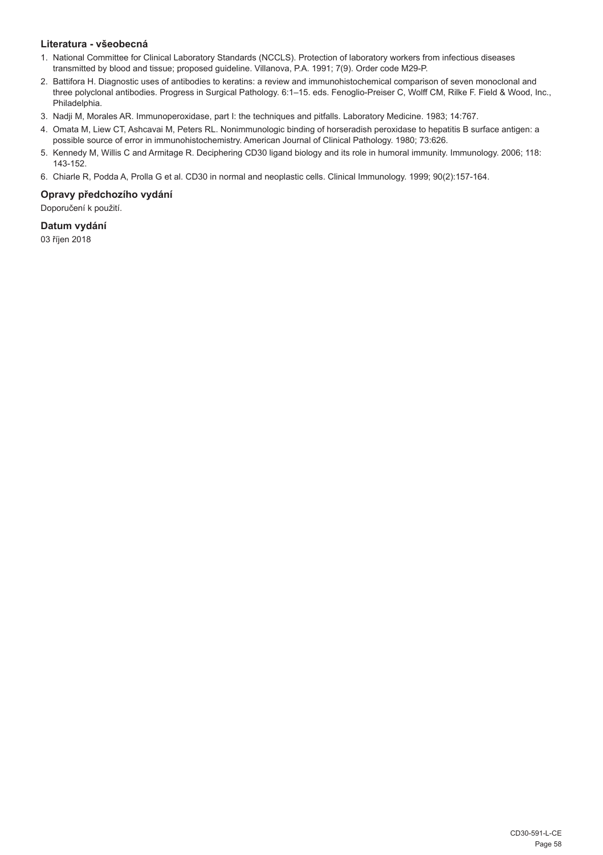# **Literatura - všeobecná**

- 1. National Committee for Clinical Laboratory Standards (NCCLS). Protection of laboratory workers from infectious diseases transmitted by blood and tissue; proposed guideline. Villanova, P.A. 1991; 7(9). Order code M29-P.
- 2. Battifora H. Diagnostic uses of antibodies to keratins: a review and immunohistochemical comparison of seven monoclonal and three polyclonal antibodies. Progress in Surgical Pathology. 6:1–15. eds. Fenoglio-Preiser C, Wolff CM, Rilke F. Field & Wood, Inc., Philadelphia.
- 3. Nadji M, Morales AR. Immunoperoxidase, part I: the techniques and pitfalls. Laboratory Medicine. 1983; 14:767.
- 4. Omata M, Liew CT, Ashcavai M, Peters RL. Nonimmunologic binding of horseradish peroxidase to hepatitis B surface antigen: a possible source of error in immunohistochemistry. American Journal of Clinical Pathology. 1980; 73:626.
- 5. Kennedy M, Willis C and Armitage R. Deciphering CD30 ligand biology and its role in humoral immunity. Immunology. 2006; 118: 143-152.
- 6. Chiarle R, Podda A, Prolla G et al. CD30 in normal and neoplastic cells. Clinical Immunology. 1999; 90(2):157-164.

# **Opravy předchozího vydání**

Doporučení k použití.

# **Datum vydání**

03 říjen 2018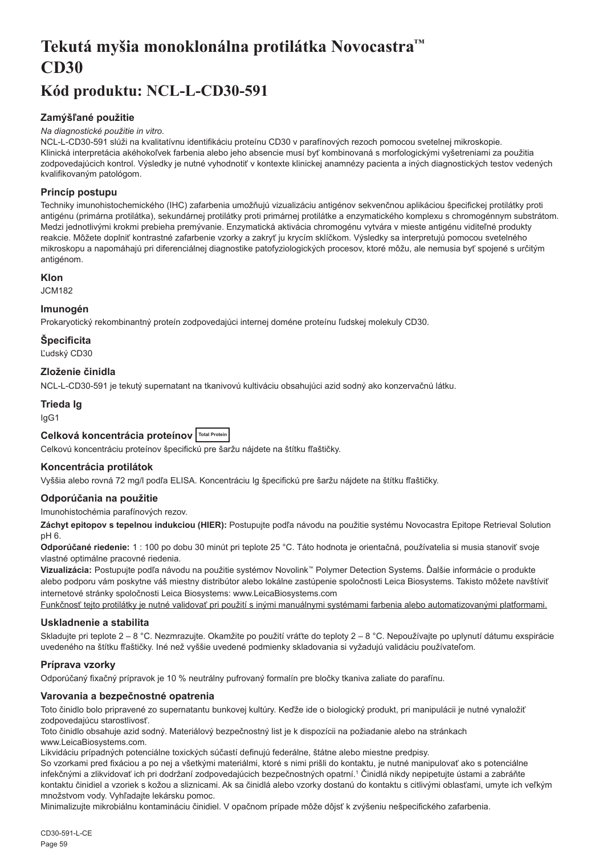# <span id="page-59-0"></span>**Tekutá myšia monoklonálna protilátka Novocastra™ CD30**

# **Kód produktu: NCL-L-CD30-591**

# **Zamýšľané použitie**

#### *Na diagnostické použitie in vitro.*

NCL-L-CD30-591 slúži na kvalitatívnu identifikáciu proteínu CD30 v parafínových rezoch pomocou svetelnej mikroskopie. Klinická interpretácia akéhokoľvek farbenia alebo jeho absencie musí byť kombinovaná s morfologickými vyšetreniami za použitia zodpovedajúcich kontrol. Výsledky je nutné vyhodnotiť v kontexte klinickej anamnézy pacienta a iných diagnostických testov vedených kvalifikovaným patológom.

# **Princíp postupu**

Techniky imunohistochemického (IHC) zafarbenia umožňujú vizualizáciu antigénov sekvenčnou aplikáciou špecifickej protilátky proti antigénu (primárna protilátka), sekundárnej protilátky proti primárnej protilátke a enzymatického komplexu s chromogénnym substrátom. Medzi jednotlivými krokmi prebieha premývanie. Enzymatická aktivácia chromogénu vytvára v mieste antigénu viditeľné produkty reakcie. Môžete doplniť kontrastné zafarbenie vzorky a zakryť ju krycím sklíčkom. Výsledky sa interpretujú pomocou svetelného mikroskopu a napomáhajú pri diferenciálnej diagnostike patofyziologických procesov, ktoré môžu, ale nemusia byť spojené s určitým antigénom.

# **Klon**

JCM182

# **Imunogén**

Prokaryotický rekombinantný proteín zodpovedajúci internej doméne proteínu ľudskej molekuly CD30.

# **Špecificita**

Ľudský CD30

# **Zloženie činidla**

NCL-L-CD30-591 je tekutý supernatant na tkanivovú kultiváciu obsahujúci azid sodný ako konzervačnú látku.

### **Trieda Ig**

IgG1

# **Celková koncentrácia proteínov Total Protein**

Celkovú koncentráciu proteínov špecifickú pre šaržu nájdete na štítku fľaštičky.

### **Koncentrácia protilátok**

Vyššia alebo rovná 72 mg/l podľa ELISA. Koncentráciu Ig špecifickú pre šaržu nájdete na štítku fľaštičky.

### **Odporúčania na použitie**

Imunohistochémia parafínových rezov.

**Záchyt epitopov s tepelnou indukciou (HIER):** Postupujte podľa návodu na použitie systému Novocastra Epitope Retrieval Solution pH 6

**Odporúčané riedenie:** 1 : 100 po dobu 30 minút pri teplote 25 °C. Táto hodnota je orientačná, používatelia si musia stanoviť svoje vlastné optimálne pracovné riedenia.

**Vizualizácia:** Postupujte podľa návodu na použitie systémov Novolink™ Polymer Detection Systems. Ďalšie informácie o produkte alebo podporu vám poskytne váš miestny distribútor alebo lokálne zastúpenie spoločnosti Leica Biosystems. Takisto môžete navštíviť internetové stránky spoločnosti Leica Biosystems: www.LeicaBiosystems.com

Funkčnosť tejto protilátky je nutné validovať pri použití s inými manuálnymi systémami farbenia alebo automatizovanými platformami.

# **Uskladnenie a stabilita**

Skladujte pri teplote 2 – 8 °C. Nezmrazujte. Okamžite po použití vráťte do teploty 2 – 8 °C. Nepoužívajte po uplynutí dátumu exspirácie uvedeného na štítku fľaštičky. Iné než vyššie uvedené podmienky skladovania si vyžadujú validáciu používateľom.

### **Príprava vzorky**

Odporúčaný fixačný prípravok je 10 % neutrálny pufrovaný formalín pre bločky tkaniva zaliate do parafínu.

### **Varovania a bezpečnostné opatrenia**

Toto činidlo bolo pripravené zo supernatantu bunkovej kultúry. Keďže ide o biologický produkt, pri manipulácii je nutné vynaložiť zodpovedajúcu starostlivosť.

Toto činidlo obsahuje azid sodný. Materiálový bezpečnostný list je k dispozícii na požiadanie alebo na stránkach www.LeicaBiosystems.com.

Likvidáciu prípadných potenciálne toxických súčastí definujú federálne, štátne alebo miestne predpisy.

So vzorkami pred fixáciou a po nej a všetkými materiálmi, ktoré s nimi prišli do kontaktu, je nutné manipulovať ako s potenciálne infekčnými a zlikvidovať ich pri dodržaní zodpovedajúcich bezpečnostných opatrní.<sup>1</sup> Činidlá nikdy nepipetujte ústami a zabráňte kontaktu činidiel a vzoriek s kožou a sliznicami. Ak sa činidlá alebo vzorky dostanú do kontaktu s citlivými oblasťami, umyte ich veľkým množstvom vody. Vyhľadajte lekársku pomoc.

Minimalizujte mikrobiálnu kontamináciu činidiel. V opačnom prípade môže dôjsť k zvýšeniu nešpecifického zafarbenia.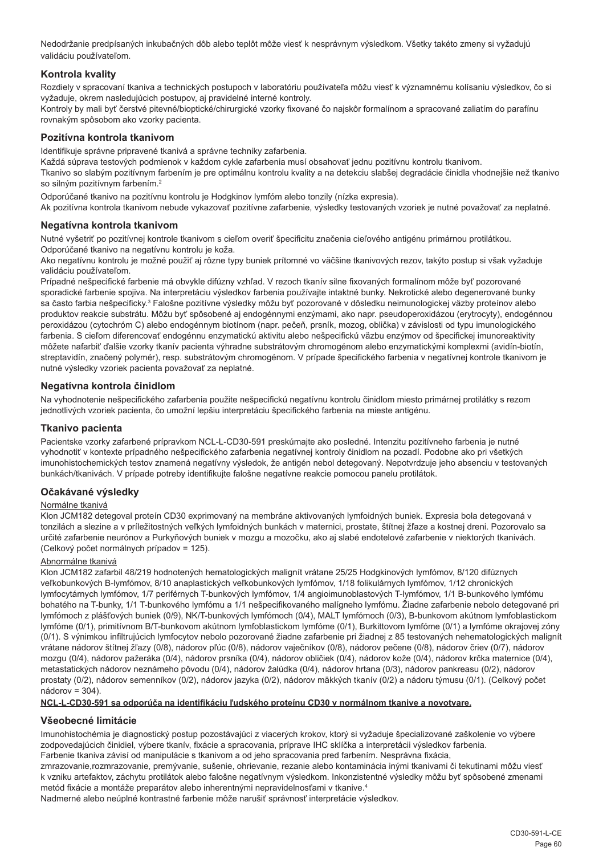Nedodržanie predpísaných inkubačných dôb alebo teplôt môže viesť k nesprávnym výsledkom. Všetky takéto zmeny si vyžadujú validáciu používateľom.

# **Kontrola kvality**

Rozdiely v spracovaní tkaniva a technických postupoch v laboratóriu používateľa môžu viesť k významnému kolísaniu výsledkov, čo si vyžaduje, okrem nasledujúcich postupov, aj pravidelné interné kontroly.

Kontroly by mali byť čerstvé pitevné/bioptické/chirurgické vzorky fixované čo najskôr formalínom a spracované zaliatím do parafínu rovnakým spôsobom ako vzorky pacienta.

# **Pozitívna kontrola tkanivom**

Identifikuje správne pripravené tkanivá a správne techniky zafarbenia.

Každá súprava testových podmienok v každom cykle zafarbenia musí obsahovať jednu pozitívnu kontrolu tkanivom.

Tkanivo so slabým pozitívnym farbením je pre optimálnu kontrolu kvality a na detekciu slabšej degradácie činidla vhodnejšie než tkanivo so silným pozitívnym farbením.<sup>2</sup>

Odporúčané tkanivo na pozitívnu kontrolu je Hodgkinov lymfóm alebo tonzily (nízka expresia).

Ak pozitívna kontrola tkanivom nebude vykazovať pozitívne zafarbenie, výsledky testovaných vzoriek je nutné považovať za neplatné.

#### **Negatívna kontrola tkanivom**

Nutné vyšetriť po pozitívnej kontrole tkanivom s cieľom overiť špecificitu značenia cieľového antigénu primárnou protilátkou. Odporúčané tkanivo na negatívnu kontrolu je koža.

Ako negatívnu kontrolu je možné použiť aj rôzne typy buniek prítomné vo väčšine tkanivových rezov, takýto postup si však vyžaduje validáciu používateľom.

Prípadné nešpecifické farbenie má obvykle difúzny vzhľad. V rezoch tkanív silne fixovaných formalínom môže byť pozorované sporadické farbenie spojiva. Na interpretáciu výsledkov farbenia používajte intaktné bunky. Nekrotické alebo degenerované bunky sa často farbia nešpecificky.<sup>3</sup> Falošne pozitívne výsledky môžu byť pozorované v dôsledku neimunologickej väzby proteínov alebo produktov reakcie substrátu. Môžu byť spôsobené aj endogénnymi enzýmami, ako napr. pseudoperoxidázou (erytrocyty), endogénnou peroxidázou (cytochróm C) alebo endogénnym biotínom (napr. pečeň, prsník, mozog, oblička) v závislosti od typu imunologického farbenia. S cieľom diferencovať endogénnu enzymatickú aktivitu alebo nešpecifickú väzbu enzýmov od špecifickej imunoreaktivity môžete nafarbiť ďalšie vzorky tkanív pacienta výhradne substrátovým chromogénom alebo enzymatickými komplexmi (avidín-biotín, streptavidín, značený polymér), resp. substrátovým chromogénom. V prípade špecifického farbenia v negatívnej kontrole tkanivom je nutné výsledky vzoriek pacienta považovať za neplatné.

#### **Negatívna kontrola činidlom**

Na vyhodnotenie nešpecifického zafarbenia použite nešpecifickú negatívnu kontrolu činidlom miesto primárnej protilátky s rezom jednotlivých vzoriek pacienta, čo umožní lepšiu interpretáciu špecifického farbenia na mieste antigénu.

#### **Tkanivo pacienta**

Pacientske vzorky zafarbené prípravkom NCL-L-CD30-591 preskúmajte ako posledné. Intenzitu pozitívneho farbenia je nutné vyhodnotiť v kontexte prípadného nešpecifického zafarbenia negatívnej kontroly činidlom na pozadí. Podobne ako pri všetkých imunohistochemických testov znamená negatívny výsledok, že antigén nebol detegovaný. Nepotvrdzuje jeho absenciu v testovaných bunkách/tkanivách. V prípade potreby identifikujte falošne negatívne reakcie pomocou panelu protilátok.

### **Očakávané výsledky**

#### Normálne tkanivá

Klon JCM182 detegoval proteín CD30 exprimovaný na membráne aktivovaných lymfoidných buniek. Expresia bola detegovaná v tonzilách a slezine a v príležitostných veľkých lymfoidných bunkách v maternici, prostate, štítnej žľaze a kostnej dreni. Pozorovalo sa určité zafarbenie neurónov a Purkyňových buniek v mozgu a mozočku, ako aj slabé endotelové zafarbenie v niektorých tkanivách. (Celkový počet normálnych prípadov = 125).

#### Abnormálne tkanivá

Klon JCM182 zafarbil 48/219 hodnotených hematologických malignít vrátane 25/25 Hodgkinových lymfómov, 8/120 difúznych veľkobunkových B-lymfómov, 8/10 anaplastických veľkobunkových lymfómov, 1/18 folikulárnych lymfómov, 1/12 chronických lymfocytárnych lymfómov, 1/7 periférnych T-bunkových lymfómov, 1/4 angioimunoblastových T-lymfómov, 1/1 B-bunkového lymfómu bohatého na T-bunky, 1/1 T-bunkového lymfómu a 1/1 nešpecifikovaného malígneho lymfómu. Žiadne zafarbenie nebolo detegované pri lymfómoch z plášťových buniek (0/9), NK/T-bunkových lymfómoch (0/4), MALT lymfómoch (0/3), B-bunkovom akútnom lymfoblastickom lymfóme (0/1), primitívnom B/T-bunkovom akútnom lymfoblastickom lymfóme (0/1), Burkittovom lymfóme (0/1) a lymfóme okrajovej zóny (0/1). S výnimkou infiltrujúcich lymfocytov nebolo pozorované žiadne zafarbenie pri žiadnej z 85 testovaných nehematologických malignít vrátane nádorov štítnej žľazy (0/8), nádorov pľúc (0/8), nádorov vaječníkov (0/8), nádorov pečene (0/8), nádorov čriev (0/7), nádorov mozgu (0/4), nádorov pažeráka (0/4), nádorov prsníka (0/4), nádorov obličiek (0/4), nádorov kože (0/4), nádorov krčka maternice (0/4), metastatických nádorov neznámeho pôvodu (0/4), nádorov žalúdka (0/4), nádorov hrtana (0/3), nádorov pankreasu (0/2), nádorov prostaty (0/2), nádorov semenníkov (0/2), nádorov jazyka (0/2), nádorov mäkkých tkanív (0/2) a nádoru týmusu (0/1). (Celkový počet  $n$ ádorov = 304).

# **NCL-L-CD30-591 sa odporúča na identifikáciu ľudského proteínu CD30 v normálnom tkanive a novotvare.**

### **Všeobecné limitácie**

Imunohistochémia je diagnostický postup pozostávajúci z viacerých krokov, ktorý si vyžaduje špecializované zaškolenie vo výbere zodpovedajúcich činidiel, výbere tkanív, fixácie a spracovania, príprave IHC sklíčka a interpretácii výsledkov farbenia. Farbenie tkaniva závisí od manipulácie s tkanivom a od jeho spracovania pred farbením. Nesprávna fixácia,

zmrazovanie,rozmrazovanie, premývanie, sušenie, ohrievanie, rezanie alebo kontaminácia inými tkanivami či tekutinami môžu viesť k vzniku artefaktov, záchytu protilátok alebo falošne negatívnym výsledkom. Inkonzistentné výsledky môžu byť spôsobené zmenami metód fixácie a montáže preparátov alebo inherentnými nepravidelnosťami v tkanive.<sup>4</sup>

Nadmerné alebo neúplné kontrastné farbenie môže narušiť správnosť interpretácie výsledkov.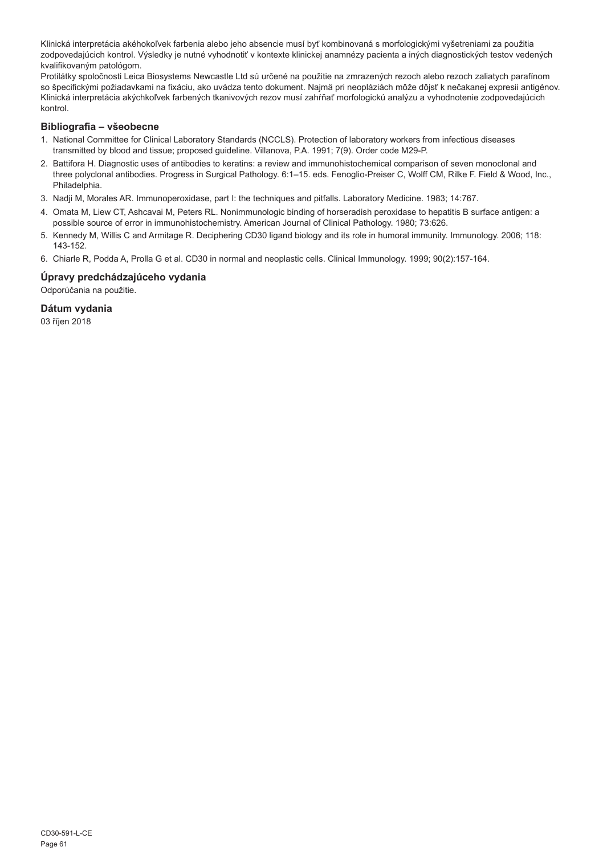Klinická interpretácia akéhokoľvek farbenia alebo jeho absencie musí byť kombinovaná s morfologickými vyšetreniami za použitia zodpovedajúcich kontrol. Výsledky je nutné vyhodnotiť v kontexte klinickej anamnézy pacienta a iných diagnostických testov vedených kvalifikovaným patológom.

Protilátky spoločnosti Leica Biosystems Newcastle Ltd sú určené na použitie na zmrazených rezoch alebo rezoch zaliatych parafínom so špecifickými požiadavkami na fixáciu, ako uvádza tento dokument. Najmä pri neopláziách môže dôjsť k nečakanej expresii antigénov. Klinická interpretácia akýchkoľvek farbených tkanivových rezov musí zahŕňať morfologickú analýzu a vyhodnotenie zodpovedajúcich kontrol.

# **Bibliografia – všeobecne**

- 1. National Committee for Clinical Laboratory Standards (NCCLS). Protection of laboratory workers from infectious diseases transmitted by blood and tissue; proposed guideline. Villanova, P.A. 1991; 7(9). Order code M29-P.
- 2. Battifora H. Diagnostic uses of antibodies to keratins: a review and immunohistochemical comparison of seven monoclonal and three polyclonal antibodies. Progress in Surgical Pathology. 6:1–15. eds. Fenoglio-Preiser C, Wolff CM, Rilke F. Field & Wood, Inc., Philadelphia.
- 3. Nadji M, Morales AR. Immunoperoxidase, part I: the techniques and pitfalls. Laboratory Medicine. 1983; 14:767.
- 4. Omata M, Liew CT, Ashcavai M, Peters RL. Nonimmunologic binding of horseradish peroxidase to hepatitis B surface antigen: a possible source of error in immunohistochemistry. American Journal of Clinical Pathology. 1980; 73:626.
- 5. Kennedy M, Willis C and Armitage R. Deciphering CD30 ligand biology and its role in humoral immunity. Immunology. 2006; 118: 143-152.
- 6. Chiarle R, Podda A, Prolla G et al. CD30 in normal and neoplastic cells. Clinical Immunology. 1999; 90(2):157-164.

### **Úpravy predchádzajúceho vydania**

Odporúčania na použitie.

#### **Dátum vydania**

03 říjen 2018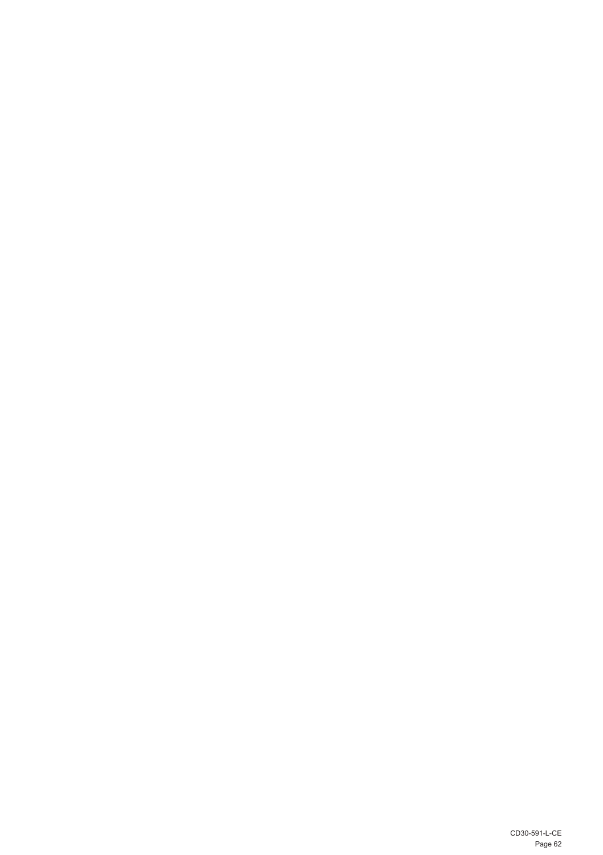CD30-591-L-CE Page 62